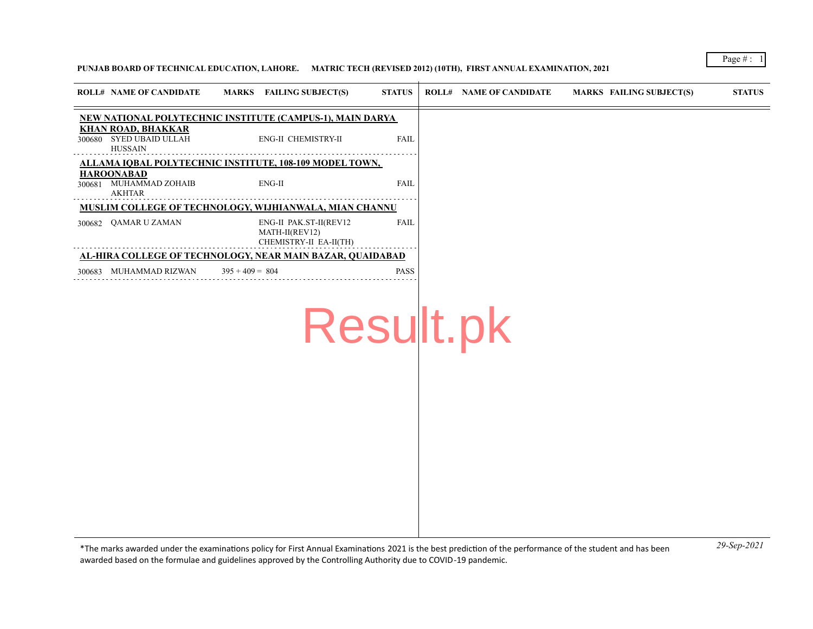## **PUNJAB BOARD OF TECHNICAL EDUCATION, LAHORE. MATRIC TECH (REVISED 2012) (10TH), FIRST ANNUAL EXAMINATION, 2021**

| <b>ROLL# NAME OF CANDIDATE</b>                                         | <b>MARKS</b> FAILING SUBJECT(S)                                    | <b>STATUS</b> | <b>ROLL# NAME OF CANDIDATE</b> | <b>MARKS FAILING SUBJECT(S)</b> | <b>STATUS</b> |
|------------------------------------------------------------------------|--------------------------------------------------------------------|---------------|--------------------------------|---------------------------------|---------------|
|                                                                        | NEW NATIONAL POLYTECHNIC INSTITUTE (CAMPUS-1), MAIN DARYA          |               |                                |                                 |               |
| <b>KHAN ROAD, BHAKKAR</b><br>300680 SYED UBAID ULLAH<br><b>HUSSAIN</b> | ENG-II CHEMISTRY-II                                                | <b>FAIL</b>   |                                |                                 |               |
|                                                                        | ALLAMA IQBAL POLYTECHNIC INSTITUTE, 108-109 MODEL TOWN,            |               |                                |                                 |               |
| <b>HAROONABAD</b><br>300681 MUHAMMAD ZOHAIB<br><b>AKHTAR</b>           | ENG-II                                                             | <b>FAIL</b>   |                                |                                 |               |
|                                                                        | MUSLIM COLLEGE OF TECHNOLOGY, WIJHIANWALA, MIAN CHANNU             |               |                                |                                 |               |
| 300682 QAMAR U ZAMAN                                                   | ENG-II PAK.ST-II(REV12<br>MATH-II(REV12)<br>CHEMISTRY-II EA-II(TH) | FAIL          |                                |                                 |               |
|                                                                        | AL-HIRA COLLEGE OF TECHNOLOGY, NEAR MAIN BAZAR, QUAIDABAD          |               |                                |                                 |               |
| 300683 MUHAMMAD RIZWAN                                                 | $395 + 409 = 804$                                                  | PASS          |                                |                                 |               |
|                                                                        |                                                                    |               | Result.pk                      |                                 |               |
|                                                                        |                                                                    |               |                                |                                 |               |
|                                                                        |                                                                    |               |                                |                                 |               |
|                                                                        |                                                                    |               |                                |                                 |               |
|                                                                        |                                                                    |               |                                |                                 |               |
|                                                                        |                                                                    |               |                                |                                 |               |
|                                                                        |                                                                    |               |                                |                                 |               |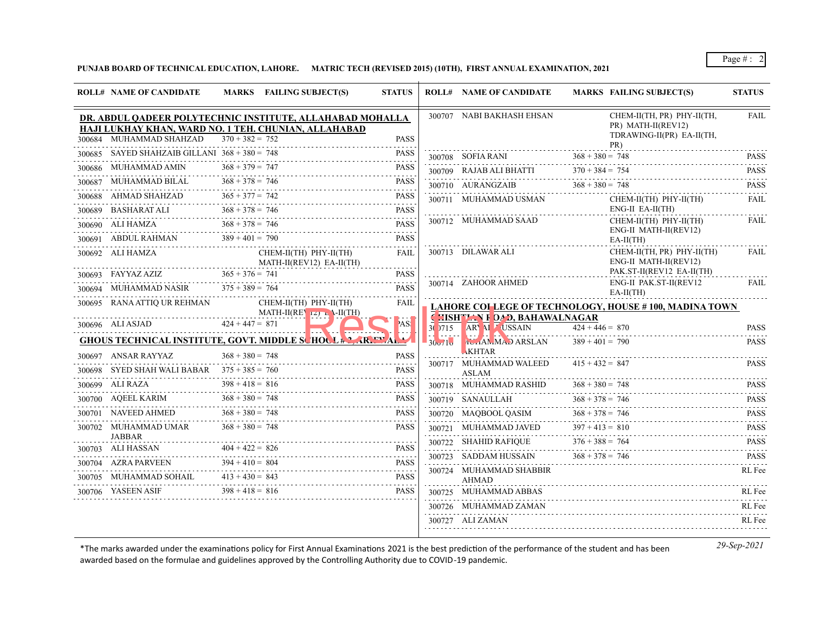## **PUNJAB BOARD OF TECHNICAL EDUCATION, LAHORE. MATRIC TECH (REVISED 2015) (10TH), FIRST ANNUAL EXAMINATION, 2021**

|        | <b>ROLL# NAME OF CANDIDATE</b>                                                              | MARKS FAILING SUBJECT(S)                                                                                                               | <b>STATUS</b>                   |        | <b>ROLL# NAME OF CANDIDATE</b>          | <b>MARKS FAILING SUBJECT(S)</b>                                                      | <b>STATUS</b>              |
|--------|---------------------------------------------------------------------------------------------|----------------------------------------------------------------------------------------------------------------------------------------|---------------------------------|--------|-----------------------------------------|--------------------------------------------------------------------------------------|----------------------------|
|        | 300684 MUHAMMAD SHAHZAD                                                                     | DR. ABDUL QADEER POLYTECHNIC INSTITUTE, ALLAHABAD MOHALLA<br>HAJI LUKHAY KHAN, WARD NO. 1 TEH. CHUNIAN, ALLAHABAD<br>$370 + 382 = 752$ | <b>PASS</b>                     |        | 300707 NABI BAKHASH EHSAN               | CHEM-II(TH, PR) PHY-II(TH,<br>PR) MATH-II(REV12)<br>TDRAWING-II(PR) EA-II(TH,<br>PR) | FAIL                       |
|        | 300685 SAYED SHAHZAIB GILLANI $368 + 380 = 748$                                             |                                                                                                                                        | <b>PASS</b><br>.                |        | 300708 SOFIA RANI                       | $368 + 380 = 748$                                                                    | <b>PASS</b>                |
|        | 300686 MUHAMMAD AMIN                                                                        | $368 + 379 = 747$                                                                                                                      | <b>PASS</b>                     |        |                                         | 300709 RAJAB ALI BHATTI $370 + 384 = 754$                                            | <b>PASS</b>                |
| 300687 | MUHAMMAD BILAL                                                                              | $368 + 378 = 746$                                                                                                                      | <b>PASS</b>                     |        | 300710 AURANGZAIB                       | $368 + 380 = 748$                                                                    | <b>PASS</b>                |
|        | 300688 AHMAD SHAHZAD<br>300689 BASHARAT ALI                                                 | $365 + 377 = 742$<br>$368 + 378 = 746$                                                                                                 | <b>PASS</b><br>.<br><b>PASS</b> |        | 300711 MUHAMMAD USMAN                   | $CHEM-II(TH)$ $PHY-II(TH)$<br>$ENG-II EA-II(TH)$                                     | 2.2.2.2.2.1<br><b>FAIL</b> |
|        | .SHARAT ALI<br>-----------------------<br>300690 ALI HAMZA<br>300691 ABDUL RAHMAN 389 + 401 | $368 + 378 = 746$<br>$389 + 401 = 790$                                                                                                 | <b>PASS</b><br><b>PASS</b>      |        | 300712 MUHAMMAD SAAD                    | CHEM-II(TH) PHY-II(TH)<br>ENG-II MATH-II(REV12)<br>$EA-II(TH)$                       | <b>FAIL</b>                |
|        | 300692 ALI HAMZA                                                                            | CHEM-II(TH) PHY-II(TH)<br>MATH-II(REV12) EA-II(TH)                                                                                     | FAIL                            |        | 300713 DILAWAR ALI                      | CHEM-II(TH, PR) PHY-II(TH)<br>ENG-II MATH-II(REV12)<br>PAK.ST-II(REV12 EA-II(TH)     | FAIL                       |
|        | 300693 FAYYAZ AZIZ<br>300694 MUHAMMAD NASIR                                                 | $365 + 376 = 741$<br>$375 + 389 = 764$                                                                                                 | <b>PASS</b><br><b>PASS</b>      |        | 300714 ZAHOOR AHMED                     | ENG-II PAK.ST-II(REV12<br>$EA-II(TH)$                                                | <b>FAIL</b>                |
|        | 300695 RANA ATTIQ UR REHMAN                                                                 | CHEM-II(TH) PHY-II(TH)<br>MATH-II(REV $ Z $ $\rightarrow$ Y-II(TH)                                                                     | FAIL                            |        | <b>CHISHTAN FOAD, BAHAWALNAGAR</b>      | <b>LAHORE COLLEGE OF TECHNOLOGY, HOUSE #100, MADINA TOWN</b>                         |                            |
|        | 300696 ALI ASJAD                                                                            | $424 + 447 = 871$                                                                                                                      | AS!                             |        | 30 715 ARY M USSAIN                     | $424 + 446 = 870$                                                                    | <b>PASS</b>                |
|        | 300697 ANSAR RAYYAZ                                                                         | <b>GHOUS TECHNICAL INSTITUTE, GOVT. MIDDLE SCHOCL #2. AR. EV.AL.</b><br>$368 + 380 = 748$                                              | <b>PASS</b>                     | 30v/1v | <b>TUTANMAD ARSLAN</b><br>KHTAR         | $389 + 401 = 790$                                                                    | .<br><b>PASS</b>           |
|        | 300698 SYED SHAH WALI BABAR $375 + 385 = 760$                                               |                                                                                                                                        | <b>PASS</b><br>.                |        | 300717 MUHAMMAD WALEED<br><b>ASLAM</b>  | $415 + 432 = 847$                                                                    | <b>PASS</b>                |
|        | 300699 ALI RAZA                                                                             | $398 + 418 = 816$                                                                                                                      | <b>PASS</b>                     |        | 300718 MUHAMMAD RASHID                  | $368 + 380 = 748$                                                                    | <b>PASS</b>                |
|        | 300700 AQEEL KARIM                                                                          | $368 + 380 = 748$                                                                                                                      | <b>PASS</b>                     |        | 300719 SANAULLAH                        | $368 + 378 = 746$                                                                    | <b>PASS</b>                |
|        | 300701 NAVEED AHMED                                                                         | $368 + 380 = 748$                                                                                                                      | <b>PASS</b>                     |        | 300720 MAQBOOL QASIM                    | $368 + 378 = 746$                                                                    | <b>PASS</b><br>.           |
|        | 300702 MUHAMMAD UMAR<br><b>JABBAR</b>                                                       | $368 + 380 = 748$                                                                                                                      | <b>PASS</b>                     |        | 300721 MUHAMMAD JAVED                   | $397 + 413 = 810$                                                                    | <b>PASS</b>                |
|        | 300703 ALI HASSAN                                                                           | $404 + 422 = 826$                                                                                                                      | <b>PASS</b>                     |        | 300722 SHAHID RAFIQUE                   | $376 + 388 = 764$                                                                    | <b>PASS</b><br>.           |
| 300704 | AZRA PARVEEN                                                                                | $394 + 410 = 804$                                                                                                                      | <b>PASS</b>                     |        | 300723 SADDAM HUSSAIN                   | $368 + 378 = 746$                                                                    | <b>PASS</b>                |
|        | 300705 MUHAMMAD SOHAIL                                                                      | $413 + 430 = 843$<br><del>. ער</del> ט ע <del>נד י כוד</del>                                                                           | <b>PASS</b>                     |        | 300724 MUHAMMAD SHABBIR<br><b>AHMAD</b> |                                                                                      | RL Fee                     |
|        | 300706 YASEEN ASIF                                                                          | $398 + 418 = 816$                                                                                                                      | <b>PASS</b>                     |        | 300725 MUHAMMAD ABBAS                   |                                                                                      | RL Fee                     |
|        |                                                                                             |                                                                                                                                        |                                 |        | 300726 MUHAMMAD ZAMAN                   |                                                                                      | RL Fee                     |
|        |                                                                                             |                                                                                                                                        |                                 |        | 300727 ALI ZAMAN                        |                                                                                      | RL Fee                     |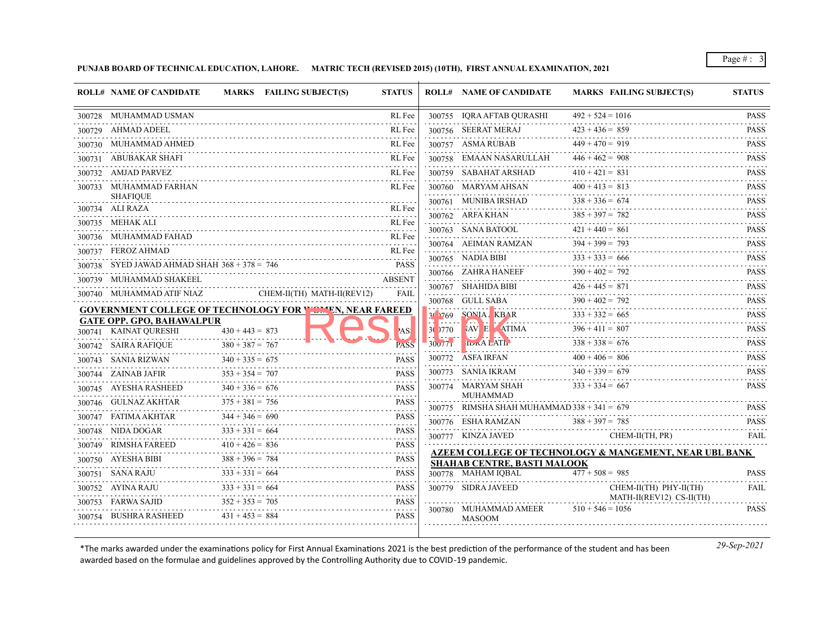**PUNJAB BOARD OF TECHNICAL EDUCATION, LAHORE. MATRIC TECH (REVISED 2015) (10TH), FIRST ANNUAL EXAMINATION, 2021**

|        | <b>ROLL# NAME OF CANDIDATE</b>          |                   | MARKS FAILING SUBJECT(S)                                          | <b>STATUS</b>      |         | <b>ROLL# NAME OF CANDIDATE</b>                | <b>MARKS FAILING SUBJECT(S)</b>                        | <b>STATUS</b>                                                                                                                                        |
|--------|-----------------------------------------|-------------------|-------------------------------------------------------------------|--------------------|---------|-----------------------------------------------|--------------------------------------------------------|------------------------------------------------------------------------------------------------------------------------------------------------------|
| 300728 | MUHAMMAD USMAN                          |                   |                                                                   | RL Fee             |         | 300755 IQRA AFTAB QURASHI                     | $492 + 524 = 1016$                                     | <b>PASS</b>                                                                                                                                          |
| 300729 | AHMAD ADEEL                             |                   |                                                                   | RL Fee             |         | 300756 SEERAT MERAJ                           | $423 + 436 = 859$                                      | <b>PASS</b>                                                                                                                                          |
|        | 300730 MUHAMMAD AHMED                   |                   |                                                                   | RL Fee             |         | 300757 ASMA RUBAB                             | $449 + 470 = 919$                                      | <b>PASS</b>                                                                                                                                          |
| 300731 | ABUBAKAR SHAFI                          |                   |                                                                   | RL Fee             |         | 300758 EMAAN NASARULLAH                       | $446 + 462 = 908$                                      | <b>PASS</b>                                                                                                                                          |
|        | 300732 AMJAD PARVEZ                     |                   |                                                                   | RL Fee             |         | 300759 SABAHAT ARSHAD                         | $410 + 421 = 831$                                      | .<br><b>PASS</b>                                                                                                                                     |
|        | 300733 MUHAMMAD FARHAN                  |                   |                                                                   | RL Fee             |         | 300760 MARYAM AHSAN                           | $400 + 413 = 813$                                      | PASS                                                                                                                                                 |
|        | <b>SHAFIOUE</b>                         |                   |                                                                   |                    |         | 300761 MUNIBA IRSHAD                          | $338 + 336 = 674$                                      | <b>PASS</b>                                                                                                                                          |
|        | 300734 ALI RAZA                         |                   |                                                                   | RL Fee             |         | 300762 ARFA KHAN                              | $385 + 397 = 782$                                      | .<br><b>PASS</b>                                                                                                                                     |
|        | 300735 MEHAK ALI                        |                   |                                                                   | RL Fee             |         | 300763 SANA BATOOL                            | $421 + 440 = 861$                                      | $- - - - - -$<br><b>PASS</b>                                                                                                                         |
|        | 300736 MUHAMMAD FAHAD                   |                   |                                                                   | RL Fee<br>.        |         | 300764 AEIMAN RAMZAN                          | $394 + 399 = 793$                                      | .<br><b>PASS</b>                                                                                                                                     |
|        | 300737 FEROZ AHMAD                      |                   |                                                                   | RL Fee             |         | 300765 NADIA BIBI                             | $333 + 333 = 666$                                      | .<br><b>PASS</b>                                                                                                                                     |
| 300738 | SYED JAWAD AHMAD SHAH $368 + 378 = 746$ |                   |                                                                   | <b>PASS</b>        |         | 300766 ZAHRA HANEEF                           | $390 + 402 = 792$                                      | <b>PASS</b>                                                                                                                                          |
| 300739 | MUHAMMAD SHAKEEL                        |                   |                                                                   | <b>ABSENT</b><br>. |         | 300767 SHAHIDA BIBI                           | $426 + 445 = 871$                                      | $\sim$ $\sim$ $\sim$ $\sim$ $\sim$ $\sim$<br><b>PASS</b>                                                                                             |
|        | 300740 MUHAMMAD ATIF NIAZ               |                   | CHEM-II(TH) MATH-II(REV12)                                        | <b>FAIL</b>        |         | 300768 GULL SABA                              | $390 + 402 = 792$                                      | <b>PASS</b>                                                                                                                                          |
|        | <b>GATE OPP. GPO, BAHAWALPUR</b>        |                   | <b>GOVERNMENT COLLEGE OF TECHNOLOGY FOR \ On. EN, NEAR FAREED</b> |                    | 30 1769 | SONIA, KBAR                                   | $333 + 332 = 665$                                      | .<br><b>PASS</b>                                                                                                                                     |
|        | 300741 KAINAT QURESHI                   | $430 + 443 = 873$ |                                                                   | AS!                | 30 770  | VAV E ATIMA                                   | .<br>$396 + 411 = 807$                                 | .<br><b>PASS</b>                                                                                                                                     |
|        | 300742 SAIRA RAFIQUE                    | $380 + 387 = 767$ |                                                                   | <b>PASS</b>        | 30v/71  | <b>IDRALATI</b>                               | $338 + 338 = 676$                                      | <b>PASS</b>                                                                                                                                          |
|        | 300743 SANIA RIZWAN                     | $340 + 335 = 675$ |                                                                   | <b>PASS</b>        |         | 300772 ASFA IRFAN                             | $400 + 406 = 806$                                      | .<br><b>PASS</b>                                                                                                                                     |
|        | 300744 ZAINAB JAFIR                     | $353 + 354 = 707$ |                                                                   | <b>PASS</b>        |         | 300773 SANIA IKRAM                            | $340 + 339 = 679$                                      | 111111<br><b>PASS</b>                                                                                                                                |
|        | 300745 AYESHA RASHEED                   | $340 + 336 = 676$ |                                                                   | <b>PASS</b>        |         | 300774 MARYAM SHAH                            | $333 + 334 = 667$                                      | <b>PASS</b>                                                                                                                                          |
|        | 300746 GULNAZ AKHTAR                    | $375 + 381 = 756$ |                                                                   | .<br><b>PASS</b>   |         | <b>MUHAMMAD</b>                               |                                                        |                                                                                                                                                      |
|        | 300747 FATIMA AKHTAR                    | $344 + 346 = 690$ |                                                                   | PASS               |         | 300775 RIMSHA SHAH MUHAMMAD $338 + 341 = 679$ |                                                        | <b>PASS</b>                                                                                                                                          |
|        | 300748 NIDA DOGAR                       | $333 + 331 = 664$ |                                                                   | <b>PASS</b>        |         | 300776 ESHA RAMZAN                            | $388 + 397 = 785$                                      | <b>PASS</b><br>.                                                                                                                                     |
| 300749 | RIMSHA FAREED                           | $410 + 426 = 836$ |                                                                   | <b>PASS</b>        |         | 300777 KINZA JAVED                            | CHEM-II(TH, PR)                                        | <b>FAIL</b>                                                                                                                                          |
|        | 300750 AYESHA BIBI                      | $388 + 396 = 784$ |                                                                   | .<br><b>PASS</b>   |         | <b>SHAHAB CENTRE, BASTI MALOOK</b>            | AZEEM COLLEGE OF TECHNOLOGY & MANGEMENT, NEAR UBL BANK |                                                                                                                                                      |
|        | 300751 SANA RAJU                        | $333 + 331 = 664$ |                                                                   | <b>PASS</b>        |         | 300778 MAHAM IOBAL                            | $477 + 508 = 985$                                      | <b>PASS</b>                                                                                                                                          |
|        | 300752 AYINA RAJU                       | $333 + 331 = 664$ |                                                                   | <b>PASS</b>        |         | 300779 SIDRA JAVEED                           | CHEM-II(TH) PHY-II(TH)                                 | FAIL                                                                                                                                                 |
|        | 300753 FARWA SAJID                      | $352 + 353 = 705$ |                                                                   | <b>PASS</b>        |         |                                               | MATH-II(REV12) CS-II(TH)                               | $\frac{1}{2} \left( \frac{1}{2} \right) \left( \frac{1}{2} \right) \left( \frac{1}{2} \right) \left( \frac{1}{2} \right) \left( \frac{1}{2} \right)$ |
|        | BUSHRA RASHEED                          | $431 + 453 = 884$ |                                                                   | PASS               |         | 300780 MUHAMMAD AMEER<br><b>MASOOM</b>        | $510 + 546 = 1056$                                     | <b>PASS</b>                                                                                                                                          |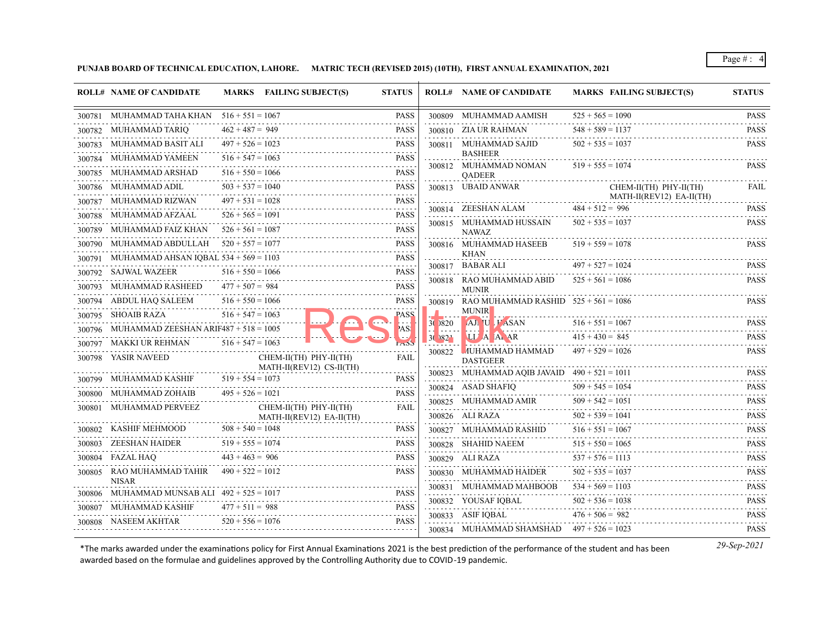**PUNJAB BOARD OF TECHNICAL EDUCATION, LAHORE. MATRIC TECH (REVISED 2015) (10TH), FIRST ANNUAL EXAMINATION, 2021**

| 300781 MUHAMMAD TAHA KHAN 516 + 551 = 1067<br>300809 MUHAMMAD AAMISH<br>$525 + 565 = 1090$<br><b>PASS</b><br>$462 + 487 = 949$<br>$548 + 589 = 1137$<br><b>PASS</b><br>300810 ZIA UR RAHMAN<br>300782 MUHAMMAD TARIQ<br>$497 + 526 = 1023$<br>$502 + 535 = 1037$<br>300783 MUHAMMAD BASIT ALI<br><b>PASS</b><br>300811 MUHAMMAD SAJID<br><b>BASHEER</b><br>$516 + 547 = 1063$<br><b>MUHAMMAD YAMEEN</b><br><b>PASS</b><br>300812 MUHAMMAD NOMAN<br>$519 + 555 = 1074$<br>.<br>$516 + 550 = 1066$<br>MUHAMMAD ARSHAD<br><b>PASS</b><br>300785<br><b>OADEER</b><br>$503 + 537 = 1040$<br>300786 MUHAMMAD ADIL<br>PASS<br>300813 UBAID ANWAR<br>CHEM-II(TH) PHY-II(TH)<br>MATH-II(REV12) EA-II(TH)<br>$497 + 531 = 1028$<br>300787 MUHAMMAD RIZWAN<br><b>PASS</b><br>$484 + 512 = 996$<br>300814 ZEESHAN ALAM<br>$526 + 565 = 1091$<br><b>PASS</b><br>300788 MUHAMMAD AFZAAL<br>300815 MUHAMMAD HUSSAIN<br>$502 + 535 = 1037$<br>$526 + 561 = 1087$<br><b>PASS</b><br>300789 MUHAMMAD FAIZ KHAN<br><b>NAWAZ</b><br>$520 + 557 = 1077$<br>MUHAMMAD ABDULLAH<br><b>PASS</b><br>300816 MUHAMMAD HASEEB<br>$519 + 559 = 1078$<br>KHAN<br><b>PASS</b><br>MUHAMMAD AHSAN IQBAL $534 + 569 = 1103$<br>$497 + 527 = 1024$<br>300817 BABAR ALI<br>$516 + 550 = 1066$<br>300792 SAJWAL WAZEER<br><b>PASS</b><br>$525 + 561 = 1086$<br>300818 RAO MUHAMMAD ABID<br>$477 + 507 = 984$<br>MUHAMMAD RASHEED<br><b>PASS</b><br>300793<br><b>MUNIR</b><br>$516 + 550 = 1066$<br>ABDUL HAQ SALEEM<br><b>PASS</b><br>300819 RAO MUHAMMAD RASHID $525 + 561 = 1086$<br><b>MUNIR</b><br>$516 + 547 = 1063$<br>300795 SHOAIB RAZA<br><b>PASS</b><br>$516 + 551 = 1067$<br>AJ U <i>FASAN</i><br>30 1820<br>MUHAMMAD ZEESHAN ARIF487 + $518 = 1005$<br>'AS!<br>$415 + 430 = 845$<br>3()82 <sup>1</sup><br><b>ULA A AR</b><br>300797 MAKKI UR REHMAN<br>$516 + 547 = 1063$<br><b>MUHAMMAD HAMMAD</b><br>$497 + 529 = 1026$<br>300822<br>300798 YASIR NAVEED<br>CHEM-II(TH) PHY-II(TH)<br>FAIL<br><b>DASTGEER</b><br>MATH-II(REV12) CS-II(TH)<br>300823 MUHAMMAD AQIB JAVAID $490 + 521 = 1011$<br>$519 + 554 = 1073$<br>300799 MUHAMMAD KASHIF<br><b>PASS</b><br>300824 ASAD SHAFIQ<br>$509 + 545 = 1054$<br>$495 + 526 = 1021$<br>300800 MUHAMMAD ZOHAIB<br><b>PASS</b><br>$509 + 542 = 1051$<br>300825 MUHAMMAD AMIR<br>300801 MUHAMMAD PERVEEZ<br>CHEM-II(TH) PHY-II(TH)<br><b>FAIL</b><br>$502 + 539 = 1041$<br>300826 ALI RAZA<br>MATH-II(REV12) EA-II(TH)<br>.<br>$508 + 540 = 1048$<br>KASHIF MEHMOOD<br>PASS<br>$516 + 551 = 1067$<br>300802<br>300827 MUHAMMAD RASHID<br>$515 + 550 = 1065$<br>$519 + 555 = 1074$<br>ZEESHAN HAIDER<br><b>PASS</b><br>300828 SHAHID NAEEM<br>300803<br>$443 + 463 = 906$<br>FAZAL HAO<br><b>PASS</b><br>$537 + 576 = 1113$<br>300829 ALI RAZA<br>300804<br>RAO MUHAMMAD TAHIR<br>$490 + 522 = 1012$<br><b>PASS</b><br>$502 + 535 = 1037$<br>300805<br>300830 MUHAMMAD HAIDER<br><b>NISAR</b><br>$534 + 569 = 1103$<br>300831 MUHAMMAD MAHBOOB<br>300806 MUHAMMAD MUNSAB ALI 492 + 525 = 1017<br><b>PASS</b><br>$502 + 536 = 1038$<br>300832 YOUSAF IOBAL<br>MUHAMMAD KASHIF<br>$477 + 511 = 988$<br><b>PASS</b><br>300807<br>300833 ASIF IQBAL<br>$476 + 506 = 982$<br>$520 + 556 = 1076$<br><b>PASS</b><br>300808 NASEEM AKHTAR<br>300834 MUHAMMAD SHAMSHAD $497 + 526 = 1023$ | <b>ROLL# NAME OF CANDIDATE</b> | MARKS FAILING SUBJECT(S) | <b>STATUS</b> | <b>ROLL# NAME OF CANDIDATE</b> | <b>MARKS FAILING SUBJECT(S)</b> | <b>STATUS</b>               |
|-----------------------------------------------------------------------------------------------------------------------------------------------------------------------------------------------------------------------------------------------------------------------------------------------------------------------------------------------------------------------------------------------------------------------------------------------------------------------------------------------------------------------------------------------------------------------------------------------------------------------------------------------------------------------------------------------------------------------------------------------------------------------------------------------------------------------------------------------------------------------------------------------------------------------------------------------------------------------------------------------------------------------------------------------------------------------------------------------------------------------------------------------------------------------------------------------------------------------------------------------------------------------------------------------------------------------------------------------------------------------------------------------------------------------------------------------------------------------------------------------------------------------------------------------------------------------------------------------------------------------------------------------------------------------------------------------------------------------------------------------------------------------------------------------------------------------------------------------------------------------------------------------------------------------------------------------------------------------------------------------------------------------------------------------------------------------------------------------------------------------------------------------------------------------------------------------------------------------------------------------------------------------------------------------------------------------------------------------------------------------------------------------------------------------------------------------------------------------------------------------------------------------------------------------------------------------------------------------------------------------------------------------------------------------------------------------------------------------------------------------------------------------------------------------------------------------------------------------------------------------------------------------------------------------------------------------------------------------------------------------------------------------------------------------------------------------------------------------------------------------------------------------------------------------------------------------------------------------------------------------------------------------------------------------|--------------------------------|--------------------------|---------------|--------------------------------|---------------------------------|-----------------------------|
|                                                                                                                                                                                                                                                                                                                                                                                                                                                                                                                                                                                                                                                                                                                                                                                                                                                                                                                                                                                                                                                                                                                                                                                                                                                                                                                                                                                                                                                                                                                                                                                                                                                                                                                                                                                                                                                                                                                                                                                                                                                                                                                                                                                                                                                                                                                                                                                                                                                                                                                                                                                                                                                                                                                                                                                                                                                                                                                                                                                                                                                                                                                                                                                                                                                                                               |                                |                          |               |                                |                                 | <b>PASS</b>                 |
|                                                                                                                                                                                                                                                                                                                                                                                                                                                                                                                                                                                                                                                                                                                                                                                                                                                                                                                                                                                                                                                                                                                                                                                                                                                                                                                                                                                                                                                                                                                                                                                                                                                                                                                                                                                                                                                                                                                                                                                                                                                                                                                                                                                                                                                                                                                                                                                                                                                                                                                                                                                                                                                                                                                                                                                                                                                                                                                                                                                                                                                                                                                                                                                                                                                                                               |                                |                          |               |                                |                                 | <b>PASS</b><br>.            |
|                                                                                                                                                                                                                                                                                                                                                                                                                                                                                                                                                                                                                                                                                                                                                                                                                                                                                                                                                                                                                                                                                                                                                                                                                                                                                                                                                                                                                                                                                                                                                                                                                                                                                                                                                                                                                                                                                                                                                                                                                                                                                                                                                                                                                                                                                                                                                                                                                                                                                                                                                                                                                                                                                                                                                                                                                                                                                                                                                                                                                                                                                                                                                                                                                                                                                               |                                |                          |               |                                |                                 | <b>PASS</b>                 |
|                                                                                                                                                                                                                                                                                                                                                                                                                                                                                                                                                                                                                                                                                                                                                                                                                                                                                                                                                                                                                                                                                                                                                                                                                                                                                                                                                                                                                                                                                                                                                                                                                                                                                                                                                                                                                                                                                                                                                                                                                                                                                                                                                                                                                                                                                                                                                                                                                                                                                                                                                                                                                                                                                                                                                                                                                                                                                                                                                                                                                                                                                                                                                                                                                                                                                               |                                |                          |               |                                |                                 | <b>PASS</b>                 |
|                                                                                                                                                                                                                                                                                                                                                                                                                                                                                                                                                                                                                                                                                                                                                                                                                                                                                                                                                                                                                                                                                                                                                                                                                                                                                                                                                                                                                                                                                                                                                                                                                                                                                                                                                                                                                                                                                                                                                                                                                                                                                                                                                                                                                                                                                                                                                                                                                                                                                                                                                                                                                                                                                                                                                                                                                                                                                                                                                                                                                                                                                                                                                                                                                                                                                               |                                |                          |               |                                |                                 |                             |
|                                                                                                                                                                                                                                                                                                                                                                                                                                                                                                                                                                                                                                                                                                                                                                                                                                                                                                                                                                                                                                                                                                                                                                                                                                                                                                                                                                                                                                                                                                                                                                                                                                                                                                                                                                                                                                                                                                                                                                                                                                                                                                                                                                                                                                                                                                                                                                                                                                                                                                                                                                                                                                                                                                                                                                                                                                                                                                                                                                                                                                                                                                                                                                                                                                                                                               |                                |                          |               |                                |                                 | FAIL                        |
|                                                                                                                                                                                                                                                                                                                                                                                                                                                                                                                                                                                                                                                                                                                                                                                                                                                                                                                                                                                                                                                                                                                                                                                                                                                                                                                                                                                                                                                                                                                                                                                                                                                                                                                                                                                                                                                                                                                                                                                                                                                                                                                                                                                                                                                                                                                                                                                                                                                                                                                                                                                                                                                                                                                                                                                                                                                                                                                                                                                                                                                                                                                                                                                                                                                                                               |                                |                          |               |                                |                                 | PASS                        |
|                                                                                                                                                                                                                                                                                                                                                                                                                                                                                                                                                                                                                                                                                                                                                                                                                                                                                                                                                                                                                                                                                                                                                                                                                                                                                                                                                                                                                                                                                                                                                                                                                                                                                                                                                                                                                                                                                                                                                                                                                                                                                                                                                                                                                                                                                                                                                                                                                                                                                                                                                                                                                                                                                                                                                                                                                                                                                                                                                                                                                                                                                                                                                                                                                                                                                               |                                |                          |               |                                |                                 | .<br><b>PASS</b>            |
|                                                                                                                                                                                                                                                                                                                                                                                                                                                                                                                                                                                                                                                                                                                                                                                                                                                                                                                                                                                                                                                                                                                                                                                                                                                                                                                                                                                                                                                                                                                                                                                                                                                                                                                                                                                                                                                                                                                                                                                                                                                                                                                                                                                                                                                                                                                                                                                                                                                                                                                                                                                                                                                                                                                                                                                                                                                                                                                                                                                                                                                                                                                                                                                                                                                                                               |                                |                          |               |                                |                                 |                             |
|                                                                                                                                                                                                                                                                                                                                                                                                                                                                                                                                                                                                                                                                                                                                                                                                                                                                                                                                                                                                                                                                                                                                                                                                                                                                                                                                                                                                                                                                                                                                                                                                                                                                                                                                                                                                                                                                                                                                                                                                                                                                                                                                                                                                                                                                                                                                                                                                                                                                                                                                                                                                                                                                                                                                                                                                                                                                                                                                                                                                                                                                                                                                                                                                                                                                                               |                                |                          |               |                                |                                 | PASS                        |
|                                                                                                                                                                                                                                                                                                                                                                                                                                                                                                                                                                                                                                                                                                                                                                                                                                                                                                                                                                                                                                                                                                                                                                                                                                                                                                                                                                                                                                                                                                                                                                                                                                                                                                                                                                                                                                                                                                                                                                                                                                                                                                                                                                                                                                                                                                                                                                                                                                                                                                                                                                                                                                                                                                                                                                                                                                                                                                                                                                                                                                                                                                                                                                                                                                                                                               |                                |                          |               |                                |                                 | <b>PASS</b>                 |
|                                                                                                                                                                                                                                                                                                                                                                                                                                                                                                                                                                                                                                                                                                                                                                                                                                                                                                                                                                                                                                                                                                                                                                                                                                                                                                                                                                                                                                                                                                                                                                                                                                                                                                                                                                                                                                                                                                                                                                                                                                                                                                                                                                                                                                                                                                                                                                                                                                                                                                                                                                                                                                                                                                                                                                                                                                                                                                                                                                                                                                                                                                                                                                                                                                                                                               |                                |                          |               |                                |                                 |                             |
|                                                                                                                                                                                                                                                                                                                                                                                                                                                                                                                                                                                                                                                                                                                                                                                                                                                                                                                                                                                                                                                                                                                                                                                                                                                                                                                                                                                                                                                                                                                                                                                                                                                                                                                                                                                                                                                                                                                                                                                                                                                                                                                                                                                                                                                                                                                                                                                                                                                                                                                                                                                                                                                                                                                                                                                                                                                                                                                                                                                                                                                                                                                                                                                                                                                                                               |                                |                          |               |                                |                                 | <b>PASS</b>                 |
|                                                                                                                                                                                                                                                                                                                                                                                                                                                                                                                                                                                                                                                                                                                                                                                                                                                                                                                                                                                                                                                                                                                                                                                                                                                                                                                                                                                                                                                                                                                                                                                                                                                                                                                                                                                                                                                                                                                                                                                                                                                                                                                                                                                                                                                                                                                                                                                                                                                                                                                                                                                                                                                                                                                                                                                                                                                                                                                                                                                                                                                                                                                                                                                                                                                                                               |                                |                          |               |                                |                                 | <b>PASS</b>                 |
|                                                                                                                                                                                                                                                                                                                                                                                                                                                                                                                                                                                                                                                                                                                                                                                                                                                                                                                                                                                                                                                                                                                                                                                                                                                                                                                                                                                                                                                                                                                                                                                                                                                                                                                                                                                                                                                                                                                                                                                                                                                                                                                                                                                                                                                                                                                                                                                                                                                                                                                                                                                                                                                                                                                                                                                                                                                                                                                                                                                                                                                                                                                                                                                                                                                                                               |                                |                          |               |                                |                                 |                             |
|                                                                                                                                                                                                                                                                                                                                                                                                                                                                                                                                                                                                                                                                                                                                                                                                                                                                                                                                                                                                                                                                                                                                                                                                                                                                                                                                                                                                                                                                                                                                                                                                                                                                                                                                                                                                                                                                                                                                                                                                                                                                                                                                                                                                                                                                                                                                                                                                                                                                                                                                                                                                                                                                                                                                                                                                                                                                                                                                                                                                                                                                                                                                                                                                                                                                                               |                                |                          |               |                                |                                 | <b>PASS</b><br>.            |
|                                                                                                                                                                                                                                                                                                                                                                                                                                                                                                                                                                                                                                                                                                                                                                                                                                                                                                                                                                                                                                                                                                                                                                                                                                                                                                                                                                                                                                                                                                                                                                                                                                                                                                                                                                                                                                                                                                                                                                                                                                                                                                                                                                                                                                                                                                                                                                                                                                                                                                                                                                                                                                                                                                                                                                                                                                                                                                                                                                                                                                                                                                                                                                                                                                                                                               |                                |                          |               |                                |                                 | <b>PASS</b><br>.            |
|                                                                                                                                                                                                                                                                                                                                                                                                                                                                                                                                                                                                                                                                                                                                                                                                                                                                                                                                                                                                                                                                                                                                                                                                                                                                                                                                                                                                                                                                                                                                                                                                                                                                                                                                                                                                                                                                                                                                                                                                                                                                                                                                                                                                                                                                                                                                                                                                                                                                                                                                                                                                                                                                                                                                                                                                                                                                                                                                                                                                                                                                                                                                                                                                                                                                                               |                                |                          |               |                                |                                 | <b>PASS</b>                 |
|                                                                                                                                                                                                                                                                                                                                                                                                                                                                                                                                                                                                                                                                                                                                                                                                                                                                                                                                                                                                                                                                                                                                                                                                                                                                                                                                                                                                                                                                                                                                                                                                                                                                                                                                                                                                                                                                                                                                                                                                                                                                                                                                                                                                                                                                                                                                                                                                                                                                                                                                                                                                                                                                                                                                                                                                                                                                                                                                                                                                                                                                                                                                                                                                                                                                                               |                                |                          |               |                                |                                 | <b>PASS</b>                 |
|                                                                                                                                                                                                                                                                                                                                                                                                                                                                                                                                                                                                                                                                                                                                                                                                                                                                                                                                                                                                                                                                                                                                                                                                                                                                                                                                                                                                                                                                                                                                                                                                                                                                                                                                                                                                                                                                                                                                                                                                                                                                                                                                                                                                                                                                                                                                                                                                                                                                                                                                                                                                                                                                                                                                                                                                                                                                                                                                                                                                                                                                                                                                                                                                                                                                                               |                                |                          |               |                                |                                 | <b>PASS</b>                 |
|                                                                                                                                                                                                                                                                                                                                                                                                                                                                                                                                                                                                                                                                                                                                                                                                                                                                                                                                                                                                                                                                                                                                                                                                                                                                                                                                                                                                                                                                                                                                                                                                                                                                                                                                                                                                                                                                                                                                                                                                                                                                                                                                                                                                                                                                                                                                                                                                                                                                                                                                                                                                                                                                                                                                                                                                                                                                                                                                                                                                                                                                                                                                                                                                                                                                                               |                                |                          |               |                                |                                 | $-1 - 1 - 1$<br><b>PASS</b> |
|                                                                                                                                                                                                                                                                                                                                                                                                                                                                                                                                                                                                                                                                                                                                                                                                                                                                                                                                                                                                                                                                                                                                                                                                                                                                                                                                                                                                                                                                                                                                                                                                                                                                                                                                                                                                                                                                                                                                                                                                                                                                                                                                                                                                                                                                                                                                                                                                                                                                                                                                                                                                                                                                                                                                                                                                                                                                                                                                                                                                                                                                                                                                                                                                                                                                                               |                                |                          |               |                                |                                 | <b>PASS</b>                 |
|                                                                                                                                                                                                                                                                                                                                                                                                                                                                                                                                                                                                                                                                                                                                                                                                                                                                                                                                                                                                                                                                                                                                                                                                                                                                                                                                                                                                                                                                                                                                                                                                                                                                                                                                                                                                                                                                                                                                                                                                                                                                                                                                                                                                                                                                                                                                                                                                                                                                                                                                                                                                                                                                                                                                                                                                                                                                                                                                                                                                                                                                                                                                                                                                                                                                                               |                                |                          |               |                                |                                 | .<br><b>PASS</b>            |
|                                                                                                                                                                                                                                                                                                                                                                                                                                                                                                                                                                                                                                                                                                                                                                                                                                                                                                                                                                                                                                                                                                                                                                                                                                                                                                                                                                                                                                                                                                                                                                                                                                                                                                                                                                                                                                                                                                                                                                                                                                                                                                                                                                                                                                                                                                                                                                                                                                                                                                                                                                                                                                                                                                                                                                                                                                                                                                                                                                                                                                                                                                                                                                                                                                                                                               |                                |                          |               |                                |                                 | .<br><b>PASS</b>            |
|                                                                                                                                                                                                                                                                                                                                                                                                                                                                                                                                                                                                                                                                                                                                                                                                                                                                                                                                                                                                                                                                                                                                                                                                                                                                                                                                                                                                                                                                                                                                                                                                                                                                                                                                                                                                                                                                                                                                                                                                                                                                                                                                                                                                                                                                                                                                                                                                                                                                                                                                                                                                                                                                                                                                                                                                                                                                                                                                                                                                                                                                                                                                                                                                                                                                                               |                                |                          |               |                                |                                 | .<br><b>PASS</b>            |
|                                                                                                                                                                                                                                                                                                                                                                                                                                                                                                                                                                                                                                                                                                                                                                                                                                                                                                                                                                                                                                                                                                                                                                                                                                                                                                                                                                                                                                                                                                                                                                                                                                                                                                                                                                                                                                                                                                                                                                                                                                                                                                                                                                                                                                                                                                                                                                                                                                                                                                                                                                                                                                                                                                                                                                                                                                                                                                                                                                                                                                                                                                                                                                                                                                                                                               |                                |                          |               |                                |                                 | .<br><b>PASS</b>            |
|                                                                                                                                                                                                                                                                                                                                                                                                                                                                                                                                                                                                                                                                                                                                                                                                                                                                                                                                                                                                                                                                                                                                                                                                                                                                                                                                                                                                                                                                                                                                                                                                                                                                                                                                                                                                                                                                                                                                                                                                                                                                                                                                                                                                                                                                                                                                                                                                                                                                                                                                                                                                                                                                                                                                                                                                                                                                                                                                                                                                                                                                                                                                                                                                                                                                                               |                                |                          |               |                                |                                 | <b>PASS</b>                 |
|                                                                                                                                                                                                                                                                                                                                                                                                                                                                                                                                                                                                                                                                                                                                                                                                                                                                                                                                                                                                                                                                                                                                                                                                                                                                                                                                                                                                                                                                                                                                                                                                                                                                                                                                                                                                                                                                                                                                                                                                                                                                                                                                                                                                                                                                                                                                                                                                                                                                                                                                                                                                                                                                                                                                                                                                                                                                                                                                                                                                                                                                                                                                                                                                                                                                                               |                                |                          |               |                                |                                 | <b>PASS</b>                 |
|                                                                                                                                                                                                                                                                                                                                                                                                                                                                                                                                                                                                                                                                                                                                                                                                                                                                                                                                                                                                                                                                                                                                                                                                                                                                                                                                                                                                                                                                                                                                                                                                                                                                                                                                                                                                                                                                                                                                                                                                                                                                                                                                                                                                                                                                                                                                                                                                                                                                                                                                                                                                                                                                                                                                                                                                                                                                                                                                                                                                                                                                                                                                                                                                                                                                                               |                                |                          |               |                                |                                 | <b>PASS</b>                 |
|                                                                                                                                                                                                                                                                                                                                                                                                                                                                                                                                                                                                                                                                                                                                                                                                                                                                                                                                                                                                                                                                                                                                                                                                                                                                                                                                                                                                                                                                                                                                                                                                                                                                                                                                                                                                                                                                                                                                                                                                                                                                                                                                                                                                                                                                                                                                                                                                                                                                                                                                                                                                                                                                                                                                                                                                                                                                                                                                                                                                                                                                                                                                                                                                                                                                                               |                                |                          |               |                                |                                 | <b>PASS</b>                 |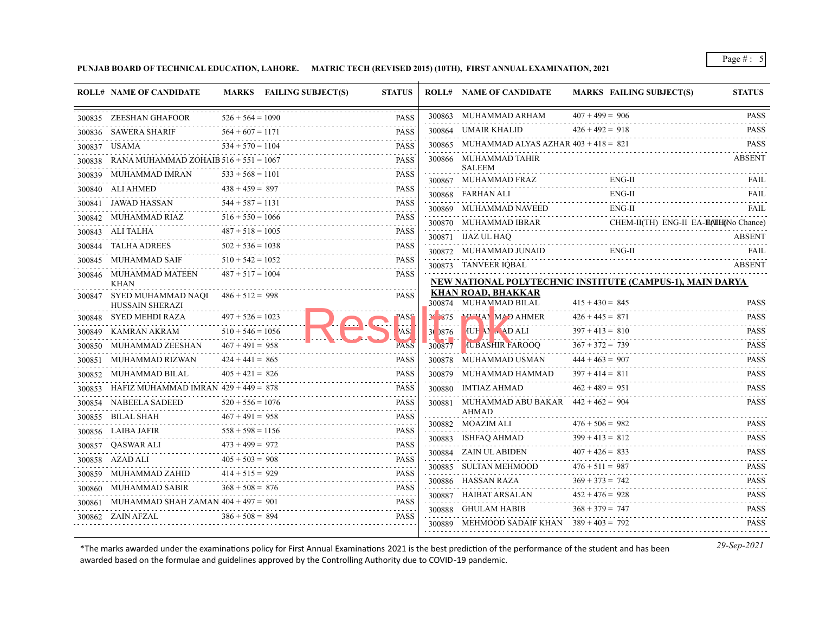**PUNJAB BOARD OF TECHNICAL EDUCATION, LAHORE. MATRIC TECH (REVISED 2015) (10TH), FIRST ANNUAL EXAMINATION, 2021**

|        |                                              |                         |                              |        | <b>ROLL# NAME OF CANDIDATE</b>                              | <b>MARKS FAILING SUBJECT(S)</b>                           | <b>STATUS</b>                                       |
|--------|----------------------------------------------|-------------------------|------------------------------|--------|-------------------------------------------------------------|-----------------------------------------------------------|-----------------------------------------------------|
|        | 300835 ZEESHAN GHAFOOR                       | $526 + 564 = 1090$      | <b>PASS</b>                  |        | 300863 MUHAMMAD ARHAM                                       | $407 + 499 = 906$                                         | <b>PASS</b><br>.                                    |
|        | 300836 SAWERA SHARIF                         | $564 + 607 = 1171$      | <b>PASS</b>                  |        | 300864 UMAIR KHALID                                         | $426 + 492 = 918$                                         | <b>PASS</b><br>.                                    |
|        | 300837 USAMA                                 | $534 + 570 = 1104$      | <b>PASS</b>                  |        | 300865 MUHAMMAD ALYAS AZHAR $403 + 418 = 821$               |                                                           | <b>PASS</b>                                         |
| 300838 | RANA MUHAMMAD ZOHAIB $516 + 551 = 1067$      |                         | <b>PASS</b>                  |        | 300866 MUHAMMAD TAHIR                                       |                                                           | <b>ABSENT</b>                                       |
|        | 300839 MUHAMMAD IMRAN                        | $533 + 568 = 1101$      | <b>PASS</b>                  |        | <b>SALEEM</b><br>300867 MUHAMMAD FRAZ                       | ENG-II                                                    | FAIL                                                |
|        | 300840 ALI AHMED                             | $438 + 459 = 897$       | <b>PASS</b>                  |        | 300868 FARHAN ALI                                           | $ENG-II$                                                  | FAIL                                                |
|        | 300841 JAWAD HASSAN                          | .<br>$544 + 587 = 1131$ | 2.22222<br><b>PASS</b>       |        | 300869 MUHAMMAD NAVEED                                      | .<br>ENG-II                                               | FAIL                                                |
|        | 300842 MUHAMMAD RIAZ                         | $516 + 550 = 1066$      | <b>PASS</b>                  |        | 300870 MUHAMMAD IBRAR                                       | CHEM-II(TH) ENG-II EA-HAIH(No Chance)                     |                                                     |
|        | 300843 ALI TALHA                             | $487 + 518 = 1005$      | .<br><b>PASS</b>             |        | 300871 IJAZ UL HAQ                                          |                                                           | <b>ABSENT</b>                                       |
|        | 300844 TALHA ADREES                          | $502 + 536 = 1038$      | <b>PASS</b>                  |        | 300872 MUHAMMAD JUNAID                                      | $ENG-II$                                                  | <b>FAIL</b>                                         |
|        | 300845 MUHAMMAD SAIF                         | $510 + 542 = 1052$      | <b>PASS</b><br>.             |        | 300873 TANVEER IQBAL                                        |                                                           | .<br><b>ABSENT</b>                                  |
|        | 300846 MUHAMMAD MATEEN                       | $487 + 517 = 1004$      | <b>PASS</b>                  |        |                                                             | NEW NATIONAL POLYTECHNIC INSTITUTE (CAMPUS-1), MAIN DARYA |                                                     |
|        | <b>KHAN</b><br>300847 SYED MUHAMMAD NAQI     | $486 + 512 = 998$       | <b>PASS</b>                  |        | <b>KHAN ROAD, BHAKKAR</b>                                   |                                                           |                                                     |
|        | <b>HUSSAIN SHERAZI</b>                       |                         |                              |        | 300874 MUHAMMAD BILAL                                       | $415 + 430 = 845$                                         | <b>PASS</b>                                         |
|        | 300848 SYED MEHDI RAZA                       | $497 + 526 = 1023$      | PASS                         |        | 30 975 MHAN MAD AHMER                                       | $426 + 445 = 871$                                         | <b>PASS</b>                                         |
|        | 300849 KAMRAN AKRAM                          | $510 + 546 = 1056$      | AS!                          | 30 876 | <b>IUH M M AD ALI</b>                                       | $397 + 413 = 810$                                         | <b>PASS</b><br>.                                    |
|        | 300850 MUHAMMAD ZEESHAN                      | $467 + 491 = 958$       | PASS                         | 300877 | <b>IUBASHIR FAROOQ</b>                                      | $367 + 372 = 739$                                         | <b>PASS</b><br>.                                    |
| 300851 | MUHAMMAD RIZWAN                              | $424 + 441 = 865$       | PASS                         |        | 300878 MUHAMMAD USMAN                                       | $444 + 463 = 907$                                         | <b>PASS</b>                                         |
| 300852 | MUHAMMAD BILAL                               | $405 + 421 = 826$       | <b>PASS</b>                  |        | 300879 MUHAMMAD HAMMAD                                      | $397 + 414 = 811$                                         | <b>PASS</b><br>.                                    |
| 300853 | HAFIZ MUHAMMAD IMRAN $429 + 449 = 878$       |                         | <b>PASS</b>                  |        | 300880 IMTIAZ AHMAD                                         | $462 + 489 = 951$                                         | <b>PASS</b>                                         |
|        | 300854 NABEELA SADEED                        | $520 + 556 = 1076$      | <b>PASS</b>                  |        | 300881 MUHAMMAD ABU BAKAR $442 + 462 = 904$<br><b>AHMAD</b> |                                                           | <b>PASS</b>                                         |
|        | 300855 BILAL SHAH                            | $467 + 491 = 958$       | <b>PASS</b>                  |        | 300882 MOAZIM ALI                                           | $476 + 506 = 982$                                         | <b>PASS</b>                                         |
|        | 300856 LAIBA JAFIR                           | $558 + 598 = 1156$<br>. | <b>PASS</b>                  |        | 300883 ISHFAQ AHMAD                                         | $399 + 413 = 812$                                         | .<br><b>PASS</b>                                    |
|        | 300857 QASWAR ALI                            | $473 + 499 = 972$       | <b>PASS</b><br>$- - - - - -$ |        | 300884 ZAIN UL ABIDEN                                       | $407 + 426 = 833$                                         | <u>.</u><br><b>PASS</b>                             |
|        | 300858 AZAD ALI                              | $405 + 503 = 908$       | <b>PASS</b>                  |        | 300885 SULTAN MEHMOOD                                       | $476 + 511 = 987$                                         | <b>PASS</b>                                         |
|        | 300859 MUHAMMAD ZAHID                        | $414 + 515 = 929$       | <b>PASS</b><br>.             |        | 300886 HASSAN RAZA                                          | $369 + 373 = 742$                                         | .<br><b>PASS</b>                                    |
|        | 300860 MUHAMMAD SABIR                        | $368 + 508 = 876$       | <b>PASS</b><br>.             |        | 300887 HAIBAT ARSALAN                                       | $452 + 476 = 928$                                         | 2.2.2.2.2.<br><b>PASS</b>                           |
|        | 300861 MUHAMMAD SHAH ZAMAN $404 + 497 = 901$ |                         | <b>PASS</b>                  |        | 300888 GHULAM HABIB                                         | $368 + 379 = 747$                                         | $\omega$ is a second set of $\omega$<br><b>PASS</b> |
|        | 300862 ZAIN AFZAL                            | $386 + 508 = 894$       | <b>PASS</b>                  |        | 300889 MEHMOOD SADAIF KHAN $389 + 403 = 792$                |                                                           | <b>PASS</b>                                         |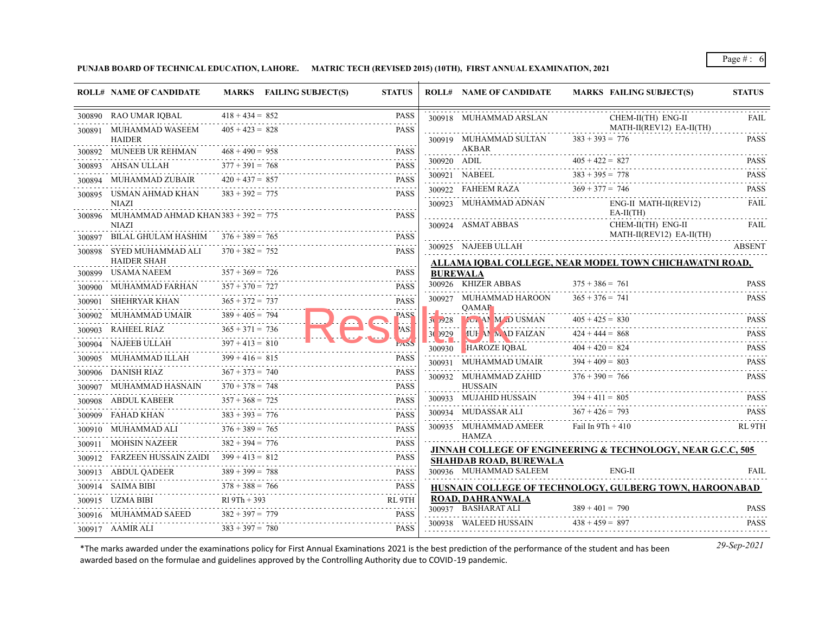**PUNJAB BOARD OF TECHNICAL EDUCATION, LAHORE. MATRIC TECH (REVISED 2015) (10TH), FIRST ANNUAL EXAMINATION, 2021**

|        | <b>ROLL# NAME OF CANDIDATE</b>                               |                        | MARKS FAILING SUBJECT(S)<br><b>STATUS</b> |                                   | <b>ROLL# NAME OF CANDIDATE</b>                          | <b>MARKS FAILING SUBJECT(S)</b>                                        | <b>STATUS</b>              |
|--------|--------------------------------------------------------------|------------------------|-------------------------------------------|-----------------------------------|---------------------------------------------------------|------------------------------------------------------------------------|----------------------------|
|        | 300890 RAO UMAR IQBAL                                        | $418 + 434 = 852$      | <b>PASS</b>                               |                                   | 300918 MUHAMMAD ARSLAN                                  | CHEM-II(TH) ENG-II<br>MATH-II(REV12) EA-II(TH)                         | FAIL                       |
|        | 300891 MUHAMMAD WASEEM<br><b>HAIDER</b>                      | $405 + 423 = 828$      | <b>PASS</b>                               |                                   | 300919 MUHAMMAD SULTAN                                  | $383 + 393 = 776$                                                      | <b>PASS</b>                |
|        | 300892 MUNEEB UR REHMAN                                      | $468 + 490 = 958$      | <b>PASS</b>                               |                                   | AKBAR                                                   |                                                                        | .                          |
| 300893 | AHSAN ULLAH                                                  | $377 + 391 = 768$      | <b>PASS</b>                               |                                   | 300920 ADIL                                             | $405 + 422 = 827$                                                      | <b>PASS</b>                |
|        | 300894 MUHAMMAD ZUBAIR                                       | $420 + 437 = 857$      | <b>PASS</b>                               |                                   | 300921 NABEEL                                           | $383 + 395 = 778$                                                      | <b>PASS</b><br>.           |
|        | 300895 USMAN AHMAD KHAN<br><b>NIAZI</b>                      | $383 + 392 = 775$      | <b>PASS</b>                               |                                   | 300922 FAHEEM RAZA<br>300923 MUHAMMAD ADNAN             | $369 + 377 = 746$<br>ENG-II MATH-II(REV12)                             | <b>PASS</b><br><b>FAIL</b> |
|        | 300896 MUHAMMAD AHMAD KHAN $383 + 392 = 775$<br><b>NIAZI</b> |                        | <b>PASS</b>                               |                                   | 300924 ASMAT ABBAS                                      | $EA-II(TH)$<br>CHEM-II(TH) ENG-II                                      | FAIL                       |
|        | 300897 BILAL GHULAM HASHIM $376 + 389 = 765$                 |                        | <b>PASS</b>                               |                                   |                                                         | MATH-II(REV12) EA-II(TH)                                               | .                          |
|        | 300898 SYED MUHAMMAD ALI                                     | $370 + 382 = 752$      | <b>PASS</b>                               |                                   | 300925 NAJEEB ULLAH                                     |                                                                        | <b>ABSENT</b>              |
|        | <b>HAIDER SHAH</b><br>300899 USAMA NAEEM                     | $357 + 369 = 726$      | <b>PASS</b>                               |                                   | <b>BUREWALA</b>                                         | ALLAMA IOBAL COLLEGE, NEAR MODEL TOWN CHICHAWATNI ROAD,                |                            |
|        | 300900 MUHAMMAD FARHAN                                       | $357 + 370 = 727$      | <b>PASS</b>                               |                                   | 300926 KHIZER ABBAS                                     | $375 + 386 = 761$                                                      | <b>PASS</b>                |
|        | 300901 SHEHRYAR KHAN                                         | $365 + 372 = 737$      | <b>PASS</b>                               |                                   | 300927 MUHAMMAD HAROON                                  | $365 + 376 = 741$                                                      | <b>PASS</b>                |
|        | 300902 MUHAMMAD UMAIR                                        | $389 + 405 = 794$      | <b>PASS</b>                               |                                   | <b>OAMAR</b>                                            |                                                                        |                            |
|        | 300903 RAHEEL RIAZ                                           | $365 + 371 = 736$      | AS!                                       | $3\sqrt{728}$<br>. . <b>.</b>     | <b>LONAN MED USMAN</b>                                  | $405 + 425 = 830$                                                      | <b>PASS</b>                |
|        | 300904 NAJEEB ULLAH                                          | .<br>$397 + 413 = 810$ |                                           | 30 929<br>$\sim$ , and the $\sim$ | <b>IUF AN AND FAIZAN</b>                                | $424 + 444 = 868$                                                      | <b>PASS</b>                |
|        | 300905 MUHAMMAD ILLAH                                        | $399 + 416 = 815$      | <b>PASS</b>                               | 300930                            | <b>HAROZE IQBAL</b>                                     | $404 + 420 = 824$                                                      | <b>PASS</b><br>.           |
|        | 300906 DANISH RIAZ                                           | $367 + 373 = 740$      | <b>PASS</b>                               |                                   | 300931 MUHAMMAD UMAIR                                   | $394 + 409 = 803$                                                      | <b>PASS</b>                |
| 300907 | MUHAMMAD HASNAIN                                             | $370 + 378 = 748$      | <b>PASS</b>                               |                                   | 300932 MUHAMMAD ZAHID<br><b>HUSSAIN</b>                 | $376 + 390 = 766$                                                      | <b>PASS</b>                |
|        | 300908 ABDUL KABEER                                          | $357 + 368 = 725$      | <b>PASS</b>                               |                                   | 300933 MUJAHID HUSSAIN                                  | $394 + 411 = 805$                                                      | <b>PASS</b>                |
| 300909 | FAHAD KHAN                                                   | $383 + 393 = 776$      | <b>PASS</b>                               |                                   | 300934 MUDASSAR ALI                                     | $367 + 426 = 793$                                                      | <b>PASS</b>                |
|        | 300910 MUHAMMAD ALI                                          | $376 + 389 = 765$      | <b>PASS</b>                               |                                   | 300935 MUHAMMAD AMEER                                   | Fail In $9Th + 410$                                                    | RL 9TH                     |
|        | 300911 MOHSIN NAZEER                                         | $382 + 394 = 776$      | <b>PASS</b>                               |                                   | HAMZA                                                   |                                                                        |                            |
|        | 300912 FARZEEN HUSSAIN ZAIDI 399 + 413 = 812                 |                        | <b>PASS</b>                               |                                   |                                                         | <b>JINNAH COLLEGE OF ENGINEERING &amp; TECHNOLOGY, NEAR G.C.C, 505</b> |                            |
|        | 300913 ABDUL QADEER                                          | $389 + 399 = 788$      | <b>PASS</b>                               |                                   | <b>SHAHDAB ROAD, BUREWALA</b><br>300936 MUHAMMAD SALEEM | ENG-II                                                                 | FAIL                       |
|        | 300914 SAIMA BIBI                                            | $378 + 388 = 766$      | <b>PASS</b>                               |                                   |                                                         | HUSNAIN COLLEGE OF TECHNOLOGY, GULBERG TOWN, HAROONABAD                |                            |
|        | 300915 UZMA BIBI                                             | $R19Th + 393$          | RL 9TH                                    |                                   | <b>ROAD, DAHRANWALA</b>                                 |                                                                        |                            |
|        | 300916 MUHAMMAD SAEED                                        | $382 + 397 = 779$      | <b>PASS</b>                               |                                   | 300937 BASHARAT ALI                                     | $389 + 401 = 790$                                                      | <b>PASS</b>                |
|        | 300917 AAMIR ALI                                             | $383 + 397 = 780$      | <b>PASS</b>                               |                                   | 300938 WALEED HUSSAIN                                   | $438 + 459 = 897$                                                      | <b>PASS</b>                |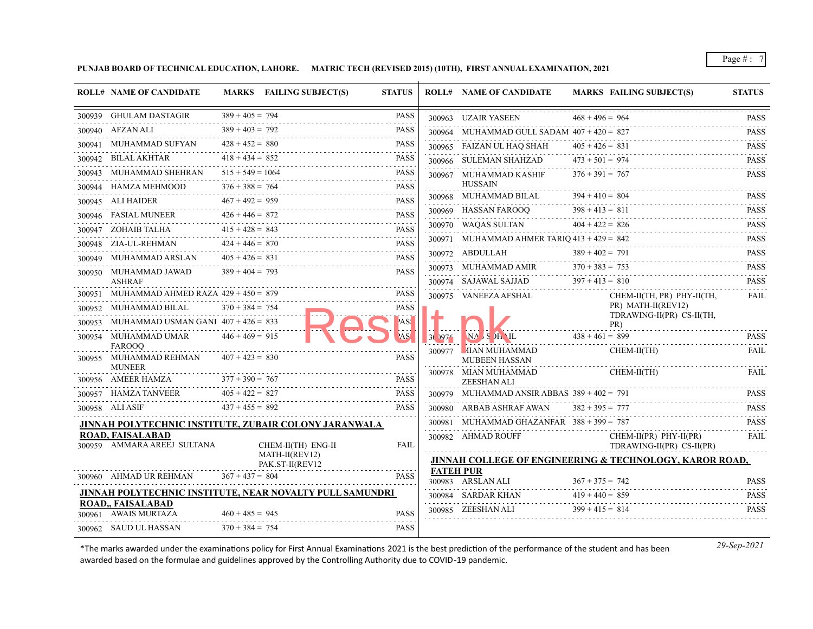**PUNJAB BOARD OF TECHNICAL EDUCATION, LAHORE. MATRIC TECH (REVISED 2015) (10TH), FIRST ANNUAL EXAMINATION, 2021**

|        | <b>ROLL# NAME OF CANDIDATE</b>                           |                    | MARKS FAILING SUBJECT(S)                                 | <b>STATUS</b>                                                                    |                  | <b>ROLL# NAME OF CANDIDATE</b>                | MARKS FAILING SUBJECT(S)                                           | <b>STATUS</b>                       |
|--------|----------------------------------------------------------|--------------------|----------------------------------------------------------|----------------------------------------------------------------------------------|------------------|-----------------------------------------------|--------------------------------------------------------------------|-------------------------------------|
|        | 300939 GHULAM DASTAGIR                                   | $389 + 405 = 794$  |                                                          | <b>PASS</b>                                                                      |                  | 300963 UZAIR YASEEN                           | $468 + 496 = 964$                                                  | <b>PASS</b>                         |
|        | 300940 AFZAN ALI                                         | $389 + 403 = 792$  |                                                          | <b>PASS</b>                                                                      |                  | 300964 MUHAMMAD GULL SADAM $407 + 420 = 827$  |                                                                    | <b>PASS</b>                         |
|        | 300941 MUHAMMAD SUFYAN                                   | $428 + 452 = 880$  |                                                          | <b>PASS</b>                                                                      |                  | 300965 FAIZAN UL HAQ SHAH                     | $405 + 426 = 831$                                                  | <b>PASS</b>                         |
|        | 300942 BILAL AKHTAR                                      | $418 + 434 = 852$  |                                                          | <b>PASS</b><br>.                                                                 |                  | 300966 SULEMAN SHAHZAD                        | $473 + 501 = 974$                                                  | <b>PASS</b>                         |
| 300943 | MUHAMMAD SHEHRAN                                         | $515 + 549 = 1064$ |                                                          | <b>PASS</b><br>.                                                                 |                  | 300967 MUHAMMAD KASHIF                        | $376 + 391 = 767$                                                  | 2.2.2.2.2.1<br><b>PASS</b>          |
|        | 300944 HAMZA MEHMOOD                                     | $376 + 388 = 764$  |                                                          | <b>PASS</b><br>$\omega_{\alpha}=\omega_{\alpha}=\omega_{\alpha}=\omega_{\alpha}$ |                  | <b>HUSSAIN</b>                                |                                                                    |                                     |
|        | 300945 ALI HAIDER                                        | $467 + 492 = 959$  |                                                          | <b>PASS</b><br>.                                                                 |                  | 300968 MUHAMMAD BILAL                         | $394 + 410 = 804$<br>$398 + 413 = 811$                             | <b>PASS</b>                         |
|        | 300946 FASIAL MUNEER                                     | $426 + 446 = 872$  |                                                          | <b>PASS</b><br>الماعات عاما                                                      |                  | 300969 HASSAN FAROOQ                          | $404 + 422 = 826$                                                  | <b>PASS</b><br>$\alpha$ is a single |
|        | 300947 ZOHAIB TALHA                                      | $415 + 428 = 843$  | .                                                        | <b>PASS</b>                                                                      |                  | 300970 WAQAS SULTAN                           |                                                                    | <b>PASS</b><br>.<br><b>PASS</b>     |
|        | 300948 ZIA-UL-REHMAN                                     | $424 + 446 = 870$  |                                                          | <b>PASS</b><br>.                                                                 |                  | 300971 MUHAMMAD AHMER TARIO $413 + 429 = 842$ | $389 + 402 = 791$                                                  | <u>.</u><br><b>PASS</b>             |
|        | 300949 MUHAMMAD ARSLAN                                   | $405 + 426 = 831$  |                                                          | <b>PASS</b><br>.                                                                 |                  | 300972 ABDULLAH<br>300973 MUHAMMAD AMIR       | $370 + 383 = 753$                                                  | 2.2.2.2.2.1<br><b>PASS</b>          |
|        | 300950 MUHAMMAD JAWAD<br><b>ASHRAF</b>                   | $389 + 404 = 793$  |                                                          | <b>PASS</b>                                                                      |                  | 300974 SAJAWAL SAJJAD                         | $397 + 413 = 810$                                                  | .<br><b>PASS</b>                    |
| 300951 | MUHAMMAD AHMED RAZA $429 + 450 = 879$                    |                    |                                                          | <b>PASS</b>                                                                      |                  | .<br>300975 VANEEZA AFSHAL                    | CHEM-II(TH, PR) PHY-II(TH,                                         | <b>FAIL</b>                         |
|        | 300952 MUHAMMAD BILAL                                    | $370 + 384 = 754$  |                                                          | PASS                                                                             |                  |                                               | PR) MATH-II(REV12)<br>TDRAWING-II(PR) CS-II(TH,                    |                                     |
| 300953 | MUHAMMAD USMAN GANI $407 + 426 = 833$                    |                    |                                                          | 'AS!                                                                             |                  |                                               | PR)                                                                |                                     |
|        | 300954 MUHAMMAD UMAR                                     | $446 + 469 = 915$  |                                                          | AS.                                                                              | 30.1976          | $N_A$ S $)$ H $\Lambda$ IL                    | $438 + 461 = 899$                                                  | <b>PASS</b>                         |
|        | <b>FAROOO</b><br>300955 MUHAMMAD REHMAN<br><b>MUNEER</b> | $407 + 423 = 830$  |                                                          | <b>PASS</b>                                                                      | 300977           | <b>AIAN MUHAMMAD</b><br>MUBEEN HASSAN         | CHEM-II(TH)                                                        | FAIL                                |
|        | 300956 AMEER HAMZA                                       | $377 + 390 = 767$  |                                                          | <b>PASS</b>                                                                      |                  | 300978 MIAN MUHAMMAD<br><b>ZEESHAN ALI</b>    | CHEM-II(TH)                                                        | <b>FAIL</b>                         |
|        | 300957 HAMZA TANVEER                                     | $405 + 422 = 827$  |                                                          | <b>PASS</b>                                                                      |                  | 300979 MUHAMMAD ANSIR ABBAS $389 + 402 = 791$ |                                                                    | <b>PASS</b>                         |
|        | 300958 ALI ASIF                                          | $437 + 455 = 892$  |                                                          | <b>PASS</b>                                                                      |                  | 300980 ARBAB ASHRAF AWAN                      | $382 + 395 = 777$                                                  | <b>PASS</b>                         |
|        |                                                          |                    | JINNAH POLYTECHNIC INSTITUTE, ZUBAIR COLONY JARANWALA    |                                                                                  |                  | 300981 MUHAMMAD GHAZANFAR $388 + 399 = 787$   |                                                                    | <b>PASS</b>                         |
|        | <b>ROAD, FAISALABAD</b><br>300959 AMMARA AREEJ SULTANA   |                    | CHEM-II(TH) ENG-II                                       | <b>FAIL</b>                                                                      |                  | 300982 AHMAD ROUFF                            | $CHEM-II(PR)$ $PHY-II(PR)$<br>TDRAWING-II(PR) CS-II(PR)            | <b>FAIL</b>                         |
|        |                                                          |                    | MATH-II(REV12)<br>PAK.ST-II(REV12                        |                                                                                  |                  |                                               | <b>JINNAH COLLEGE OF ENGINEERING &amp; TECHNOLOGY, KAROR ROAD,</b> |                                     |
|        | 300960 AHMAD UR REHMAN                                   | $367 + 437 = 804$  |                                                          | <b>PASS</b>                                                                      | <b>FATEH PUR</b> | 300983 ARSLAN ALI                             | $367 + 375 = 742$                                                  | <b>PASS</b>                         |
|        |                                                          |                    | JINNAH POLYTECHNIC INSTITUTE, NEAR NOVALTY PULL SAMUNDRI |                                                                                  |                  | 300984 SARDAR KHAN                            | $419 + 440 = 859$                                                  | <b>PASS</b>                         |
|        | <b>ROAD., FAISALABAD</b><br>300961 AWAIS MURTAZA         | $460 + 485 = 945$  |                                                          | <b>PASS</b>                                                                      |                  | 300985 ZEESHAN ALI                            | $399 + 415 = 814$                                                  | $\alpha$ is a single<br><b>PASS</b> |
|        | 300962 SAUD UL HASSAN                                    | $370 + 384 = 754$  |                                                          | <b>PASS</b>                                                                      |                  |                                               |                                                                    |                                     |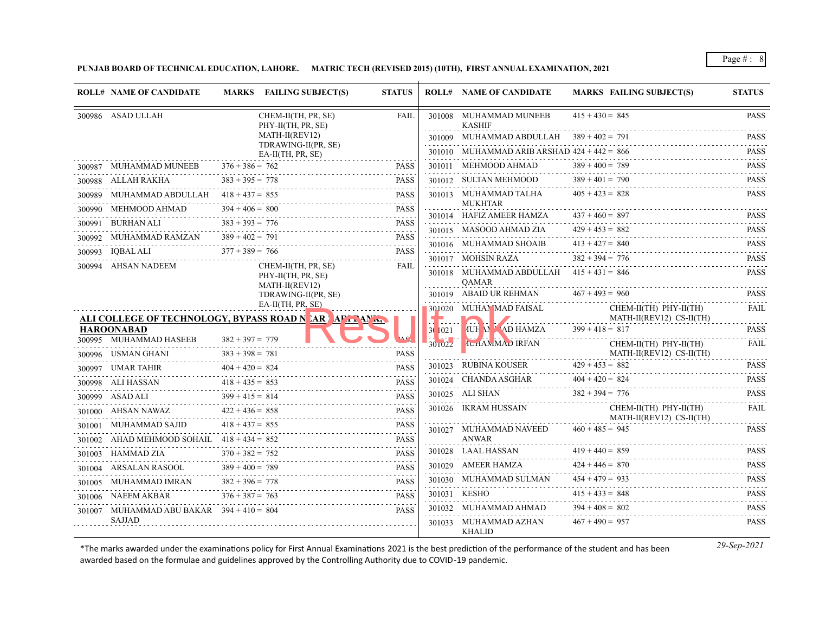**PUNJAB BOARD OF TECHNICAL EDUCATION, LAHORE. MATRIC TECH (REVISED 2015) (10TH), FIRST ANNUAL EXAMINATION, 2021**

|         | <b>ROLL# NAME OF CANDIDATE</b>               | MARKS FAILING SUBJECT(S)                                              | <b>STATUS</b>              |         | <b>ROLL# NAME OF CANDIDATE</b>                | <b>MARKS FAILING SUBJECT(S)</b>                        | <b>STATUS</b>                             |
|---------|----------------------------------------------|-----------------------------------------------------------------------|----------------------------|---------|-----------------------------------------------|--------------------------------------------------------|-------------------------------------------|
|         | 300986 ASAD ULLAH                            | CHEM-II(TH, PR, SE)<br>PHY-II(TH, PR, SE)                             | <b>FAIL</b>                |         | 301008 MUHAMMAD MUNEEB<br><b>KASHIF</b>       | $415 + 430 = 845$                                      | <b>PASS</b>                               |
|         |                                              | MATH-II(REV12)                                                        |                            |         | 301009 MUHAMMAD ABDULLAH $389 + 402 = 791$    |                                                        | <b>PASS</b><br>.                          |
|         |                                              | TDRAWING-II(PR, SE)<br>$EA-II(TH, PR, SE)$                            |                            |         | 301010 MUHAMMAD ARIB ARSHAD $424 + 442 = 866$ |                                                        | <b>PASS</b><br><u>.</u>                   |
|         | 300987 MUHAMMAD MUNEEB                       | $376 + 386 = 762$                                                     | <b>PASS</b>                |         | 301011 MEHMOOD AHMAD                          | $389 + 400 = 789$                                      | <b>PASS</b><br>a dia dia 4                |
|         | 300988 ALLAH RAKHA                           | $383 + 395 = 778$                                                     | <b>PASS</b>                |         | 301012 SULTAN MEHMOOD                         | $389 + 401 = 790$                                      | PASS                                      |
| 300989  | MUHAMMAD ABDULLAH                            | $418 + 437 = 855$                                                     | and a state<br><b>PASS</b> |         | 301013 MUHAMMAD TALHA                         | $405 + 423 = 828$                                      | <b>PASS</b>                               |
| 300990- | MEHMOOD AHMAD                                | $394 + 406 = 800$                                                     | <b>PASS</b>                |         | <b>MUKHTAR</b><br>301014 HAFIZ AMEER HAMZA    | $437 + 460 = 897$                                      | <b>PASS</b>                               |
| 300991  | BURHAN ALI                                   | $383 + 393 = 776$<br>.                                                | <b>PASS</b>                |         | 301015 MASOOD AHMAD ZIA                       | $429 + 453 = 882$                                      | .<br><b>PASS</b>                          |
| 300992  | MUHAMMAD RAMZAN                              | $389 + 402 = 791$                                                     | <b>PASS</b>                |         | 301016 MUHAMMAD SHOAIB                        | $413 + 427 = 840$                                      | <b>PASS</b>                               |
| 300993  | IQBAL ALI                                    | $377 + 389 = 766$                                                     | <b>PASS</b>                |         | 301017 MOHSIN RAZA                            | $382 + 394 = 776$                                      | <b>PASS</b>                               |
| 300994  | AHSAN NADEEM                                 | CHEM-II(TH, PR, SE)<br>PHY-II(TH, PR, SE)                             | <b>FAIL</b>                |         | 301018 MUHAMMAD ABDULLAH $415 + 431 = 846$    |                                                        | <b>PASS</b>                               |
|         |                                              | MATH-II(REV12)<br>TDRAWING-II(PR, SE)                                 |                            |         | <b>OAMAR</b><br>301019 ABAID UR REHMAN        | $467 + 493 = 960$                                      | <b>PASS</b>                               |
|         |                                              | EA-II(TH, PR, SE)<br>ALI COLLEGE OF TECHNOLOGY, BYPASS ROAD NARLAPTEM |                            |         | 301020 MUHAMMAD FAISAL                        | CHEM-II(TH) PHY-II(TH)<br>MATH-II(REV12) CS-II(TH)     | <b>FAIL</b>                               |
|         | <b>HAROONABAD</b>                            |                                                                       |                            | 3(1021) | AUH M MAD HAMZA                               | $399 + 418 = 817$                                      | <b>PASS</b>                               |
|         | 300995 MUHAMMAD HASEEB<br>300996 USMAN GHANI | $382 + 397 = 779$<br>$383 + 398 = 781$                                | <b>PASS</b>                | 30102z  | <b>IUHAMMAD IRFAN</b>                         | $CHEM-II(TH)$ $PHY-II(TH)$<br>MATH-II(REV12) CS-II(TH) | .<br><b>FAIL</b>                          |
|         | 300997 UMAR TAHIR                            | $404 + 420 = 824$                                                     | <b>PASS</b>                | 301023  | RUBINA KOUSER                                 | $429 + 453 = 882$                                      | <b>PASS</b>                               |
|         | 300998 ALI HASSAN                            | $418 + 435 = 853$                                                     | <b>PASS</b>                |         | 301024 CHANDA ASGHAR                          | $404 + 420 = 824$                                      | .<br><b>PASS</b>                          |
|         | 300999 ASAD ALI                              | $399 + 415 = 814$                                                     | <b>PASS</b>                |         | 301025 ALI SHAN                               | $382 + 394 = 776$                                      | <b>PASS</b>                               |
|         | 301000 AHSAN NAWAZ                           | $422 + 436 = 858$                                                     | and a state<br><b>PASS</b> |         | 301026 IKRAM HUSSAIN                          | CHEM-II(TH) PHY-II(TH)<br>MATH-II(REV12) CS-II(TH)     | .<br><b>FAIL</b>                          |
|         | 301001 MUHAMMAD SAJID                        | $418 + 437 = 855$                                                     | <b>PASS</b>                |         | 301027 MUHAMMAD NAVEED                        | $460 + 485 = 945$                                      | <b>PASS</b>                               |
| 301002  | AHAD MEHMOOD SOHAIL $418 + 434 = 852$        |                                                                       | <b>PASS</b>                |         | <b>ANWAR</b>                                  |                                                        |                                           |
|         | 301003 HAMMAD ZIA                            | $370 + 382 = 752$                                                     | <b>PASS</b>                |         | 301028 LAAL HASSAN                            | $419 + 440 = 859$                                      | <b>PASS</b><br>.                          |
|         | 301004 ARSALAN RASOOL                        | $389 + 400 = 789$                                                     | <b>PASS</b>                |         | 301029 AMEER HAMZA                            | $424 + 446 = 870$                                      | <b>PASS</b>                               |
| 301005  | MUHAMMAD IMRAN                               | $382 + 396 = 778$                                                     | <b>PASS</b>                |         | 301030 MUHAMMAD SULMAN                        | $454 + 479 = 933$                                      | <b>PASS</b><br>$\alpha$ is a second order |
|         | 301006 NAEEM AKBAR                           | $376 + 387 = 763$                                                     | <b>PASS</b>                |         | 301031 KESHO                                  | $415 + 433 = 848$                                      | <b>PASS</b><br>.                          |
|         | 301007 MUHAMMAD ABU BAKAR $394 + 410 = 804$  |                                                                       | <b>PASS</b>                |         | 301032 MUHAMMAD AHMAD                         | $394 + 408 = 802$                                      | <b>PASS</b>                               |
|         | <b>SAJJAD</b>                                |                                                                       |                            |         | 301033 MUHAMMAD AZHAN<br><b>KHALID</b>        | $467 + 490 = 957$                                      | <b>PASS</b>                               |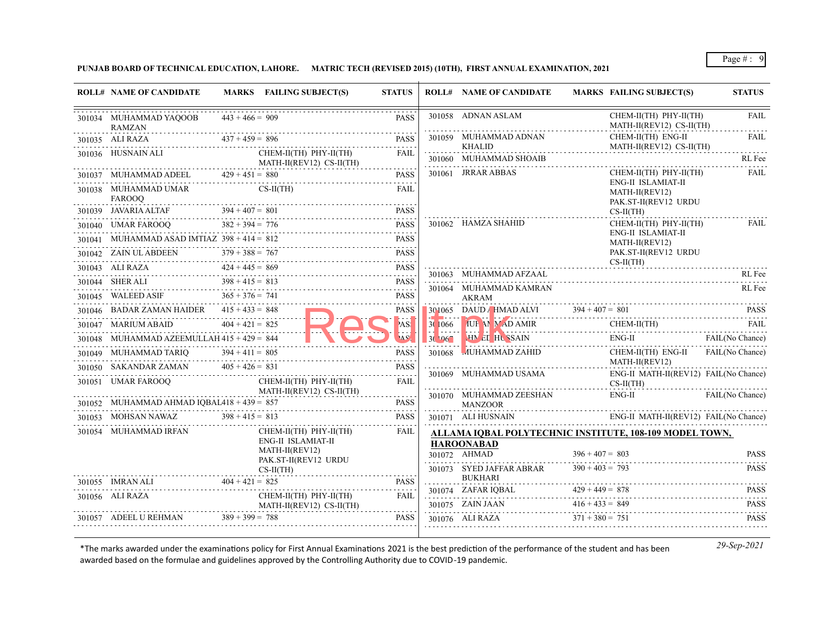## **PUNJAB BOARD OF TECHNICAL EDUCATION, LAHORE. MATRIC TECH (REVISED 2015) (10TH), FIRST ANNUAL EXAMINATION, 2021**

| <b>ROLL# NAME OF CANDIDATE</b>                        |                   | MARKS FAILING SUBJECT(S)                           | <b>STATUS</b> |                     | <b>ROLL# NAME OF CANDIDATE</b>                          |                                        | <b>MARKS FAILING SUBJECT(S)</b>                              | <b>STATUS</b>              |
|-------------------------------------------------------|-------------------|----------------------------------------------------|---------------|---------------------|---------------------------------------------------------|----------------------------------------|--------------------------------------------------------------|----------------------------|
| 301034 MUHAMMAD YAQOOB<br>RAMZAN                      | $443 + 466 = 909$ |                                                    | <b>PASS</b>   |                     | 301058 ADNAN ASLAM                                      |                                        | CHEM-II(TH) PHY-II(TH)<br>MATH-II(REV12) CS-II(TH)           | <b>FAIL</b>                |
| $11035$ ALI RAZA $437 + 459 = 896$<br>301035 ALI RAZA |                   |                                                    | <b>PASS</b>   |                     | 301059 MUHAMMAD ADNAN<br><b>KHALID</b>                  |                                        | CHEM-II(TH) ENG-II<br>MATH-II(REV12) CS-II(TH)               | <b>FAIL</b>                |
| 301036 HUSNAIN ALI                                    |                   | CHEM-II(TH) PHY-II(TH)<br>MATH-II(REV12) CS-II(TH) | FAIL          |                     | 301060 MUHAMMAD SHOAIB<br>.                             |                                        |                                                              | RL Fee                     |
|                                                       |                   | 301037 MUHAMMAD ADEEL $429 + 451 = 880$            | <b>PASS</b>   |                     | 301061 JRRAR ABBAS                                      |                                        | CHEM-II(TH) PHY-II(TH)                                       | FAIL                       |
| 301038 MUHAMMAD UMAR<br>FAROOQ                        |                   | $CS-II(TH)$                                        | <b>FAIL</b>   |                     |                                                         |                                        | ENG-II ISLAMIAT-II<br>MATH-II(REV12)<br>PAK.ST-II(REV12 URDU |                            |
|                                                       |                   | 301039 JAVARIA ALTAF $394 + 407 = 801$             | <b>PASS</b>   |                     |                                                         |                                        | $CS-II(TH)$                                                  |                            |
| $382 + 394 = 776$<br>301040 UMAR FAROOQ               |                   |                                                    | PASS          |                     | 301062 HAMZA SHAHID                                     |                                        | CHEM-II(TH) PHY-II(TH)<br>ENG-II ISLAMIAT-II                 | FAIL                       |
| 301041 MUHAMMAD ASAD IMTIAZ $398 + 414 = 812$         |                   |                                                    | <b>PASS</b>   |                     |                                                         |                                        | MATH-II(REV12)                                               |                            |
|                                                       |                   | 301042 ZAIN ULABDEEN $379 + 388 = 767$             | <b>PASS</b>   |                     |                                                         |                                        | PAK.ST-II(REV12 URDU<br>$CS-II(TH)$                          |                            |
| 301043 ALI RAZA                                       | $424 + 445 = 869$ |                                                    | <b>PASS</b>   |                     | 301063 MUHAMMAD AFZAAL                                  |                                        |                                                              | RL Fee                     |
|                                                       | $398 + 415 = 813$ | 301044 SHER ALI $398 + 415 = 813$ PASS             |               |                     | 301064 MUHAMMAD KAMRAN                                  |                                        |                                                              | RL Fee                     |
| 301045 WALEED ASIF $365 + 376 = 741$                  |                   |                                                    | <b>PASS</b>   |                     | AKRAM                                                   |                                        |                                                              |                            |
| 301046 BADAR ZAMAN HAIDER $415 + 433 = 848$           |                   |                                                    | <b>PASS</b>   |                     | 301065 DAUD / HMAD ALVI $394 + 407 = 801$ PASS          |                                        |                                                              |                            |
| 301047 MARIUM ABAID $404 + 421 = 825$                 |                   |                                                    | 'AS!          | 30 1066<br><u>.</u> | THE MEANING CHEM-II(TH)<br>HIVEI HUSSAIN ENG-II FAIL    |                                        |                                                              | FAIL                       |
| 301048 MUHAMMAD AZEEMULLAH $415 + 429 = 844$          |                   |                                                    | A SA          | $30\,067$           |                                                         |                                        | ENG-II FAIL(No Chance)                                       |                            |
| 301049 MUHAMMAD TARIQ $394 + 411 = 805$               |                   |                                                    | <b>PASS</b>   | 301068              | MUHAMMAD ZAHID                                          |                                        | CHEM-II(TH) ENG-II FAIL(No Chance)<br>MATH-II(REV12)         |                            |
| 301050 SAKANDAR ZAMAN $405 + 426 = 831$               |                   |                                                    | <b>PASS</b>   |                     | 301069 MUHAMMAD USAMA                                   |                                        | ENG-II MATH-II(REV12) FAIL(No Chance)                        |                            |
| 301051 UMAR FAROOO                                    |                   | CHEM-II(TH) PHY-II(TH)<br>MATH-II(REV12) CS-II(TH) | <b>FAIL</b>   |                     |                                                         |                                        | $CS-II(TH)$                                                  |                            |
| 301052 MUHAMMAD AHMAD IQBAL418 + 439 = 857            |                   |                                                    | <b>PASS</b>   |                     | 301070 MUHAMMAD ZEESHAN<br>MANZOOR                      |                                        | $ENG-II$                                                     | <b>FAIL</b> (No Chance)    |
| $Z$ $398 + 415 = 813$<br>301053 MOHSAN NAWAZ          |                   |                                                    | <b>PASS</b>   |                     | 301071 ALI HUSNAIN                                      |                                        | ENG-II MATH-II(REV12) FAIL(No Chance)                        |                            |
| 301054 MUHAMMAD IRFAN                                 |                   | $CHEM-II(TH)$ $PHY-II(TH)$                         | FAIL          |                     | ALLAMA IQBAL POLYTECHNIC INSTITUTE, 108-109 MODEL TOWN, |                                        |                                                              |                            |
|                                                       |                   | ENG-II ISLAMIAT-II<br>MATH-II(REV12)               |               |                     | <b>HAROONABAD</b>                                       |                                        |                                                              |                            |
|                                                       |                   | PAK.ST-II(REV12 URDU                               |               |                     | 301072 AHMAD<br>301073 SYED JAFFAR ABRAR                | $396 + 407 = 803$<br>$390 + 403 = 793$ |                                                              | <b>PASS</b><br><b>PASS</b> |
| 301055 IMRAN ALI                                      | $404 + 421 = 825$ | $CS-II(TH)$                                        | <b>PASS</b>   |                     | <b>BUKHARI</b>                                          |                                        |                                                              |                            |
| LI $404 + 421 =$<br>301056 ALI RAZA                   |                   | CHEM-II(TH) PHY-II(TH)                             | <b>FAIL</b>   |                     | 301074 ZAFAR IQBAL $429 + 449 = 878$                    |                                        |                                                              | <b>PASS</b><br>.           |
|                                                       |                   | MATH-II(REV12) CS-II(TH)                           |               |                     | 301075 ZAIN JAAN $416 + 433 = 849$                      |                                        |                                                              | <b>PASS</b>                |
| 301057 ADEEL U REHMAN $389 + 399 = 788$               |                   |                                                    | <b>PASS</b>   |                     | 301076 ALI RAZA                                         | $371 + 380 = 751$                      |                                                              | <b>PASS</b>                |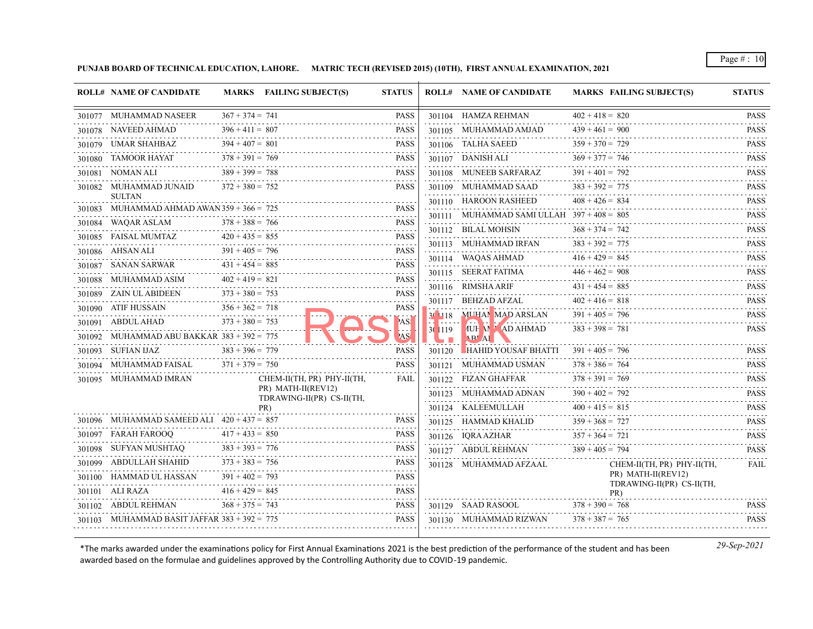**PUNJAB BOARD OF TECHNICAL EDUCATION, LAHORE. MATRIC TECH (REVISED 2015) (10TH), FIRST ANNUAL EXAMINATION, 2021**

|        | <b>ROLL# NAME OF CANDIDATE</b>                       |                   | MARKS FAILING SUBJECT(S)                        | <b>STATUS</b>                |         | <b>ROLL# NAME OF CANDIDATE</b>               | <b>MARKS FAILING SUBJECT(S)</b>                 | <b>STATUS</b>                                                                                                                                       |
|--------|------------------------------------------------------|-------------------|-------------------------------------------------|------------------------------|---------|----------------------------------------------|-------------------------------------------------|-----------------------------------------------------------------------------------------------------------------------------------------------------|
|        | 301077 MUHAMMAD NASEER                               | $367 + 374 = 741$ |                                                 | PASS                         |         | 301104 HAMZA REHMAN                          | $402 + 418 = 820$                               | <b>PASS</b>                                                                                                                                         |
|        | 301078 NAVEED AHMAD                                  | $396 + 411 = 807$ |                                                 | <b>PASS</b>                  |         | 301105 MUHAMMAD AMJAD                        | $439 + 461 = 900$                               | .<br><b>PASS</b>                                                                                                                                    |
|        | 301079 UMAR SHAHBAZ                                  | $394 + 407 = 801$ |                                                 | <b>PASS</b>                  |         | 301106 TALHA SAEED                           | $359 + 370 = 729$                               | .<br><b>PASS</b>                                                                                                                                    |
|        | 301080 TAMOOR HAYAT                                  | $378 + 391 = 769$ |                                                 | <b>PASS</b>                  |         | 301107 DANISH ALI                            | $369 + 377 = 746$                               | <b>PASS</b><br>$\mathcal{L}^{\mathcal{A}}\left( \mathcal{A}^{\mathcal{A}}\right) =\mathcal{L}^{\mathcal{A}}\left( \mathcal{A}^{\mathcal{A}}\right)$ |
|        | 301081 NOMAN ALI                                     | $389 + 399 = 788$ |                                                 | <b>PASS</b>                  |         | 301108 MUNEEB SARFARAZ                       | $391 + 401 = 792$                               | <b>PASS</b><br>.                                                                                                                                    |
|        | 301082 MUHAMMAD JUNAID                               | $372 + 380 = 752$ |                                                 | <b>PASS</b>                  |         | 301109 MUHAMMAD SAAD                         | $383 + 392 = 775$                               | <b>PASS</b><br>.                                                                                                                                    |
|        | <b>SULTAN</b><br>MUHAMMAD AHMAD AWAN 359 + 366 = 725 |                   |                                                 | <b>PASS</b>                  |         | 301110 HAROON RASHEED                        | $408 + 426 = 834$                               | <b>PASS</b><br>ولالالالالا                                                                                                                          |
| 301083 | 301084 WAQAR ASLAM                                   | $378 + 388 = 766$ |                                                 | <b>PASS</b>                  |         | 301111 MUHAMMAD SAMI ULLAH $397 + 408 = 805$ |                                                 | <b>PASS</b><br>.                                                                                                                                    |
|        | 301085 FAISAL MUMTAZ                                 | $420 + 435 = 855$ |                                                 | <b>PASS</b>                  |         | 301112 BILAL MOHSIN                          | $368 + 374 = 742$                               | <b>PASS</b>                                                                                                                                         |
|        |                                                      | $391 + 405 = 796$ |                                                 | <b>PASS</b>                  |         | 301113 MUHAMMAD IRFAN                        | $383 + 392 = 775$                               | <b>PASS</b>                                                                                                                                         |
|        | 301086 AHSAN ALI<br>SANAN SARWAR                     | $431 + 454 = 885$ |                                                 | <b>PASS</b>                  |         | 301114 WAQAS AHMAD                           | $416 + 429 = 845$                               | <b>PASS</b>                                                                                                                                         |
| 301087 | MUHAMMAD ASIM                                        | $402 + 419 = 821$ |                                                 | <b>PASS</b>                  |         | 301115 SEERAT FATIMA                         | $446 + 462 = 908$                               | <b>PASS</b><br>.                                                                                                                                    |
| 301088 | 301089 ZAIN UL ABIDEEN                               | $373 + 380 = 753$ |                                                 | and a state<br><b>PASS</b>   |         | 301116 RIMSHA ARIF                           | $431 + 454 = 885$                               | <b>PASS</b>                                                                                                                                         |
|        | 301090 ATIF HUSSAIN                                  | $356 + 362 = 718$ |                                                 | PASS                         |         | 301117 BEHZAD AFZAL                          | $402 + 416 = 818$                               | <b>PASS</b><br>.                                                                                                                                    |
|        | 301091 ABDUL AHAD                                    | $373 + 380 = 753$ |                                                 | 'AS!                         |         | 30 118 MUHAN MAD ARSLAN                      | $391 + 405 = 796$                               | <b>PASS</b>                                                                                                                                         |
|        | 301092 MUHAMMAD ABU BAKKAR 383 + 392 = 775           |                   |                                                 | AS <sup>/</sup>              | 30 1119 | <b>MUH ALAD AHMAD</b><br>AP Al               | $383 + 398 = 781$                               | <b>PASS</b>                                                                                                                                         |
|        | 301093 SUFIAN IJAZ                                   | $383 + 396 = 779$ |                                                 | <b>PASS</b>                  | 301120  | <b>HAHID YOUSAF BHATTI</b>                   | $391 + 405 = 796$                               | <b>PASS</b>                                                                                                                                         |
|        | 301094 MUHAMMAD FAISAL                               | $371 + 379 = 750$ |                                                 | <b>PASS</b>                  |         | 301121 MUHAMMAD USMAN                        | $378 + 386 = 764$                               | <b>PASS</b>                                                                                                                                         |
|        | 301095 MUHAMMAD IMRAN                                |                   | CHEM-II(TH, PR) PHY-II(TH,                      | <b>FAIL</b>                  |         | 301122 FIZAN GHAFFAR                         | $378 + 391 = 769$                               | <b>PASS</b>                                                                                                                                         |
|        |                                                      |                   | PR) MATH-II(REV12)<br>TDRAWING-II(PR) CS-II(TH, |                              |         | 301123 MUHAMMAD ADNAN                        | $390 + 402 = 792$                               | $\mathbb{Z}$ is a single set<br><b>PASS</b>                                                                                                         |
|        |                                                      |                   | PR)                                             |                              |         | 301124 KALEEMULLAH                           | $400 + 415 = 815$                               | .<br><b>PASS</b>                                                                                                                                    |
|        | 301096 MUHAMMAD SAMEED ALI $420 + 437 = 857$         |                   |                                                 | <b>PASS</b>                  |         | 301125 HAMMAD KHALID                         | $359 + 368 = 727$                               | <b>PASS</b>                                                                                                                                         |
|        | 301097 FARAH FAROOQ                                  | $417 + 433 = 850$ |                                                 | <b>PASS</b>                  |         | 301126 IQRA AZHAR                            | $357 + 364 = 721$                               | .<br><b>PASS</b>                                                                                                                                    |
|        | 301098 - SUFYAN MUSHTAO -                            | $383 + 393 = 776$ |                                                 | <b>PASS</b>                  |         | 301127 ABDUL REHMAN                          | $389 + 405 = 794$                               | .<br><b>PASS</b>                                                                                                                                    |
|        | 301099    ABDULLAH SHAHID<br>.                       | $373 + 383 = 756$ |                                                 | <b>PASS</b>                  |         | 301128 MUHAMMAD AFZAAL                       | CHEM-II(TH, PR) PHY-II(TH,                      | FAIL                                                                                                                                                |
|        | 301100 HAMMAD UL HASSAN                              | $391 + 402 = 793$ |                                                 | <b>PASS</b>                  |         |                                              | PR) MATH-II(REV12)<br>TDRAWING-II(PR) CS-II(TH, |                                                                                                                                                     |
|        | 301101 ALI RAZA                                      | $416 + 429 = 845$ |                                                 | <b>PASS</b><br>$- - - - - -$ |         |                                              | PR)                                             |                                                                                                                                                     |
|        | 301102 ABDUL REHMAN                                  | $368 + 375 = 743$ |                                                 | <b>PASS</b>                  |         | 301129 SAAD RASOOL                           | $378 + 390 = 768$                               | <b>PASS</b>                                                                                                                                         |
|        | 301103 MUHAMMAD BASIT JAFFAR $383 + 392 = 775$       |                   |                                                 | <b>PASS</b>                  |         | 301130 MUHAMMAD RIZWAN                       | $378 + 387 = 765$                               | <b>PASS</b>                                                                                                                                         |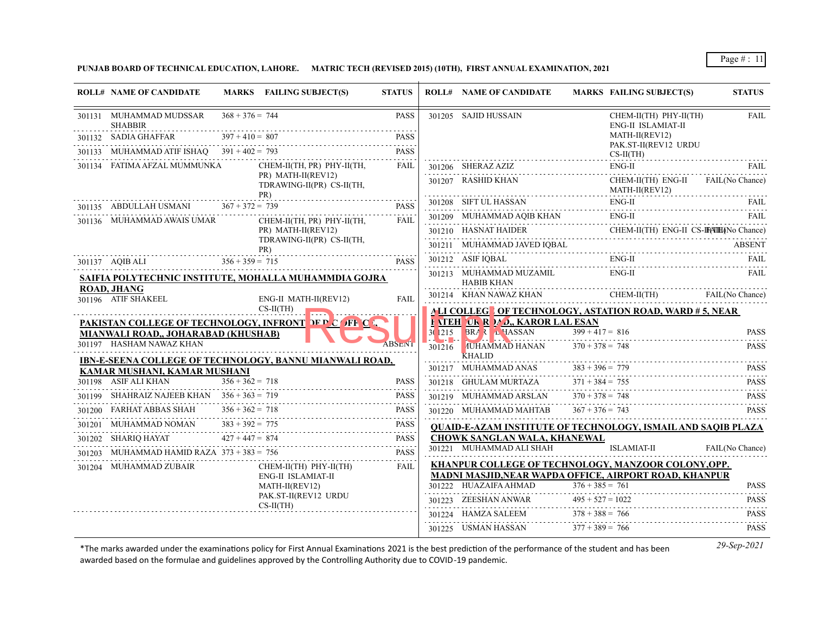## **PUNJAB BOARD OF TECHNICAL EDUCATION, LAHORE. MATRIC TECH (REVISED 2015) (10TH), FIRST ANNUAL EXAMINATION, 2021**

|        | <b>ROLL# NAME OF CANDIDATE</b>                                  |                       | MARKS FAILING SUBJECT(S)                                | <b>STATUS</b> |                        | <b>ROLL# NAME OF CANDIDATE</b>                                                  |                    | <b>MARKS FAILING SUBJECT(S)</b>              | <b>STATUS</b>                               |
|--------|-----------------------------------------------------------------|-----------------------|---------------------------------------------------------|---------------|------------------------|---------------------------------------------------------------------------------|--------------------|----------------------------------------------|---------------------------------------------|
|        | 301131 MUHAMMAD MUDSSAR<br><b>SHABBIR</b>                       | $368 + 376 = 744$     |                                                         | <b>PASS</b>   |                        | 301205 SAJID HUSSAIN                                                            |                    | CHEM-II(TH) PHY-II(TH)<br>ENG-II ISLAMIAT-II | <b>FAIL</b>                                 |
|        | 301132 SADIA GHAFFAR                                            | $397 + 410 = 807$     |                                                         | <b>PASS</b>   |                        |                                                                                 |                    | MATH-II(REV12)                               |                                             |
| 301133 | MUHAMMAD ATIF ISHAQ $391 + 402 = 793$                           |                       |                                                         | <b>PASS</b>   |                        |                                                                                 |                    | PAK.ST-II(REV12 URDU<br>$CS-II(TH)$          |                                             |
|        | 301134 FATIMA AFZAL MUMMUNKA                                    |                       | CHEM-II(TH, PR) PHY-II(TH,                              | FAIL          |                        | 301206 SHERAZ AZIZ                                                              |                    | $ENG-II$                                     | <b>FAIL</b>                                 |
|        |                                                                 |                       | PR) MATH-II(REV12)<br>TDRAWING-II(PR) CS-II(TH,<br>PR)  |               |                        | 301207 RASHID KHAN                                                              |                    | CHEM-II(TH) ENG-II<br>MATH-II(REV12)         | FAIL(No Chance)                             |
|        | 301135 ABDULLAH USMANI                                          | $367 + 372 = 739$     |                                                         | <b>PASS</b>   |                        | 301208 SIFT UL HASSAN                                                           |                    | $ENG-II$                                     | <b>FAIL</b>                                 |
|        | 301136 MUHAMMAD AWAIS UMAR                                      |                       | CHEM-II(TH, PR) PHY-II(TH,                              | FAIL          |                        | 301209 MUHAMMAD AQIB KHAN                                                       |                    | $ENG-II$                                     | FAIL                                        |
|        |                                                                 |                       | PR) MATH-II(REV12)                                      |               |                        | 301210 HASNAT HAIDER                                                            |                    | CHEM-II(TH) ENG-II CS-IF(ATH) No Chance)     |                                             |
|        |                                                                 |                       | TDRAWING-II(PR) CS-II(TH,<br>PR)                        |               |                        | 301211 MUHAMMAD JAVED IQBAL                                                     |                    |                                              | <b>ABSENT</b>                               |
|        | 301137 AQIB ALI                                                 | $356 + 359 = 715$     |                                                         | <b>PASS</b>   |                        | 301212 ASIF IQBAL                                                               |                    | $ENG-II$                                     | FAIL                                        |
|        |                                                                 |                       | SAIFIA POLYTECHNIC INSTITUTE, MOHALLA MUHAMMDIA GOJRA   |               |                        | 301213 MUHAMMAD MUZAMIL<br><b>HABIB KHAN</b>                                    |                    | $ENG-II$                                     | FAIL                                        |
|        | <b>ROAD, JHANG</b><br>301196 ATIF SHAKEEL                       | ENG-II MATH-II(REV12) | <b>FAIL</b>                                             |               | 301214 KHAN NAWAZ KHAN |                                                                                 | CHEM-II(TH)        | FAIL(No Chance)                              |                                             |
|        | $CS-II(TH)$                                                     |                       |                                                         |               |                        | <b>ALI COLLEGTOF TECHNOLOGY, ASTATION ROAD, WARD #5, NEAR</b>                   |                    |                                              |                                             |
|        |                                                                 |                       | PAKISTAN COLLEGE OF TECHNOLOGY, INFRONT NEE COFF C      |               |                        | <b>F ATEH OK R MO., KAROR LAL ESAN</b>                                          |                    |                                              |                                             |
|        | MIANWALI ROAD., JOHARABAD (KHUSHAB)<br>301197 HASHAM NAWAZ KHAN |                       |                                                         | <b>ABSENT</b> | 3(1215)                | <b>BRA &amp; L HASSAN</b>                                                       | $399 + 417 = 816$  |                                              | <b>PASS</b>                                 |
|        |                                                                 |                       |                                                         |               | 301216                 | <b>IUHAMMAD HANAN</b><br><b>KHALID</b>                                          | $370 + 378 = 748$  |                                              | <b>PASS</b>                                 |
|        | KAMAR MUSHANI, KAMAR MUSHANI                                    |                       | IBN-E-SEENA COLLEGE OF TECHNOLOGY, BANNU MIANWALI ROAD, |               |                        | 301217 MUHAMMAD ANAS                                                            | $383 + 396 = 779$  |                                              | <b>PASS</b>                                 |
|        | 301198 ASIF ALI KHAN                                            | $356 + 362 = 718$     |                                                         | <b>PASS</b>   |                        | 301218 GHULAM MURTAZA                                                           | $371 + 384 = 755$  |                                              | <b>PASS</b>                                 |
| 301199 | SHAHRAIZ NAJEEB KHAN $356 + 363 = 719$                          |                       |                                                         | <b>PASS</b>   |                        | 301219 MUHAMMAD ARSLAN                                                          | $370 + 378 = 748$  |                                              | <b>PASS</b>                                 |
| 301200 | FARHAT ABBAS SHAH                                               | $356 + 362 = 718$     |                                                         | <b>PASS</b>   |                        | 301220 MUHAMMAD MAHTAB                                                          | $367 + 376 = 743$  |                                              | $\sim$ 100 $\sim$ 100 $\sim$<br><b>PASS</b> |
| 301201 | MUHAMMAD NOMAN                                                  | $383 + 392 = 775$     |                                                         | <b>PASS</b>   |                        | <b>QUAID-E-AZAM INSTITUTE OF TECHNOLOGY, ISMAIL AND SAQIB PLAZA</b>             |                    |                                              |                                             |
| 301202 | SHARIQ HAYAT                                                    | $427 + 447 = 874$     |                                                         | <b>PASS</b>   |                        | <b>CHOWK SANGLAN WALA, KHANEWAL</b>                                             |                    |                                              |                                             |
| 301203 | MUHAMMAD HAMID RAZA $373 + 383 = 756$                           |                       |                                                         | <b>PASS</b>   |                        | 301221 MUHAMMAD ALI SHAH                                                        |                    | <b>ISLAMIAT-II</b>                           | FAIL(No Chance)                             |
|        | 301204 MUHAMMAD ZUBAIR                                          |                       | CHEM-II(TH) PHY-II(TH)                                  | FAIL          |                        | KHANPUR COLLEGE OF TECHNOLOGY, MANZOOR COLONY, OPP.                             |                    |                                              |                                             |
|        |                                                                 |                       | ENG-II ISLAMIAT-II<br>MATH-II(REV12)                    |               |                        | MADNI MASJID, NEAR WAPDA OFFICE, AIRPORT ROAD, KHANPUR<br>301222 HUAZAIFA AHMAD | $376 + 385 = 761$  |                                              | <b>PASS</b>                                 |
|        |                                                                 |                       | PAK.ST-II(REV12 URDU                                    |               |                        | 301223 ZEESHAN ANWAR                                                            | $495 + 527 = 1022$ |                                              | <b>PASS</b>                                 |
|        |                                                                 |                       | $CS-II(TH)$                                             |               |                        | 301224 HAMZA SALEEM                                                             | $378 + 388 = 766$  |                                              | .<br><b>PASS</b>                            |
|        |                                                                 |                       |                                                         |               |                        | 301225 USMAN HASSAN                                                             | $377 + 389 = 766$  |                                              | .<br><b>PASS</b>                            |
|        |                                                                 |                       |                                                         |               |                        |                                                                                 |                    |                                              |                                             |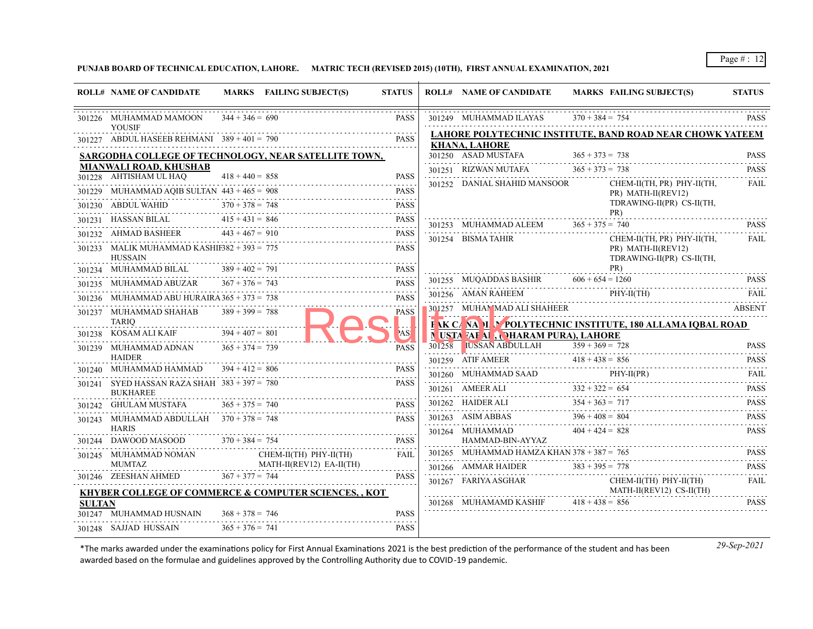**PUNJAB BOARD OF TECHNICAL EDUCATION, LAHORE. MATRIC TECH (REVISED 2015) (10TH), FIRST ANNUAL EXAMINATION, 2021**

|               |                                                                 |                   | MARKS FAILING SUBJECT(S)                                        | <b>STATUS</b>                 | <b>ROLL# NAME OF CANDIDATE</b>                   | <b>MARKS FAILING SUBJECT(S)</b>                                  | <b>STATUS</b>              |
|---------------|-----------------------------------------------------------------|-------------------|-----------------------------------------------------------------|-------------------------------|--------------------------------------------------|------------------------------------------------------------------|----------------------------|
|               | 301226 MUHAMMAD MAMOON<br><b>YOUSIF</b>                         | $344 + 346 = 690$ |                                                                 | <b>PASS</b>                   | 301249 MUHAMMAD ILAYAS                           | $370 + 384 = 754$                                                | <b>PASS</b>                |
|               | 301227 ABDUL HASEEB REHMANI $389 + 401 = 790$                   |                   |                                                                 | <b>PASS</b>                   |                                                  | <b>LAHORE POLYTECHNIC INSTITUTE, BAND ROAD NEAR CHOWK YATEEM</b> |                            |
|               |                                                                 |                   | SARGODHA COLLEGE OF TECHNOLOGY, NEAR SATELLITE TOWN,            |                               | <b>KHANA, LAHORE</b><br>301250 ASAD MUSTAFA      | $365 + 373 = 738$                                                | <b>PASS</b>                |
|               | <b>MIANWALI ROAD, KHUSHAB</b>                                   |                   |                                                                 |                               | 301251 RIZWAN MUTAFA                             | $365 + 373 = 738$                                                | <b>PASS</b>                |
|               | 301228 AHTISHAM UL HAQ                                          | $418 + 440 = 858$ |                                                                 | <b>PASS</b>                   | 301252 DANIAL SHAHID MANSOOR                     | $CHEM-II(TH, PR)$ $PHY-II(TH,$                                   | FAIL                       |
|               | 301229 MUHAMMAD AQIB SULTAN $443 + 465 = 908$                   |                   |                                                                 | <b>PASS</b><br>and a state of |                                                  | PR) MATH-II(REV12)                                               |                            |
|               | 301230 ABDUL WAHID                                              | $370 + 378 = 748$ |                                                                 | <b>PASS</b>                   |                                                  | TDRAWING-II(PR) CS-II(TH,                                        |                            |
|               | 301231 HASSAN BILAL                                             | $415 + 431 = 846$ |                                                                 | <b>PASS</b>                   | 301253 MUHAMMAD ALEEM                            | PR)<br>$365 + 375 = 740$                                         | <b>PASS</b>                |
|               | 301232 AHMAD BASHEER                                            | $443 + 467 = 910$ |                                                                 | <b>PASS</b>                   | 301254 BISMA TAHIR                               | CHEM-II(TH, PR) PHY-II(TH,                                       | <b>FAIL</b>                |
|               | 301233 MALIK MUHAMMAD KASHIF382 + 393 = 775<br>HUSSAIN          |                   |                                                                 | <b>PASS</b>                   |                                                  | PR) MATH-II(REV12)<br>TDRAWING-II(PR) CS-II(TH,                  |                            |
|               | 301234 MUHAMMAD BILAL                                           | $389 + 402 = 791$ |                                                                 | <b>PASS</b><br>2.2.2.2.2.1    |                                                  | PR)<br>$606 + 654 = 1260$                                        | <b>PASS</b>                |
|               | 301235 MUHAMMAD ABUZAR                                          | $367 + 376 = 743$ |                                                                 | <b>PASS</b>                   | 301255 MUQADDAS BASHIR                           |                                                                  |                            |
|               | 301236 MUHAMMAD ABU HURAIRA $365 + 373 = 738$                   |                   |                                                                 | <b>PASS</b>                   | 301256 AMAN RAHEEM                               | $PHY-II(TH)$                                                     | FAIL                       |
|               | 301237 MUHAMMAD SHAHAB<br>TARIO                                 | $389 + 399 = 788$ |                                                                 | <b>PASS</b>                   | 301257 MUHAMMAD ALI SHAHEER                      | F AK CA NA LU POLYTECHNIC INSTITUTE, 180 ALLAMA IQBAL ROAD       | <b>ABSENT</b>              |
|               | 301238 KOSAM ALI KAIF                                           | $394 + 407 = 801$ |                                                                 |                               | N USTA <sup>T</sup> AF AI , NHARAM PURA), LAHORE |                                                                  |                            |
|               | 301239 MUHAMMAD ADNAN                                           | $365 + 374 = 739$ |                                                                 | <b>PASS</b>                   | 301258 IUSSAN ABDULLAH                           | $359 + 369 = 728$                                                | <b>PASS</b>                |
|               | <b>HAIDER</b><br>301240 MUHAMMAD HAMMAD $394 + 412 = 806$       |                   |                                                                 | <b>PASS</b>                   | 301259 ATIF AMEER $418 + 438 = 856$              |                                                                  | <b>PASS</b>                |
|               |                                                                 |                   |                                                                 | <b>PASS</b>                   | 301260 MUHAMMAD SAAD                             | PHY-II(PR)                                                       | FAIL<br>.                  |
|               | 301241 SYED HASSAN RAZA SHAH 383 + 397 = 780<br><b>BUKHAREE</b> |                   |                                                                 |                               | 301261 AMEER ALI                                 | $332 + 322 = 654$                                                | <b>PASS</b>                |
|               | 301242 GHULAM MUSTAFA                                           | $365 + 375 = 740$ |                                                                 | <b>PASS</b>                   | 301262 HAIDER ALI                                | $354 + 363 = 717$                                                | <b>PASS</b>                |
|               | 301243 MUHAMMAD ABDULLAH $370 + 378 = 748$                      |                   |                                                                 | <b>PASS</b>                   | 301263 ASIM ABBAS                                | $396 + 408 = 804$                                                | <b>PASS</b><br>2.2.2.2.2.1 |
|               | <b>HARIS</b><br>301244 DAWOOD MASOOD                            | $370 + 384 = 754$ |                                                                 | <b>PASS</b>                   | 301264 MUHAMMAD<br>HAMMAD-BIN-AYYAZ              | $404 + 424 = 828$                                                | <b>PASS</b><br>.           |
|               | 301245 MUHAMMAD NOMAN                                           |                   | CHEM-II(TH) PHY-II(TH)                                          | FAIL                          | 301265 MUHAMMAD HAMZA KHAN $378 + 387 = 765$     |                                                                  | <b>PASS</b>                |
|               | MUMTAZ                                                          |                   | MATH-II(REV12) EA-II(TH)                                        |                               | 301266 AMMAR HAIDER                              | $383 + 395 = 778$                                                | <b>PASS</b>                |
|               | 301246 ZEESHAN AHMED $367 + 377 = 744$                          |                   | <b>KHYBER COLLEGE OF COMMERCE &amp; COMPUTER SCIENCES,, KOT</b> | <b>PASS</b>                   | 301267 FARIYA ASGHAR                             | CHEM-II(TH) PHY-II(TH)<br>MATH-II(REV12) CS-II(TH)               | .<br><b>FAIL</b>           |
| <b>SULTAN</b> |                                                                 |                   |                                                                 |                               | $\frac{301268}{18 + 438} = \frac{301268}{856}$   |                                                                  | <b>PASS</b>                |
|               | 301247 MUHAMMAD HUSNAIN                                         | $368 + 378 = 746$ |                                                                 | <b>PASS</b>                   |                                                  |                                                                  |                            |
|               | 301248 SAJJAD HUSSAIN                                           | $365 + 376 = 741$ |                                                                 | <b>PASS</b>                   |                                                  |                                                                  |                            |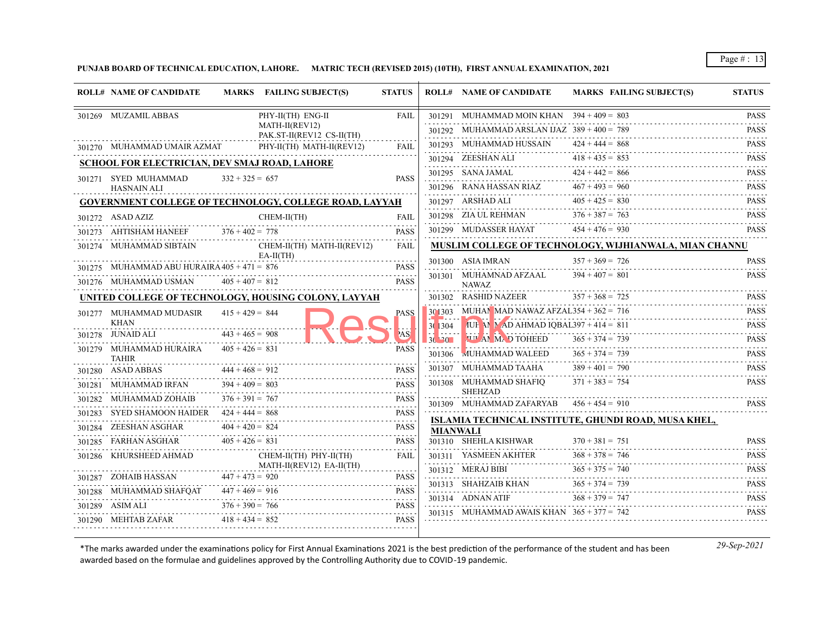**PUNJAB BOARD OF TECHNICAL EDUCATION, LAHORE. MATRIC TECH (REVISED 2015) (10TH), FIRST ANNUAL EXAMINATION, 2021**

|        | <b>ROLL# NAME OF CANDIDATE</b>                |                   | MARKS FAILING SUBJECT(S)                                      | <b>STATUS</b>    |                 | <b>ROLL# NAME OF CANDIDATE</b>                | <b>MARKS FAILING SUBJECT(S)</b>                               | <b>STATUS</b>                   |
|--------|-----------------------------------------------|-------------------|---------------------------------------------------------------|------------------|-----------------|-----------------------------------------------|---------------------------------------------------------------|---------------------------------|
|        | 301269 MUZAMIL ABBAS                          |                   | PHY-II(TH) ENG-II                                             | <b>FAIL</b>      |                 | 301291 MUHAMMAD MOIN KHAN $394 + 409 = 803$   |                                                               | <b>PASS</b>                     |
|        |                                               |                   | MATH-II(REV12)<br>PAK.ST-II(REV12 CS-II(TH)                   |                  |                 | 301292 MUHAMMAD ARSLAN IJAZ $389 + 400 = 789$ |                                                               | <b>PASS</b>                     |
|        | 301270 MUHAMMAD UMAIR AZMAT                   |                   | PHY-II(TH) MATH-II(REV12)                                     | FAIL             |                 | 301293 MUHAMMAD HUSSAIN                       | $424 + 444 = 868$                                             | <b>PASS</b>                     |
|        | SCHOOL FOR ELECTRICIAN, DEV SMAJ ROAD, LAHORE |                   |                                                               |                  |                 | 301294 ZEESHAN ALI                            | $418 + 435 = 853$                                             | <b>PASS</b><br>.                |
|        | 301271 SYED MUHAMMAD                          | $332 + 325 = 657$ |                                                               | <b>PASS</b>      |                 | 301295 SANA JAMAL                             | $424 + 442 = 866$                                             | <b>PASS</b>                     |
|        | <b>HASNAIN ALI</b>                            |                   |                                                               |                  |                 | 301296 RANA HASSAN RIAZ                       | $467 + 493 = 960$                                             | <b>PASS</b>                     |
|        |                                               |                   | <b>GOVERNMENT COLLEGE OF TECHNOLOGY, COLLEGE ROAD, LAYYAH</b> |                  |                 | 301297 ARSHAD ALI                             | $405 + 425 = 830$                                             | <b>PASS</b>                     |
|        | 301272 ASAD AZIZ                              |                   | CHEM-II(TH)                                                   | <b>FAIL</b>      |                 | 301298 ZIA UL REHMAN                          | $376 + 387 = 763$                                             | <b>PASS</b><br>$-1 - 1 - 1 - 1$ |
|        | AHTISHAM HANEEF                               | $376 + 402 = 778$ |                                                               | <b>PASS</b>      |                 | 301299 MUDASSER HAYAT                         | $454 + 476 = 930$                                             | <b>PASS</b>                     |
|        | 301274 MUHAMMAD SIBTAIN                       |                   | CHEM-II(TH) MATH-II(REV12)                                    | <b>FAIL</b>      |                 |                                               | <b>MUSLIM COLLEGE OF TECHNOLOGY, WIJHIANWALA, MIAN CHANNU</b> |                                 |
|        | 301275 MUHAMMAD ABU HURAIRA $405 + 471 = 876$ |                   | $EA-II(TH)$                                                   | <b>PASS</b>      |                 | 301300 ASIA IMRAN                             | $357 + 369 = 726$                                             | <b>PASS</b><br>.                |
|        | 301276 MUHAMMAD USMAN                         | $405 + 407 = 812$ |                                                               | <b>PASS</b>      |                 | 301301 MUHAMNAD AFZAAL<br>NAWAZ               | $394 + 407 = 801$                                             | <b>PASS</b>                     |
|        |                                               |                   | UNITED COLLEGE OF TECHNOLOGY, HOUSING COLONY, LAYYAH          |                  |                 | 301302 RASHID NAZEER                          | $357 + 368 = 725$                                             | <b>PASS</b>                     |
|        | 301277 MUHAMMAD MUDASIR                       | $415 + 429 = 844$ |                                                               | <b>PASS</b>      |                 | $301303$ MUHAN MAD NAWAZ AFZAL354 + 362 = 716 |                                                               | <b>PASS</b>                     |
|        | KHAN                                          |                   |                                                               |                  | 301304          | AUL M AD AHMAD IQBAL397 + 414 = 811           |                                                               | .<br><b>PASS</b>                |
|        | 301278 JUNAID ALI                             | $443 + 465 = 908$ |                                                               | AS!              | 30.30           | <b>TIME OF TOHEED</b>                         | $365 + 374 = 739$                                             | .<br><b>PASS</b>                |
|        | 301279 MUHAMMAD HURAIRA<br><b>TAHIR</b>       | $405 + 426 = 831$ |                                                               | <b>PASS</b>      | 301306          | <b>MUHAMMAD WALEED</b>                        | $365 + 374 = 739$                                             | <b>PASS</b>                     |
|        | 301280 ASAD ABBAS                             | $444 + 468 = 912$ |                                                               | <b>PASS</b>      |                 | 301307 MUHAMMAD TAAHA                         | $389 + 401 = 790$                                             | <b>PASS</b><br>.                |
| 301281 | MUHAMMAD IRFAN                                | $394 + 409 = 803$ |                                                               | <b>PASS</b>      |                 | 301308 MUHAMMAD SHAFIQ                        | $371 + 383 = 754$                                             | <b>PASS</b>                     |
| 301282 | MUHAMMAD ZOHAIB                               | $376 + 391 = 767$ |                                                               | <b>PASS</b>      |                 | <b>SHEHZAD</b><br>301309 MUHAMMAD ZAFARYAB    | $456 + 454 = 910$                                             | <b>PASS</b>                     |
| 301283 | <b>SYED SHAMOON HAIDER</b>                    | $424 + 444 = 868$ |                                                               | <b>PASS</b><br>. |                 |                                               | ISLAMIA TECHNICAL INSTITUTE, GHUNDI ROAD, MUSA KHEL,          |                                 |
|        | 301284 ZEESHAN ASGHAR                         | $404 + 420 = 824$ |                                                               | <b>PASS</b>      | <b>MIANWALI</b> |                                               |                                                               |                                 |
|        | 301285 FARHAN ASGHAR                          | $405 + 426 = 831$ |                                                               | <b>PASS</b>      |                 | 301310 SHEHLA KISHWAR                         | $370 + 381 = 751$                                             | <b>PASS</b>                     |
|        | 301286 KHURSHEED AHMAD                        |                   | CHEM-II(TH) PHY-II(TH)                                        | <b>FAIL</b>      |                 | 301311 YASMEEN AKHTER                         | $368 + 378 = 746$                                             | <b>PASS</b><br>.                |
|        | 301287 ZOHAIB HASSAN                          | $447 + 473 = 920$ | MATH-II(REV12) EA-II(TH)                                      | <b>PASS</b>      |                 | 301312 MERAJ BIBI                             | $365 + 375 = 740$                                             | <b>PASS</b>                     |
|        | 301288 MUHAMMAD SHAFQAT                       | $447 + 469 = 916$ |                                                               | <b>PASS</b>      |                 | 301313 SHAHZAIB KHAN                          | $365 + 374 = 739$                                             | <b>PASS</b>                     |
|        |                                               | $376 + 390 = 766$ |                                                               | <b>PASS</b>      |                 | 301314 ADNAN ATIF                             | $368 + 379 = 747$                                             | <b>PASS</b><br>.                |
|        | 301289 ASIM ALI<br>301290 MEHTAB ZAFAR        | $418 + 434 = 852$ |                                                               | <b>PASS</b>      |                 | 301315 MUHAMMAD AWAIS KHAN $365 + 377 = 742$  |                                                               | <b>PASS</b>                     |
|        |                                               |                   |                                                               |                  |                 |                                               |                                                               |                                 |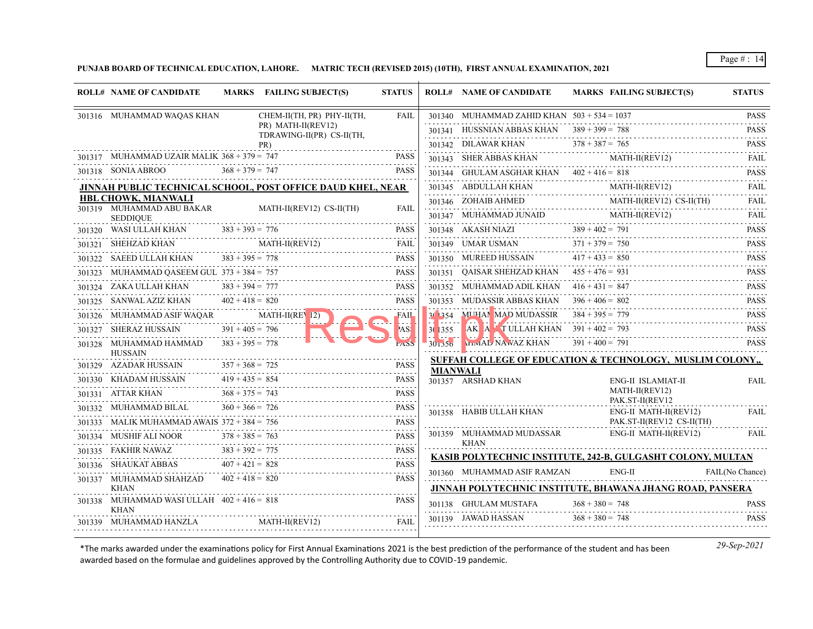**PUNJAB BOARD OF TECHNICAL EDUCATION, LAHORE. MATRIC TECH (REVISED 2015) (10TH), FIRST ANNUAL EXAMINATION, 2021**

| <b>ROLL# NAME OF CANDIDATE</b>                            |                   | MARKS FAILING SUBJECT(S)                                    | <b>STATUS</b>    |                 | <b>ROLL# NAME OF CANDIDATE</b>                                                                                                                                                                                                                                                                                                                                                                                                   | <b>MARKS FAILING SUBJECT(S)</b>                                                                            | <b>STATUS</b>            |
|-----------------------------------------------------------|-------------------|-------------------------------------------------------------|------------------|-----------------|----------------------------------------------------------------------------------------------------------------------------------------------------------------------------------------------------------------------------------------------------------------------------------------------------------------------------------------------------------------------------------------------------------------------------------|------------------------------------------------------------------------------------------------------------|--------------------------|
| 301316 MUHAMMAD WAQAS KHAN                                |                   | CHEM-II(TH, PR) PHY-II(TH,                                  | <b>FAIL</b>      |                 | 301340 MUHAMMAD ZAHID KHAN $503 + 534 = 1037$                                                                                                                                                                                                                                                                                                                                                                                    |                                                                                                            | <b>PASS</b>              |
|                                                           |                   | PR) MATH-II(REV12)<br>TDRAWING-II(PR) CS-II(TH,             |                  |                 | 301341 HUSSNIAN ABBAS KHAN $389 + 399 = 788$                                                                                                                                                                                                                                                                                                                                                                                     |                                                                                                            | <b>PASS</b>              |
|                                                           |                   | PR)                                                         |                  |                 |                                                                                                                                                                                                                                                                                                                                                                                                                                  | 301342 DILAWAR KHAN $378 + 387 = 765$ PASS                                                                 |                          |
| 301317 MUHAMMAD UZAIR MALIK $368 + 379 = 747$             |                   |                                                             | <b>PASS</b>      |                 | 301343 SHER ABBAS KHAN                                                                                                                                                                                                                                                                                                                                                                                                           | 301343 SHER ABBAS KHAN MATH-II(REV12) FAIL                                                                 |                          |
| 301318 SONIA ABROO                                        | $368 + 379 = 747$ |                                                             | <b>PASS</b>      |                 | 301344 GHULAM ASGHAR KHAN $402 + 416 = 818$                                                                                                                                                                                                                                                                                                                                                                                      |                                                                                                            | <b>PASS</b>              |
|                                                           |                   | JINNAH PUBLIC TECHNICAL SCHOOL, POST OFFICE DAUD KHEL, NEAR |                  |                 |                                                                                                                                                                                                                                                                                                                                                                                                                                  | $\begin{tabular}{ll} 301345 & ABDULLAH KHAN & MATH-II (REV12) \\ \hline \end{tabular}$                     | FAIL                     |
| <b>HBL CHOWK, MIANWALI</b><br>301319 MUHAMMAD ABU BAKAR   |                   | MATH-II(REV12) CS-II(TH)                                    | FAII.            |                 |                                                                                                                                                                                                                                                                                                                                                                                                                                  | $301346 \quad \text{ZOHAIB AHMED} \qquad \qquad \text{MATH-II(REV12) CS-II(TH)} \qquad \qquad \text{FAIL}$ |                          |
| <b>SEDDIOUE</b>                                           |                   |                                                             |                  |                 | $\begin{tabular}{ll} \multicolumn{2}{l}{{\textbf{301347}}}\quad {\textbf{MUHAMMAD JUNAID}}& \multicolumn{2}{l}{\textbf{MATH-II}}(REV12)\\ \multicolumn{2}{l}{\textbf{301347}}& \multicolumn{2}{l}{\textbf{MUHAMMAD JUNAID}}& \multicolumn{2}{l}{\textbf{MATH-II}}(REV12)\\ \multicolumn{2}{l}{\textbf{301347}}& \multicolumn{2}{l}{\textbf{MATH-II}}(REV12)\\ \multicolumn{2}{l}{\textbf{301347}}& \multicolumn{2}{l}{\textbf{M$ | $MATH-II (REV12)$                                                                                          | FAIL<br>$- - - - - -$    |
| 301320 WASI ULLAH KHAN $383 + 393 = 776$                  |                   |                                                             | <b>PASS</b>      |                 | 301348 AKASH NIAZI 389 + 402 = 791                                                                                                                                                                                                                                                                                                                                                                                               |                                                                                                            | <b>PASS</b><br>1.1111111 |
| 301321 SHEHZAD KHAN MATH-II(REV12)                        |                   |                                                             | FAIL             |                 |                                                                                                                                                                                                                                                                                                                                                                                                                                  | $371 + 379 = 750$<br>301349 UMAR USMAN $371 + 379 = 750$                                                   | <b>PASS</b><br>.         |
| SAEED ULLAH KHAN                                          | $383 + 395 = 778$ | $XHAN$ $383 + 395 = 778$ PASS                               | <b>PASS</b>      |                 | 301350 MUREED HUSSAIN                                                                                                                                                                                                                                                                                                                                                                                                            | $417 + 433 = 850$                                                                                          | <b>PASS</b>              |
| 301323 MUHAMMAD QASEEM GUL 373 + 384 = 757                |                   |                                                             | PASS             |                 | 301351 QAISAR SHEHZAD KHAN $455 + 476 = 931$                                                                                                                                                                                                                                                                                                                                                                                     |                                                                                                            | <b>PASS</b><br>.         |
| 301324 ZAKA ULLAH KHAN                                    | $383 + 394 = 777$ | $ZAKA ULLAH KHAN$ $383 + 394 = 777$                         | <b>PASS</b>      |                 | 301352 MUHAMMAD ADIL KHAN $416 + 431 = 847$                                                                                                                                                                                                                                                                                                                                                                                      |                                                                                                            | <b>PASS</b><br>.         |
| 301325 SANWAL AZIZ KHAN                                   | $402 + 418 = 820$ |                                                             | <b>PASS</b>      |                 | 301353 MUDASSIR ABBAS KHAN                                                                                                                                                                                                                                                                                                                                                                                                       | $396 + 406 = 802$                                                                                          | <b>PASS</b>              |
| 301326 MUHAMMAD ASIF WAQAR MATH-II(REV 12)                |                   |                                                             | <b>FAIL</b>      |                 | 30 354 MUHAN MAD MUDASSIR $384 + 395 = 779$                                                                                                                                                                                                                                                                                                                                                                                      |                                                                                                            | <b>PASS</b>              |
| 301327 SHERAZ HUSSAIN                                     | $391 + 405 = 796$ |                                                             | AS!              | 30 355          | <b>BAKI A T ULLAH KHAN</b> $391 + 402 = 793$                                                                                                                                                                                                                                                                                                                                                                                     | TULLAH KHAN 391 + 402 = 793 PASS                                                                           |                          |
| 301328 MUHAMMAD HAMMAD<br><b>HUSSAIN</b>                  | $383 + 395 = 778$ |                                                             |                  |                 | <b>WINAL NAWAZ KHAN</b>                                                                                                                                                                                                                                                                                                                                                                                                          | $391 + 400 = 791$                                                                                          | <b>PASS</b>              |
| 301329 AZADAR HUSSAIN                                     | $357 + 368 = 725$ |                                                             | <b>PASS</b>      | <b>MIANWALI</b> |                                                                                                                                                                                                                                                                                                                                                                                                                                  | SUFFAH COLLEGE OF EDUCATION & TECHNOLOGY, MUSLIM COLONY.                                                   |                          |
| 301330     KHADAM HUSSAIN                                 | $419 + 435 = 854$ | $419 + 435 = 854$                                           | <b>PASS</b>      |                 | 301357 ARSHAD KHAN                                                                                                                                                                                                                                                                                                                                                                                                               | ENG-II ISLAMIAT-II                                                                                         | FAIL                     |
| 301331 ATTAR KHAN                                         | $368 + 375 = 743$ |                                                             | .<br><b>PASS</b> |                 |                                                                                                                                                                                                                                                                                                                                                                                                                                  | MATH-II(REV12)<br>PAK.ST-II(REV12                                                                          |                          |
| 301332 MUHAMMAD BILAL                                     | $360 + 366 = 726$ |                                                             | <b>PASS</b><br>. |                 | 301358 HABIB ULLAH KHAN                                                                                                                                                                                                                                                                                                                                                                                                          | ENG-II MATH-II(REV12)                                                                                      | <b>FAIL</b>              |
| 301333 MALIK MUHAMMAD AWAIS $372 + 384 = 756$             |                   |                                                             | <b>PASS</b>      |                 |                                                                                                                                                                                                                                                                                                                                                                                                                                  | PAK.ST-II(REV12 CS-II(TH)                                                                                  |                          |
| 301334 MUSHIF ALI NOOR                                    | $378 + 385 = 763$ | NOOR $378 + 385 = 763$ PASS                                 | <b>PASS</b>      |                 | 301359 MUHAMMAD MUDASSAR<br><b>KHAN</b>                                                                                                                                                                                                                                                                                                                                                                                          | ENG-II MATH-II(REV12)                                                                                      | <b>FAIL</b>              |
| 301335 FAKHIR NAWAZ                                       | $383 + 392 = 775$ |                                                             | <b>PASS</b><br>. |                 |                                                                                                                                                                                                                                                                                                                                                                                                                                  | KASIB POLYTECHNIC INSTITUTE, 242-B, GULGASHT COLONY, MULTAN                                                |                          |
| 301336 SHAUKAT ABBAS                                      |                   | $407 + 421 = 828$                                           | <b>PASS</b>      |                 | 301360 MUHAMMAD ASIF RAMZAN                                                                                                                                                                                                                                                                                                                                                                                                      | $ENG-II$                                                                                                   | FAIL(No Chance)          |
| 301337 MUHAMMAD SHAHZAD<br>KHAN                           | $402 + 418 = 820$ |                                                             | <b>PASS</b>      |                 |                                                                                                                                                                                                                                                                                                                                                                                                                                  | JINNAH POLYTECHNIC INSTITUTE, BHAWANA JHANG ROAD, PANSERA                                                  |                          |
| 301338 MUHAMMAD WASI ULLAH 402 + 416 = 818<br><b>KHAN</b> |                   |                                                             | <b>PASS</b>      |                 | 301138 GHULAM MUSTAFA                                                                                                                                                                                                                                                                                                                                                                                                            | $368 + 380 = 748$                                                                                          | <b>PASS</b>              |
| 301339 MUHAMMAD HANZLA MATH-II(REV12)                     |                   |                                                             | <b>FAIL</b>      |                 | 301139 JAWAD HASSAN                                                                                                                                                                                                                                                                                                                                                                                                              | $368 + 380 = 748$                                                                                          | <b>PASS</b>              |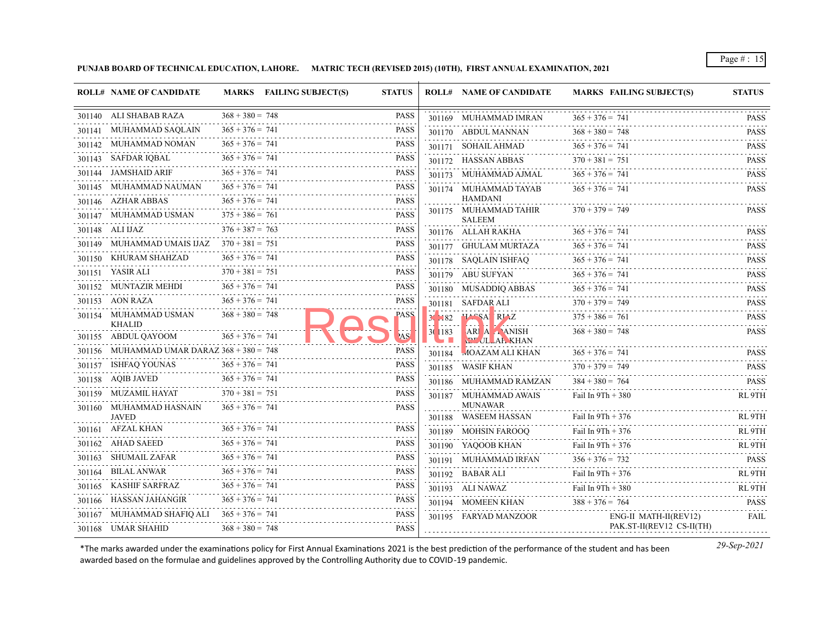**PUNJAB BOARD OF TECHNICAL EDUCATION, LAHORE. MATRIC TECH (REVISED 2015) (10TH), FIRST ANNUAL EXAMINATION, 2021**

|        | <b>ROLL# NAME OF CANDIDATE</b>               |                   | MARKS FAILING SUBJECT(S) | <b>STATUS</b>    |                      | <b>ROLL# NAME OF CANDIDATE</b>            | <b>MARKS FAILING SUBJECT(S)</b> | <b>STATUS</b>                                            |
|--------|----------------------------------------------|-------------------|--------------------------|------------------|----------------------|-------------------------------------------|---------------------------------|----------------------------------------------------------|
|        | 301140 ALI SHABAB RAZA                       | $368 + 380 = 748$ |                          | <b>PASS</b>      |                      | 301169 MUHAMMAD IMRAN                     | $365 + 376 = 741$               | PASS                                                     |
|        | 301141 MUHAMMAD SAQLAIN                      | $365 + 376 = 741$ |                          | <b>PASS</b>      |                      | 301170 ABDUL MANNAN                       | $368 + 380 = 748$               | <b>PASS</b>                                              |
|        | 301142 MUHAMMAD NOMAN                        | $365 + 376 = 741$ |                          | <b>PASS</b>      |                      | 301171 SOHAIL AHMAD                       | $365 + 376 = 741$               | <b>PASS</b>                                              |
|        | 301143 SAFDAR IOBAL                          | $365 + 376 = 741$ |                          | <b>PASS</b>      |                      | 301172 HASSAN ABBAS                       | $370 + 381 = 751$               | <b>PASS</b>                                              |
|        | 301144 JAMSHAID ARIF                         | $365 + 376 = 741$ |                          | <b>PASS</b>      |                      | 301173 MUHAMMAD AJMAL                     | $365 + 376 = 741$               | <b>PASS</b>                                              |
|        | 301145 MUHAMMAD NAUMAN                       | $365 + 376 = 741$ |                          | <b>PASS</b>      |                      | 301174 MUHAMMAD TAYAB                     | $365 + 376 = 741$               | .<br><b>PASS</b>                                         |
|        | 301146 AZHAR ABBAS                           | $365 + 376 = 741$ |                          | <b>PASS</b>      |                      | <b>HAMDANI</b>                            |                                 |                                                          |
|        | 301147 MUHAMMAD USMAN                        | $375 + 386 = 761$ |                          | <b>PASS</b><br>. |                      | 301175 MUHAMMAD TAHIR<br><b>SALEEM</b>    | $370 + 379 = 749$               | PASS                                                     |
|        | 301148 ALI IJAZ                              | $376 + 387 = 763$ |                          | <b>PASS</b>      |                      | 301176 ALLAH RAKHA                        | $365 + 376 = 741$               | <b>PASS</b>                                              |
| 301149 | MUHAMMAD UMAIS IJAZ                          | $370 + 381 = 751$ |                          | <b>PASS</b>      |                      | 301177 GHULAM MURTAZA                     | $365 + 376 = 741$               | <b>PASS</b>                                              |
|        | 301150 KHURAM SHAHZAD                        | $365 + 376 = 741$ |                          | <b>PASS</b>      |                      | 301178 SAQLAIN ISHFAQ                     | $365 + 376 = 741$               | <b>PASS</b>                                              |
|        | 301151 YASIR ALI                             | $370 + 381 = 751$ |                          | <b>PASS</b>      |                      | 301179 ABU SUFYAN                         | $365 + 376 = 741$               | $\sim$ $\sim$ $\sim$ $\sim$ $\sim$ $\sim$<br><b>PASS</b> |
|        | 301152 MUNTAZIR MEHDI                        | $365 + 376 = 741$ |                          | <b>PASS</b>      |                      | 301180 MUSADDIQ ABBAS                     | $365 + 376 = 741$               | <b>PASS</b>                                              |
|        | 301153 AON RAZA                              | $365 + 376 = 741$ |                          | <b>PASS</b>      |                      | 301181 SAFDAR ALI                         | $370 + 379 = 749$               | .<br><b>PASS</b>                                         |
|        | 301154 MUHAMMAD USMAN<br><b>KHALID</b>       | $368 + 380 = 748$ |                          | <b>PASS</b>      | $31 - 82$            | HASSA RIAZ                                | $375 + 386 = 761$               | <b>PASS</b>                                              |
|        | 301155 ABDUL QAYOOM                          | $365 + 376 = 741$ |                          | AS <sup>'</sup>  | 30 1183<br><b>GB</b> | <b>ARI A ANISH</b><br><b>CLULLAR KHAN</b> | $368 + 380 = 748$               | <b>PASS</b>                                              |
|        | 301156 MUHAMMAD UMAR DARAZ 368 + 380 = 748   |                   |                          | <b>PASS</b>      | 301184               | <b>MOAZAM ALI KHAN</b>                    | $365 + 376 = 741$               | <b>PASS</b>                                              |
|        | 301157 ISHFAQ YOUNAS                         | $365 + 376 = 741$ |                          | <b>PASS</b>      |                      | 301185 WASIF KHAN                         | $370 + 379 = 749$               | <b>PASS</b>                                              |
|        | 301158 AQIB JAVED                            | $365 + 376 = 741$ |                          | <b>PASS</b>      |                      | 301186 MUHAMMAD RAMZAN                    | $384 + 380 = 764$               | <b>PASS</b>                                              |
|        | 301159 MUZAMIL HAYAT                         | $370 + 381 = 751$ |                          | <b>PASS</b>      |                      | 301187 MUHAMMAD AWAIS                     | Fail In $9Th + 380$             | .<br>RL <sub>9TH</sub>                                   |
|        | 301160 MUHAMMAD HASNAIN<br><b>JAVED</b>      | $365 + 376 = 741$ |                          | <b>PASS</b>      |                      | <b>MUNAWAR</b><br>301188 WASEEM HASSAN    | Fail In $9Th + 376$             | RL 9TH                                                   |
|        | 301161 AFZAL KHAN                            | $365 + 376 = 741$ |                          | <b>PASS</b>      |                      | 301189 MOHSIN FAROOQ                      | Fail In $9Th + 376$             | RL <sub>9TH</sub>                                        |
|        | 301162 AHAD SAEED                            | $365 + 376 = 741$ |                          | <b>PASS</b>      |                      | 301190 YAQOOB KHAN                        | Fail In $9Th + 376$             | .<br>RL 9TH                                              |
| 301163 | SHUMAIL ZAFAR                                | $365 + 376 = 741$ |                          | <b>PASS</b>      |                      | 301191 MUHAMMAD IRFAN                     | $356 + 376 = 732$               | <b>PASS</b>                                              |
|        | 301164 BILAL ANWAR                           | $365 + 376 = 741$ |                          | <b>PASS</b>      |                      | 301192 BABAR ALI                          | Fail In $9Th + 376$             | RL <sub>9</sub> TH                                       |
|        | 301165 KASHIF SARFRAZ                        | $365 + 376 = 741$ |                          | <b>PASS</b>      |                      | 301193 ALI NAWAZ                          | Fail In 9Th + 380               | RL 9TH                                                   |
|        | 301166 HASSAN JAHANGIR                       | $365 + 376 = 741$ |                          | <b>PASS</b>      |                      | 301194 MOMEEN KHAN                        | $388 + 376 = 764$               | <b>PASS</b>                                              |
|        | 301167 MUHAMMAD SHAFIQ ALI $365 + 376 = 741$ |                   |                          | <b>PASS</b>      |                      | 301195 FARYAD MANZOOR                     | ENG-II MATH-II(REV12)           | FAIL                                                     |
|        | 301168 UMAR SHAHID                           | $368 + 380 = 748$ |                          | <b>PASS</b>      |                      |                                           | PAK.ST-II(REV12 CS-II(TH)       |                                                          |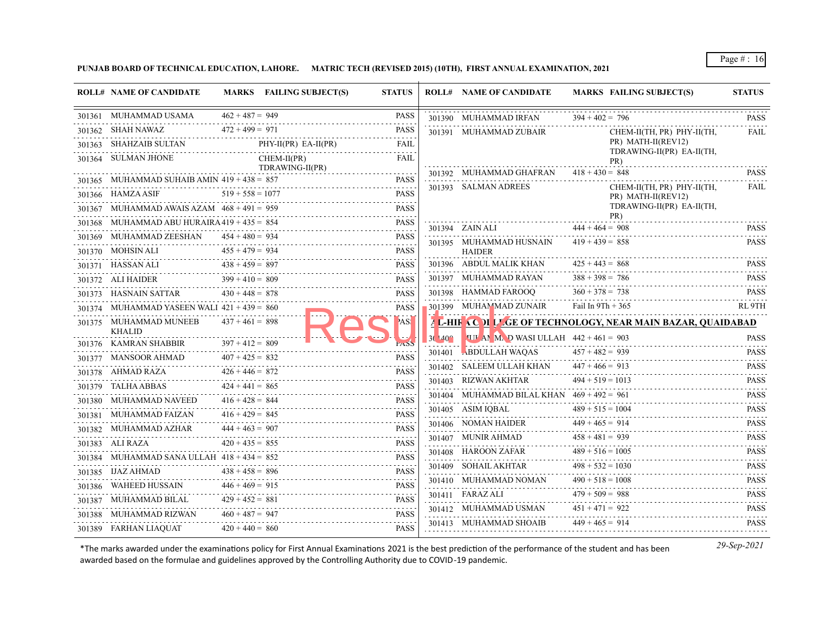**PUNJAB BOARD OF TECHNICAL EDUCATION, LAHORE. MATRIC TECH (REVISED 2015) (10TH), FIRST ANNUAL EXAMINATION, 2021**

|        | <b>ROLL# NAME OF CANDIDATE</b>                |                        | MARKS FAILING SUBJECT(S) | <b>STATUS</b>                                                                                                                                                      |                  | <b>ROLL# NAME OF CANDIDATE</b>                 | <b>MARKS FAILING SUBJECT(S)</b>                              | <b>STATUS</b>                                                       |
|--------|-----------------------------------------------|------------------------|--------------------------|--------------------------------------------------------------------------------------------------------------------------------------------------------------------|------------------|------------------------------------------------|--------------------------------------------------------------|---------------------------------------------------------------------|
|        | 301361 MUHAMMAD USAMA                         | $462 + 487 = 949$      |                          | <b>PASS</b>                                                                                                                                                        |                  | 301390 MUHAMMAD IRFAN                          | $394 + 402 = 796$                                            | <b>PASS</b>                                                         |
|        | 301362 SHAH NAWAZ                             | $472 + 499 = 971$      |                          | <b>PASS</b>                                                                                                                                                        |                  | 301391 MUHAMMAD ZUBAIR                         | CHEM-II(TH, PR) PHY-II(TH,                                   | and a state of<br>FAIL                                              |
|        | 301363 SHAHZAIB SULTAN                        |                        | $PHY-II(PR) EA-II(PR)$   | <b>FAIL</b>                                                                                                                                                        |                  |                                                | PR) MATH-II(REV12)<br>TDRAWING-II(PR) EA-II(TH,              |                                                                     |
|        | 301364 SULMAN JHONE                           |                        | $CHEM-II(PR)$            | <b>FAIL</b>                                                                                                                                                        |                  |                                                | PR)                                                          | .                                                                   |
|        | 301365 MUHAMMAD SUHAIB AMIN $419 + 438 = 857$ |                        | TDRAWING-II(PR)          | <b>PASS</b>                                                                                                                                                        |                  | 301392 MUHAMMAD GHAFRAN                        | $418 + 430 = 848$                                            | <b>PASS</b>                                                         |
|        | 301366 HAMZA ASIF                             | $519 + 558 = 1077$     |                          | <b>PASS</b>                                                                                                                                                        |                  | 301393 SALMAN ADREES                           | CHEM-II(TH, PR) PHY-II(TH,<br>PR) MATH-II(REV12)             | FAIL                                                                |
|        | 301367 MUHAMMAD AWAIS AZAM $468 + 491 = 959$  |                        |                          | <b>PASS</b>                                                                                                                                                        |                  |                                                | TDRAWING-II(PR) EA-II(TH,                                    |                                                                     |
|        | 301368 MUHAMMAD ABU HURAIRA $419 + 435 = 854$ |                        |                          | <b>PASS</b>                                                                                                                                                        |                  |                                                | PR)                                                          | .                                                                   |
|        | 301369 MUHAMMAD ZEESHAN                       | $454 + 480 = 934$      |                          | <b>PASS</b>                                                                                                                                                        |                  | 301394 ZAIN ALI                                | $444 + 464 = 908$                                            | <b>PASS</b><br>.                                                    |
|        | 301370 MOHSIN ALI                             | $455 + 479 = 934$      |                          | <b>PASS</b>                                                                                                                                                        |                  | 301395 MUHAMMAD HUSNAIN<br><b>HAIDER</b>       | $419 + 439 = 858$                                            | PASS                                                                |
|        | 301371 HASSAN ALI                             | $438 + 459 = 897$      |                          | <b>PASS</b>                                                                                                                                                        |                  | 301396 ABDUL MALIK KHAN                        | $425 + 443 = 868$                                            | <b>PASS</b>                                                         |
|        | 301372 ALI HAIDER                             | $399 + 410 = 809$      |                          | <b>PASS</b>                                                                                                                                                        |                  | 301397 MUHAMMAD RAYAN                          | $388 + 398 = 786$                                            | <b>PASS</b><br>.                                                    |
|        | 301373 HASNAIN SATTAR                         | $430 + 448 = 878$      |                          | <b>PASS</b>                                                                                                                                                        |                  | 301398 HAMMAD FAROOO                           | $360 + 378 = 738$                                            | <b>PASS</b>                                                         |
|        | 301374 MUHAMMAD YASEEN WALI $421 + 439 = 860$ |                        |                          | <b>PASS</b>                                                                                                                                                        |                  | 301399 MUHAMMAD ZUNAIR                         | Fail In $9Th + 365$                                          | RL 9TH                                                              |
|        | 301375 MUHAMMAD MUNEEB<br><b>KHALID</b>       | $437 + 461 = 898$      |                          | AS!                                                                                                                                                                |                  |                                                | 4 L-HIF AC TI L'GE OF TECHNOLOGY, NEAR MAIN BAZAR, QUAIDABAD |                                                                     |
|        | 301376 KAMRAN SHABBIR                         | $397 + 412 = 809$      |                          | kaob                                                                                                                                                               | $3(140^{\circ})$ | <b>THE AN M. D WASHULLAH</b> $442 + 461 = 903$ |                                                              | <b>PASS</b>                                                         |
|        | 301377 MANSOOR AHMAD                          | $407 + 425 = 832$      |                          | <b>PASS</b>                                                                                                                                                        |                  | 301401 ABDULLAH WAQAS                          | $457 + 482 = 939$                                            | <b>PASS</b>                                                         |
|        | 301378 AHMAD RAZA                             | $426 + 446 = 872$      |                          | <b>PASS</b>                                                                                                                                                        |                  | 301402 SALEEM ULLAH KHAN                       | $447 + 466 = 913$                                            | <b>PASS</b><br>.                                                    |
|        | 301379 TALHA ABBAS                            | .<br>$424 + 441 = 865$ |                          | <b>PASS</b>                                                                                                                                                        |                  | 301403 RIZWAN AKHTAR                           | $494 + 519 = 1013$                                           | <b>PASS</b><br>.                                                    |
|        | 301380 MUHAMMAD NAVEED                        | $416 + 428 = 844$      |                          | $\mathcal{L}^{\mathcal{A}}\left( \mathcal{A}^{\mathcal{A}}\right) =\mathcal{L}^{\mathcal{A}}\left( \mathcal{A}^{\mathcal{A}}\right)$<br><b>PASS</b><br>and a state |                  | 301404 MUHAMMAD BILAL KHAN $469 + 492 = 961$   |                                                              | <b>PASS</b><br>$\alpha$ , $\alpha$ , $\alpha$ , $\alpha$ , $\alpha$ |
|        | 301381 MUHAMMAD FAIZAN                        | $416 + 429 = 845$      |                          | <b>PASS</b>                                                                                                                                                        |                  | 301405 ASIM IOBAL                              | $489 + 515 = 1004$                                           | <b>PASS</b><br>$\omega$ is a single $\omega$                        |
|        | 301382 MUHAMMAD AZHAR                         | $444 + 463 = 907$      |                          | <b>PASS</b>                                                                                                                                                        |                  | 301406 NOMAN HAIDER                            | $449 + 465 = 914$                                            | <b>PASS</b><br>.                                                    |
|        | 301383 ALI RAZA                               | $420 + 435 = 855$      |                          | <b>PASS</b><br>and a state                                                                                                                                         |                  | 301407 MUNIR AHMAD                             | $458 + 481 = 939$                                            | <b>PASS</b><br>د د د د د د                                          |
|        | 301384 MUHAMMAD SANA ULLAH $418 + 434 = 852$  |                        |                          | <b>PASS</b><br>.                                                                                                                                                   |                  | 301408 HAROON ZAFAR                            | $489 + 516 = 1005$                                           | <b>PASS</b><br>$- - - - - -$                                        |
|        | 301385 IJAZ AHMAD                             | $438 + 458 = 896$      |                          | <b>PASS</b>                                                                                                                                                        |                  | 301409 SOHAIL AKHTAR<br>.                      | $498 + 532 = 1030$<br>$490 + 518 = 1008$                     | <b>PASS</b><br>.                                                    |
|        | 301386 WAHEED HUSSAIN                         | $446 + 469 = 915$      |                          | <b>PASS</b>                                                                                                                                                        |                  | 301410 MUHAMMAD NOMAN                          | $479 + 509 = 988$                                            | <b>PASS</b><br>.                                                    |
| 301387 | MUHAMMAD BILAL                                | $429 + 452 = 881$      |                          | <b>PASS</b><br>.                                                                                                                                                   |                  | 301411 FARAZ ALI<br>301412 MUHAMMAD USMAN      | $451 + 471 = 922$                                            | <b>PASS</b><br><b>PASS</b>                                          |
|        | 301388 MUHAMMAD RIZWAN                        | $460 + 487 = 947$      |                          | <b>PASS</b>                                                                                                                                                        |                  | 301413 MUHAMMAD SHOAIB                         | $449 + 465 = 914$                                            | .<br><b>PASS</b>                                                    |
|        | 301389 FARHAN LIAQUAT                         | $420 + 440 = 860$      |                          | <b>PASS</b>                                                                                                                                                        |                  |                                                |                                                              |                                                                     |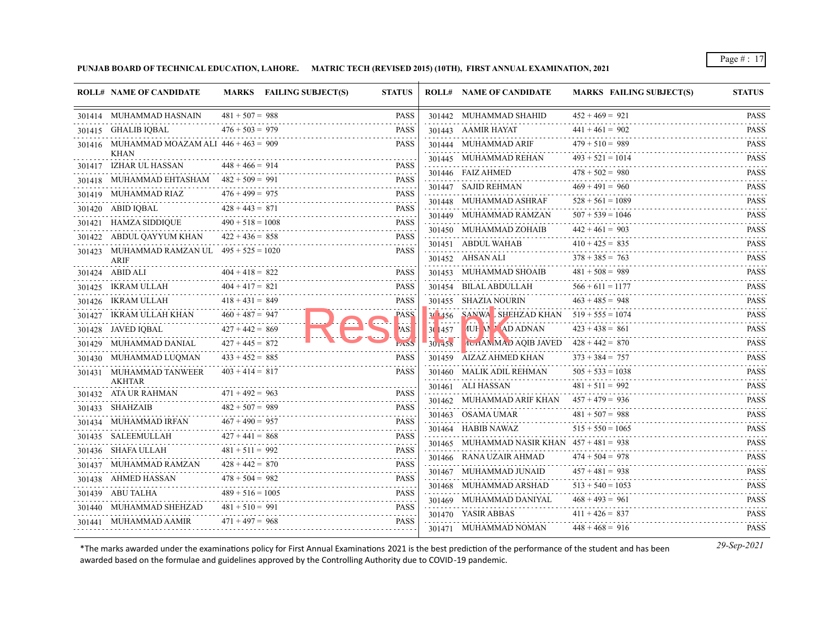**PUNJAB BOARD OF TECHNICAL EDUCATION, LAHORE. MATRIC TECH (REVISED 2015) (10TH), FIRST ANNUAL EXAMINATION, 2021**

| $481 + 507 = 988$<br><b>PASS</b><br>$452 + 469 = 921$<br>301414 MUHAMMAD HASNAIN<br>301442 MUHAMMAD SHAHID<br>$441 + 461 = 902$<br>$476 + 503 = 979$<br><b>PASS</b><br>301415 GHALIB IQBAL<br>301443 AAMIR HAYAT<br>$479 + 510 = 989$<br>301416 MUHAMMAD MOAZAM ALI $446 + 463 = 909$<br><b>PASS</b><br>301444 MUHAMMAD ARIF<br><b>KHAN</b><br>$493 + 521 = 1014$<br>301445 MUHAMMAD REHAN<br>$448 + 466 = 914$<br><b>PASS</b><br>301417 IZHAR UL HASSAN<br>.<br>$478 + 502 = 980$<br>301446 FAIZ AHMED<br>301418 MUHAMMAD EHTASHAM $482 + 509 = 991$<br><b>PASS</b><br>$482 + 509 = 991$ PASS<br>$469 + 491 = 960$<br>301447 SAJID REHMAN<br>$476 + 499 = 975$<br>301419 MUHAMMAD RIAZ<br><b>PASS</b><br>1419 MUHAMMAD RIAZ 476 + 499 = 975 PASS<br>$528 + 561 = 1089$<br>301448 MUHAMMAD ASHRAF<br>$428 + 443 = 871$<br><b>PASS</b><br>301420 ABID IQBAL<br>$507 + 539 = 1046$<br>301449 MUHAMMAD RAMZAN<br>$490 + 518 = 1008$<br><b>PASS</b><br>301421 HAMZA SIDDIQUE<br>$190 + 518 = 1008$ PASS<br>$442 + 461 = 903$<br>301450 MUHAMMAD ZOHAIB<br>$422 + 436 = 858$<br>301422 ABDUL QAYYUM KHAN<br>58 PASS<br><b>PASS</b><br>$410 + 425 = 835$<br>301451 ABDUL WAHAB<br>301423 MUHAMMAD RAMZAN UL $495 + 525 = 1020$<br><b>PASS</b><br>$378 + 385 = 763$<br>301452 AHSAN ALI<br>ARIF<br>$481 + 508 = 989$<br>$404 + 418 = 822$<br>301453 MUHAMMAD SHOAIB<br>301424 ABID ALI<br><b>PASS</b><br>$404 + 417 = 821$<br>$566 + 611 = 1177$<br><b>PASS</b><br>301454 BILAL ABDULLAH<br>301425 IKRAM ULLAH<br>$463 + 485 = 948$<br>$418 + 431 = 849$<br>301455 SHAZIA NOURIN<br>301426 IKRAM ULLAH<br><b>PASS</b><br>SANWA SHEHZAD KHAN $519 + 555 = 1074$<br>$460 + 487 = 947$<br>301427 IKRAM ULLAH KHAN<br><b>PASS</b><br>$30\,1456$<br>$423 + 438 = 861$<br><b>IUH M AD ADNAN</b><br>$427 + 442 = 869$<br>AS!<br>30 1457<br>301428 JAVED IQBAL<br>$428 + 442 = 870$<br>$427 + 445 = 872$<br><b>IUHAMMAD AQIB JAVED</b><br>$30145\sigma$<br>301429 MUHAMMAD DANIAL<br>kaob<br>$428 + 442 = 870$ PASS<br>$373 + 384 = 757$<br>$433 + 452 = 885$<br>301459 AIZAZ AHMED KHAN<br>301430 MUHAMMAD LUOMAN<br><b>PASS</b><br>$505 + 533 = 1038$<br>$403 + 414 = 817$<br>301431 MUHAMMAD TANWEER<br><b>PASS</b><br>301460 MALIK ADIL REHMAN<br><b>AKHTAR</b><br>$481 + 511 = 992$<br>301461 ALI HASSAN<br>$471 + 492 = 963$<br>301432 ATA UR RAHMAN<br><b>PASS</b><br>$457 + 479 = 936$<br>301462 MUHAMMAD ARIF KHAN<br>$482 + 507 = 989$<br><b>PASS</b><br>301433 SHAHZAIB<br>$481 + 507 = 988$<br>301463 OSAMA UMAR<br>$467 + 490 = 957$<br><b>PASS</b><br>301434 MUHAMMAD IRFAN<br>$515 + 550 = 1065$<br>301464 HABIB NAWAZ<br>$427 + 441 = 868$<br>301435 SALEEMULLAH<br><b>PASS</b><br>301465 MUHAMMAD NASIR KHAN $457 + 481 = 938$<br>01465 MUHAMMAD NASIR KHAN 457 + 481 = 938 PASS<br>$481 + 511 = 992$<br><b>PASS</b><br>301436 SHAFA ULLAH<br>$474 + 504 = 978$<br>301466 RANA UZAIR AHMAD<br>$428 + 442 = 870$<br><b>PASS</b><br>301437 MUHAMMAD RAMZAN<br>$457 + 481 = 938$<br>301467 MUHAMMAD JUNAID<br>$478 + 504 = 982$<br>301438 AHMED HASSAN<br><b>PASS</b><br>ASSAN $478 + 504 = 982$ PASS<br>$513 + 540 = 1053$<br>301468 MUHAMMAD ARSHAD<br>$489 + 516 = 1005$<br><b>PASS</b><br>301439 ABU TALHA<br>$489 + 516 = 1005$<br>$468 + 493 = 961$<br>301469 MUHAMMAD DANIYAL<br>$\omega_{\alpha}=\omega_{\alpha}=\omega_{\alpha}=\omega_{\alpha},$<br>$481 + 510 = 991$<br><b>PASS</b><br>301440 MUHAMMAD SHEHZAD<br>$411 + 426 = 837$<br>301470 YASIR ABBAS<br>$471 + 497 = 968$<br>PASS<br>301441 MUHAMMAD AAMIR<br>$448 + 468 = 916$<br>301471 MUHAMMAD NOMAN | <b>ROLL# NAME OF CANDIDATE</b> | MARKS FAILING SUBJECT(S) | <b>STATUS</b> | <b>ROLL# NAME OF CANDIDATE</b> | <b>MARKS FAILING SUBJECT(S)</b> | <b>STATUS</b> |
|-------------------------------------------------------------------------------------------------------------------------------------------------------------------------------------------------------------------------------------------------------------------------------------------------------------------------------------------------------------------------------------------------------------------------------------------------------------------------------------------------------------------------------------------------------------------------------------------------------------------------------------------------------------------------------------------------------------------------------------------------------------------------------------------------------------------------------------------------------------------------------------------------------------------------------------------------------------------------------------------------------------------------------------------------------------------------------------------------------------------------------------------------------------------------------------------------------------------------------------------------------------------------------------------------------------------------------------------------------------------------------------------------------------------------------------------------------------------------------------------------------------------------------------------------------------------------------------------------------------------------------------------------------------------------------------------------------------------------------------------------------------------------------------------------------------------------------------------------------------------------------------------------------------------------------------------------------------------------------------------------------------------------------------------------------------------------------------------------------------------------------------------------------------------------------------------------------------------------------------------------------------------------------------------------------------------------------------------------------------------------------------------------------------------------------------------------------------------------------------------------------------------------------------------------------------------------------------------------------------------------------------------------------------------------------------------------------------------------------------------------------------------------------------------------------------------------------------------------------------------------------------------------------------------------------------------------------------------------------------------------------------------------------------------------------------------------------------------------------------------------------------------------------------------------------------------------------------------------------------------------------------------------------------------------------------------------------------------------------------------------------------------------------------------------------------------------------------------------------------------------------------------------------------------------------------------------|--------------------------------|--------------------------|---------------|--------------------------------|---------------------------------|---------------|
|                                                                                                                                                                                                                                                                                                                                                                                                                                                                                                                                                                                                                                                                                                                                                                                                                                                                                                                                                                                                                                                                                                                                                                                                                                                                                                                                                                                                                                                                                                                                                                                                                                                                                                                                                                                                                                                                                                                                                                                                                                                                                                                                                                                                                                                                                                                                                                                                                                                                                                                                                                                                                                                                                                                                                                                                                                                                                                                                                                                                                                                                                                                                                                                                                                                                                                                                                                                                                                                                                                                                                                         |                                |                          |               |                                |                                 | <b>PASS</b>   |
|                                                                                                                                                                                                                                                                                                                                                                                                                                                                                                                                                                                                                                                                                                                                                                                                                                                                                                                                                                                                                                                                                                                                                                                                                                                                                                                                                                                                                                                                                                                                                                                                                                                                                                                                                                                                                                                                                                                                                                                                                                                                                                                                                                                                                                                                                                                                                                                                                                                                                                                                                                                                                                                                                                                                                                                                                                                                                                                                                                                                                                                                                                                                                                                                                                                                                                                                                                                                                                                                                                                                                                         |                                |                          |               |                                |                                 | <b>PASS</b>   |
|                                                                                                                                                                                                                                                                                                                                                                                                                                                                                                                                                                                                                                                                                                                                                                                                                                                                                                                                                                                                                                                                                                                                                                                                                                                                                                                                                                                                                                                                                                                                                                                                                                                                                                                                                                                                                                                                                                                                                                                                                                                                                                                                                                                                                                                                                                                                                                                                                                                                                                                                                                                                                                                                                                                                                                                                                                                                                                                                                                                                                                                                                                                                                                                                                                                                                                                                                                                                                                                                                                                                                                         |                                |                          |               |                                |                                 | <b>PASS</b>   |
|                                                                                                                                                                                                                                                                                                                                                                                                                                                                                                                                                                                                                                                                                                                                                                                                                                                                                                                                                                                                                                                                                                                                                                                                                                                                                                                                                                                                                                                                                                                                                                                                                                                                                                                                                                                                                                                                                                                                                                                                                                                                                                                                                                                                                                                                                                                                                                                                                                                                                                                                                                                                                                                                                                                                                                                                                                                                                                                                                                                                                                                                                                                                                                                                                                                                                                                                                                                                                                                                                                                                                                         |                                |                          |               |                                |                                 | <b>PASS</b>   |
|                                                                                                                                                                                                                                                                                                                                                                                                                                                                                                                                                                                                                                                                                                                                                                                                                                                                                                                                                                                                                                                                                                                                                                                                                                                                                                                                                                                                                                                                                                                                                                                                                                                                                                                                                                                                                                                                                                                                                                                                                                                                                                                                                                                                                                                                                                                                                                                                                                                                                                                                                                                                                                                                                                                                                                                                                                                                                                                                                                                                                                                                                                                                                                                                                                                                                                                                                                                                                                                                                                                                                                         |                                |                          |               |                                |                                 | <b>PASS</b>   |
|                                                                                                                                                                                                                                                                                                                                                                                                                                                                                                                                                                                                                                                                                                                                                                                                                                                                                                                                                                                                                                                                                                                                                                                                                                                                                                                                                                                                                                                                                                                                                                                                                                                                                                                                                                                                                                                                                                                                                                                                                                                                                                                                                                                                                                                                                                                                                                                                                                                                                                                                                                                                                                                                                                                                                                                                                                                                                                                                                                                                                                                                                                                                                                                                                                                                                                                                                                                                                                                                                                                                                                         |                                |                          |               |                                |                                 | <b>PASS</b>   |
|                                                                                                                                                                                                                                                                                                                                                                                                                                                                                                                                                                                                                                                                                                                                                                                                                                                                                                                                                                                                                                                                                                                                                                                                                                                                                                                                                                                                                                                                                                                                                                                                                                                                                                                                                                                                                                                                                                                                                                                                                                                                                                                                                                                                                                                                                                                                                                                                                                                                                                                                                                                                                                                                                                                                                                                                                                                                                                                                                                                                                                                                                                                                                                                                                                                                                                                                                                                                                                                                                                                                                                         |                                |                          |               |                                |                                 | <b>PASS</b>   |
|                                                                                                                                                                                                                                                                                                                                                                                                                                                                                                                                                                                                                                                                                                                                                                                                                                                                                                                                                                                                                                                                                                                                                                                                                                                                                                                                                                                                                                                                                                                                                                                                                                                                                                                                                                                                                                                                                                                                                                                                                                                                                                                                                                                                                                                                                                                                                                                                                                                                                                                                                                                                                                                                                                                                                                                                                                                                                                                                                                                                                                                                                                                                                                                                                                                                                                                                                                                                                                                                                                                                                                         |                                |                          |               |                                |                                 | <b>PASS</b>   |
|                                                                                                                                                                                                                                                                                                                                                                                                                                                                                                                                                                                                                                                                                                                                                                                                                                                                                                                                                                                                                                                                                                                                                                                                                                                                                                                                                                                                                                                                                                                                                                                                                                                                                                                                                                                                                                                                                                                                                                                                                                                                                                                                                                                                                                                                                                                                                                                                                                                                                                                                                                                                                                                                                                                                                                                                                                                                                                                                                                                                                                                                                                                                                                                                                                                                                                                                                                                                                                                                                                                                                                         |                                |                          |               |                                |                                 | <b>PASS</b>   |
|                                                                                                                                                                                                                                                                                                                                                                                                                                                                                                                                                                                                                                                                                                                                                                                                                                                                                                                                                                                                                                                                                                                                                                                                                                                                                                                                                                                                                                                                                                                                                                                                                                                                                                                                                                                                                                                                                                                                                                                                                                                                                                                                                                                                                                                                                                                                                                                                                                                                                                                                                                                                                                                                                                                                                                                                                                                                                                                                                                                                                                                                                                                                                                                                                                                                                                                                                                                                                                                                                                                                                                         |                                |                          |               |                                |                                 | <b>PASS</b>   |
|                                                                                                                                                                                                                                                                                                                                                                                                                                                                                                                                                                                                                                                                                                                                                                                                                                                                                                                                                                                                                                                                                                                                                                                                                                                                                                                                                                                                                                                                                                                                                                                                                                                                                                                                                                                                                                                                                                                                                                                                                                                                                                                                                                                                                                                                                                                                                                                                                                                                                                                                                                                                                                                                                                                                                                                                                                                                                                                                                                                                                                                                                                                                                                                                                                                                                                                                                                                                                                                                                                                                                                         |                                |                          |               |                                |                                 | <b>PASS</b>   |
|                                                                                                                                                                                                                                                                                                                                                                                                                                                                                                                                                                                                                                                                                                                                                                                                                                                                                                                                                                                                                                                                                                                                                                                                                                                                                                                                                                                                                                                                                                                                                                                                                                                                                                                                                                                                                                                                                                                                                                                                                                                                                                                                                                                                                                                                                                                                                                                                                                                                                                                                                                                                                                                                                                                                                                                                                                                                                                                                                                                                                                                                                                                                                                                                                                                                                                                                                                                                                                                                                                                                                                         |                                |                          |               |                                |                                 | <b>PASS</b>   |
|                                                                                                                                                                                                                                                                                                                                                                                                                                                                                                                                                                                                                                                                                                                                                                                                                                                                                                                                                                                                                                                                                                                                                                                                                                                                                                                                                                                                                                                                                                                                                                                                                                                                                                                                                                                                                                                                                                                                                                                                                                                                                                                                                                                                                                                                                                                                                                                                                                                                                                                                                                                                                                                                                                                                                                                                                                                                                                                                                                                                                                                                                                                                                                                                                                                                                                                                                                                                                                                                                                                                                                         |                                |                          |               |                                |                                 | <b>PASS</b>   |
|                                                                                                                                                                                                                                                                                                                                                                                                                                                                                                                                                                                                                                                                                                                                                                                                                                                                                                                                                                                                                                                                                                                                                                                                                                                                                                                                                                                                                                                                                                                                                                                                                                                                                                                                                                                                                                                                                                                                                                                                                                                                                                                                                                                                                                                                                                                                                                                                                                                                                                                                                                                                                                                                                                                                                                                                                                                                                                                                                                                                                                                                                                                                                                                                                                                                                                                                                                                                                                                                                                                                                                         |                                |                          |               |                                |                                 | <b>PASS</b>   |
|                                                                                                                                                                                                                                                                                                                                                                                                                                                                                                                                                                                                                                                                                                                                                                                                                                                                                                                                                                                                                                                                                                                                                                                                                                                                                                                                                                                                                                                                                                                                                                                                                                                                                                                                                                                                                                                                                                                                                                                                                                                                                                                                                                                                                                                                                                                                                                                                                                                                                                                                                                                                                                                                                                                                                                                                                                                                                                                                                                                                                                                                                                                                                                                                                                                                                                                                                                                                                                                                                                                                                                         |                                |                          |               |                                |                                 | <b>PASS</b>   |
|                                                                                                                                                                                                                                                                                                                                                                                                                                                                                                                                                                                                                                                                                                                                                                                                                                                                                                                                                                                                                                                                                                                                                                                                                                                                                                                                                                                                                                                                                                                                                                                                                                                                                                                                                                                                                                                                                                                                                                                                                                                                                                                                                                                                                                                                                                                                                                                                                                                                                                                                                                                                                                                                                                                                                                                                                                                                                                                                                                                                                                                                                                                                                                                                                                                                                                                                                                                                                                                                                                                                                                         |                                |                          |               |                                |                                 | <b>PASS</b>   |
|                                                                                                                                                                                                                                                                                                                                                                                                                                                                                                                                                                                                                                                                                                                                                                                                                                                                                                                                                                                                                                                                                                                                                                                                                                                                                                                                                                                                                                                                                                                                                                                                                                                                                                                                                                                                                                                                                                                                                                                                                                                                                                                                                                                                                                                                                                                                                                                                                                                                                                                                                                                                                                                                                                                                                                                                                                                                                                                                                                                                                                                                                                                                                                                                                                                                                                                                                                                                                                                                                                                                                                         |                                |                          |               |                                |                                 | <b>PASS</b>   |
|                                                                                                                                                                                                                                                                                                                                                                                                                                                                                                                                                                                                                                                                                                                                                                                                                                                                                                                                                                                                                                                                                                                                                                                                                                                                                                                                                                                                                                                                                                                                                                                                                                                                                                                                                                                                                                                                                                                                                                                                                                                                                                                                                                                                                                                                                                                                                                                                                                                                                                                                                                                                                                                                                                                                                                                                                                                                                                                                                                                                                                                                                                                                                                                                                                                                                                                                                                                                                                                                                                                                                                         |                                |                          |               |                                |                                 | <b>PASS</b>   |
|                                                                                                                                                                                                                                                                                                                                                                                                                                                                                                                                                                                                                                                                                                                                                                                                                                                                                                                                                                                                                                                                                                                                                                                                                                                                                                                                                                                                                                                                                                                                                                                                                                                                                                                                                                                                                                                                                                                                                                                                                                                                                                                                                                                                                                                                                                                                                                                                                                                                                                                                                                                                                                                                                                                                                                                                                                                                                                                                                                                                                                                                                                                                                                                                                                                                                                                                                                                                                                                                                                                                                                         |                                |                          |               |                                |                                 | <b>PASS</b>   |
|                                                                                                                                                                                                                                                                                                                                                                                                                                                                                                                                                                                                                                                                                                                                                                                                                                                                                                                                                                                                                                                                                                                                                                                                                                                                                                                                                                                                                                                                                                                                                                                                                                                                                                                                                                                                                                                                                                                                                                                                                                                                                                                                                                                                                                                                                                                                                                                                                                                                                                                                                                                                                                                                                                                                                                                                                                                                                                                                                                                                                                                                                                                                                                                                                                                                                                                                                                                                                                                                                                                                                                         |                                |                          |               |                                |                                 | <b>PASS</b>   |
|                                                                                                                                                                                                                                                                                                                                                                                                                                                                                                                                                                                                                                                                                                                                                                                                                                                                                                                                                                                                                                                                                                                                                                                                                                                                                                                                                                                                                                                                                                                                                                                                                                                                                                                                                                                                                                                                                                                                                                                                                                                                                                                                                                                                                                                                                                                                                                                                                                                                                                                                                                                                                                                                                                                                                                                                                                                                                                                                                                                                                                                                                                                                                                                                                                                                                                                                                                                                                                                                                                                                                                         |                                |                          |               |                                |                                 | <b>PASS</b>   |
|                                                                                                                                                                                                                                                                                                                                                                                                                                                                                                                                                                                                                                                                                                                                                                                                                                                                                                                                                                                                                                                                                                                                                                                                                                                                                                                                                                                                                                                                                                                                                                                                                                                                                                                                                                                                                                                                                                                                                                                                                                                                                                                                                                                                                                                                                                                                                                                                                                                                                                                                                                                                                                                                                                                                                                                                                                                                                                                                                                                                                                                                                                                                                                                                                                                                                                                                                                                                                                                                                                                                                                         |                                |                          |               |                                |                                 | <b>PASS</b>   |
|                                                                                                                                                                                                                                                                                                                                                                                                                                                                                                                                                                                                                                                                                                                                                                                                                                                                                                                                                                                                                                                                                                                                                                                                                                                                                                                                                                                                                                                                                                                                                                                                                                                                                                                                                                                                                                                                                                                                                                                                                                                                                                                                                                                                                                                                                                                                                                                                                                                                                                                                                                                                                                                                                                                                                                                                                                                                                                                                                                                                                                                                                                                                                                                                                                                                                                                                                                                                                                                                                                                                                                         |                                |                          |               |                                |                                 | <b>PASS</b>   |
|                                                                                                                                                                                                                                                                                                                                                                                                                                                                                                                                                                                                                                                                                                                                                                                                                                                                                                                                                                                                                                                                                                                                                                                                                                                                                                                                                                                                                                                                                                                                                                                                                                                                                                                                                                                                                                                                                                                                                                                                                                                                                                                                                                                                                                                                                                                                                                                                                                                                                                                                                                                                                                                                                                                                                                                                                                                                                                                                                                                                                                                                                                                                                                                                                                                                                                                                                                                                                                                                                                                                                                         |                                |                          |               |                                |                                 | <b>PASS</b>   |
|                                                                                                                                                                                                                                                                                                                                                                                                                                                                                                                                                                                                                                                                                                                                                                                                                                                                                                                                                                                                                                                                                                                                                                                                                                                                                                                                                                                                                                                                                                                                                                                                                                                                                                                                                                                                                                                                                                                                                                                                                                                                                                                                                                                                                                                                                                                                                                                                                                                                                                                                                                                                                                                                                                                                                                                                                                                                                                                                                                                                                                                                                                                                                                                                                                                                                                                                                                                                                                                                                                                                                                         |                                |                          |               |                                |                                 | <b>PASS</b>   |
|                                                                                                                                                                                                                                                                                                                                                                                                                                                                                                                                                                                                                                                                                                                                                                                                                                                                                                                                                                                                                                                                                                                                                                                                                                                                                                                                                                                                                                                                                                                                                                                                                                                                                                                                                                                                                                                                                                                                                                                                                                                                                                                                                                                                                                                                                                                                                                                                                                                                                                                                                                                                                                                                                                                                                                                                                                                                                                                                                                                                                                                                                                                                                                                                                                                                                                                                                                                                                                                                                                                                                                         |                                |                          |               |                                |                                 | <b>PASS</b>   |
|                                                                                                                                                                                                                                                                                                                                                                                                                                                                                                                                                                                                                                                                                                                                                                                                                                                                                                                                                                                                                                                                                                                                                                                                                                                                                                                                                                                                                                                                                                                                                                                                                                                                                                                                                                                                                                                                                                                                                                                                                                                                                                                                                                                                                                                                                                                                                                                                                                                                                                                                                                                                                                                                                                                                                                                                                                                                                                                                                                                                                                                                                                                                                                                                                                                                                                                                                                                                                                                                                                                                                                         |                                |                          |               |                                |                                 | <b>PASS</b>   |
|                                                                                                                                                                                                                                                                                                                                                                                                                                                                                                                                                                                                                                                                                                                                                                                                                                                                                                                                                                                                                                                                                                                                                                                                                                                                                                                                                                                                                                                                                                                                                                                                                                                                                                                                                                                                                                                                                                                                                                                                                                                                                                                                                                                                                                                                                                                                                                                                                                                                                                                                                                                                                                                                                                                                                                                                                                                                                                                                                                                                                                                                                                                                                                                                                                                                                                                                                                                                                                                                                                                                                                         |                                |                          |               |                                |                                 | <b>PASS</b>   |
|                                                                                                                                                                                                                                                                                                                                                                                                                                                                                                                                                                                                                                                                                                                                                                                                                                                                                                                                                                                                                                                                                                                                                                                                                                                                                                                                                                                                                                                                                                                                                                                                                                                                                                                                                                                                                                                                                                                                                                                                                                                                                                                                                                                                                                                                                                                                                                                                                                                                                                                                                                                                                                                                                                                                                                                                                                                                                                                                                                                                                                                                                                                                                                                                                                                                                                                                                                                                                                                                                                                                                                         |                                |                          |               |                                |                                 | <b>PASS</b>   |
|                                                                                                                                                                                                                                                                                                                                                                                                                                                                                                                                                                                                                                                                                                                                                                                                                                                                                                                                                                                                                                                                                                                                                                                                                                                                                                                                                                                                                                                                                                                                                                                                                                                                                                                                                                                                                                                                                                                                                                                                                                                                                                                                                                                                                                                                                                                                                                                                                                                                                                                                                                                                                                                                                                                                                                                                                                                                                                                                                                                                                                                                                                                                                                                                                                                                                                                                                                                                                                                                                                                                                                         |                                |                          |               |                                |                                 | <b>PASS</b>   |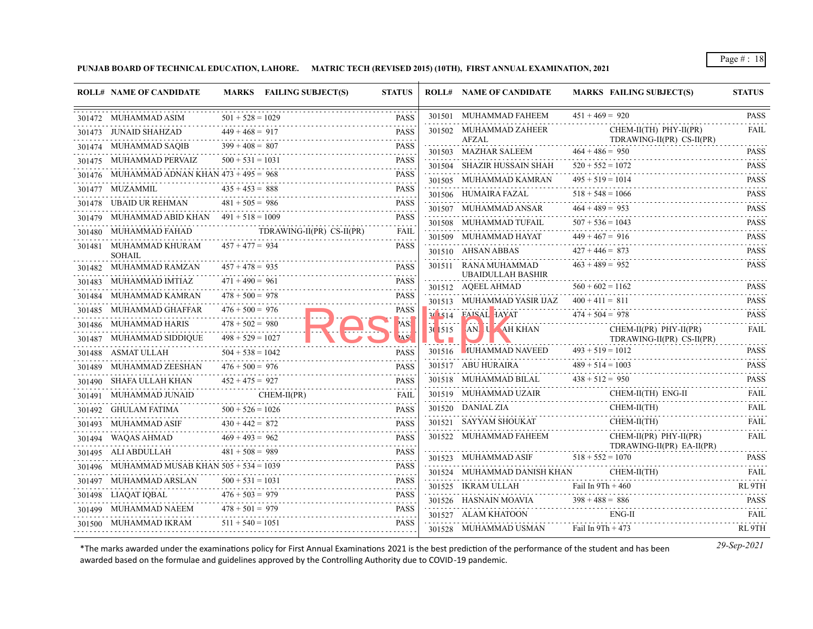**PUNJAB BOARD OF TECHNICAL EDUCATION, LAHORE. MATRIC TECH (REVISED 2015) (10TH), FIRST ANNUAL EXAMINATION, 2021**

|        | <b>ROLL# NAME OF CANDIDATE</b>                |                    | MARKS FAILING SUBJECT(S)                                 | <b>STATUS</b>           |        | <b>ROLL# NAME OF CANDIDATE</b>                 | <b>MARKS FAILING SUBJECT(S)</b>                                                                                                                                                                                                                                                                                                                                                                                                                                                                                   | <b>STATUS</b>                                       |
|--------|-----------------------------------------------|--------------------|----------------------------------------------------------|-------------------------|--------|------------------------------------------------|-------------------------------------------------------------------------------------------------------------------------------------------------------------------------------------------------------------------------------------------------------------------------------------------------------------------------------------------------------------------------------------------------------------------------------------------------------------------------------------------------------------------|-----------------------------------------------------|
|        | 301472 MUHAMMAD ASIM                          | $501 + 528 = 1029$ |                                                          | <b>PASS</b>             |        | 301501 MUHAMMAD FAHEEM                         | $451 + 469 = 920$                                                                                                                                                                                                                                                                                                                                                                                                                                                                                                 | <b>PASS</b><br>$-2 - 2 - 2 - 2$                     |
|        | 301473 JUNAID SHAHZAD                         | $449 + 468 = 917$  |                                                          | <b>PASS</b>             |        | 301502 MUHAMMAD ZAHEER<br>AFZAL                | $CHEM-II(TH)$ $PHY-II(PR)$<br>TDRAWING-II(PR) CS-II(PR)                                                                                                                                                                                                                                                                                                                                                                                                                                                           | <b>FAIL</b>                                         |
|        | 301474 MUHAMMAD SAQIB                         | $399 + 408 = 807$  |                                                          | <b>PASS</b>             |        | 301503 MAZHAR SALEEM                           | $464 + 486 = 950$                                                                                                                                                                                                                                                                                                                                                                                                                                                                                                 | <b>PASS</b>                                         |
|        | 301475 MUHAMMAD PERVAIZ                       | $500 + 531 = 1031$ | $90 + 531 = 1031$ PASS                                   | <b>PASS</b>             |        | 301504 SHAZIR HUSSAIN SHAH                     | $520 + 552 = 1072$                                                                                                                                                                                                                                                                                                                                                                                                                                                                                                | <b>PASS</b>                                         |
|        | 301476 MUHAMMAD ADNAN KHAN $473 + 495 = 968$  |                    | $73 + 495 = 968$ PASS                                    | <b>PASS</b>             |        | 301505 MUHAMMAD KAMRAN                         | $495 + 519 = 1014$                                                                                                                                                                                                                                                                                                                                                                                                                                                                                                | <b>PASS</b>                                         |
|        | 301477 MUZAMMIL                               | $435 + 453 = 888$  |                                                          | <b>PASS</b>             |        | 301506 HUMAIRA FAZAL                           | $518 + 548 = 1066$<br>301506 HUMAIRA FAZAL 518 + 548 = 1066 PASS                                                                                                                                                                                                                                                                                                                                                                                                                                                  | $\omega$ is a second set of $\omega$<br><b>PASS</b> |
|        | 301478 UBAID UR REHMAN                        | $481 + 505 = 986$  |                                                          | <b>PASS</b>             |        | 301507 MUHAMMAD ANSAR                          | $464 + 489 = 953$                                                                                                                                                                                                                                                                                                                                                                                                                                                                                                 | <b>PASS</b>                                         |
|        | 301479 MUHAMMAD ABID KHAN $491 + 518 = 1009$  |                    |                                                          | <b>PASS</b>             |        | 301508 MUHAMMAD TUFAIL                         | $507 + 536 = 1043$                                                                                                                                                                                                                                                                                                                                                                                                                                                                                                | <b>PASS</b>                                         |
|        | 301480 MUHAMMAD FAHAD                         |                    | TDRAWING-II(PR) CS-II(PR)                                | <b>FAIL</b><br><u>.</u> |        | 301509 MUHAMMAD HAYAT                          | $449 + 467 = 916$<br>$449 + 467 = 916$ PASS                                                                                                                                                                                                                                                                                                                                                                                                                                                                       |                                                     |
|        | 301481 MUHAMMAD KHURAM<br><b>SOHAIL</b>       | $457 + 477 = 934$  |                                                          | <b>PASS</b>             |        | 301510 AHSAN ABBAS                             | $427 + 446 = 873$                                                                                                                                                                                                                                                                                                                                                                                                                                                                                                 | <b>PASS</b>                                         |
|        | 301482 MUHAMMAD RAMZAN                        | $457 + 478 = 935$  |                                                          | <b>PASS</b>             |        | 301511 RANA MUHAMMAD                           | $463 + 489 = 952$                                                                                                                                                                                                                                                                                                                                                                                                                                                                                                 | <b>PASS</b>                                         |
|        | 301483 MUHAMMAD IMTIAZ                        | $471 + 490 = 961$  |                                                          | <b>PASS</b>             |        | <b>UBAIDULLAH BASHIR</b><br>301512 AQEEL AHMAD | $560 + 602 = 1162$                                                                                                                                                                                                                                                                                                                                                                                                                                                                                                | <b>PASS</b>                                         |
|        | 301484 MUHAMMAD KAMRAN                        | $478 + 500 = 978$  |                                                          | <b>PASS</b>             |        | 301513 MUHAMMAD YASIR IJAZ                     | $400 + 411 = 811$                                                                                                                                                                                                                                                                                                                                                                                                                                                                                                 | <b>PASS</b>                                         |
|        | 301485 MUHAMMAD GHAFFAR                       | $476 + 500 = 976$  |                                                          | <b>PASS</b>             |        | 30 514 FAISAL HAYAT                            | $474 + 504 = 978$                                                                                                                                                                                                                                                                                                                                                                                                                                                                                                 | <b>PASS</b>                                         |
|        | 301486 MUHAMMAD HARIS                         | $478 + 502 = 980$  |                                                          | 'AS!                    |        | 30 515 AN U AH KHAN                            | $CHEM-II(PR)$ $PHY-II(PR)$                                                                                                                                                                                                                                                                                                                                                                                                                                                                                        | <b>FAIL</b>                                         |
|        | 301487 MUHAMMAD SIDDIQUE                      | $498 + 529 = 1027$ |                                                          | AS'                     |        |                                                | TDRAWING-II(PR) CS-II(PR)                                                                                                                                                                                                                                                                                                                                                                                                                                                                                         |                                                     |
| 301488 | ASMAT ULLAH                                   | $504 + 538 = 1042$ |                                                          | <b>PASS</b>             | 301516 | <b>MUHAMMAD NAVEED</b>                         | $493 + 519 = 1012$                                                                                                                                                                                                                                                                                                                                                                                                                                                                                                | <b>PASS</b>                                         |
|        | 301489 MUHAMMAD ZEESHAN                       | $476 + 500 = 976$  |                                                          | <b>PASS</b>             |        | 301517 ABU HURAIRA                             | $489 + 514 = 1003$                                                                                                                                                                                                                                                                                                                                                                                                                                                                                                | <b>PASS</b>                                         |
|        | 301490 SHAFA ULLAH KHAN                       | $452 + 475 = 927$  |                                                          | <b>PASS</b>             |        | 301518 MUHAMMAD BILAL $438 + 512 = 950$        |                                                                                                                                                                                                                                                                                                                                                                                                                                                                                                                   | <b>PASS</b>                                         |
|        | 301491 MUHAMMAD JUNAID                        |                    | $CHEM-II(PR)$<br>301491 MUHAMMAD JUNAID CHEM-II(PR) FAIL |                         |        |                                                | $\begin{tabular}{llllllll} \multicolumn{2}{c}{\multicolumn{2}{c}{\textbf{301519}} & \multicolumn{2}{c}{\textbf{MULTM} & \multicolumn{2}{c}{\textbf{FAIL}}\\ \multicolumn{2}{c}{\multicolumn{2}{c}{\textbf{301520}} & \multicolumn{2}{c}{\textbf{M}UHAMMAD UZAIR} & \multicolumn{2}{c}{\textbf{CHEM-II(TH)} & \multicolumn{2}{c}{\textbf{FAG-II}} & \multicolumn{2}{c}{\textbf{FAIL}}\\ \multicolumn{2}{c}{\textbf{301520}} & \multicolumn{2}{c}{\textbf{$                                                         |                                                     |
|        | 301492 GHULAM FATIMA                          | $500 + 526 = 1026$ |                                                          | <b>PASS</b>             |        | 301520 DANIAL ZIA                              |                                                                                                                                                                                                                                                                                                                                                                                                                                                                                                                   |                                                     |
|        | 301493 MUHAMMAD ASIF                          | $430 + 442 = 872$  | $430 + 442 = 872$ PASS                                   | <b>PASS</b>             |        | 301521 SAYYAM SHOUKAT                          | CHEM-II(TH)                                                                                                                                                                                                                                                                                                                                                                                                                                                                                                       | <b>FAIL</b>                                         |
|        | 301494 WAQAS AHMAD                            | $469 + 493 = 962$  | 301494 WAQAS AHMAD 469 + 493 = 962 PASS                  |                         |        | 301522 MUHAMMAD FAHEEM                         | $CHEM-II(PR)$ $PHY-II(PR)$                                                                                                                                                                                                                                                                                                                                                                                                                                                                                        | <b>FAIL</b>                                         |
|        | 301495 ALI ABDULLAH                           | $481 + 508 = 989$  |                                                          | <b>PASS</b><br>.        |        | 301523 MUHAMMAD ASIF                           | TDRAWING-II(PR) EA-II(PR)<br>$518 + 552 = 1070$                                                                                                                                                                                                                                                                                                                                                                                                                                                                   | <b>PASS</b>                                         |
|        | 301496 MUHAMMAD MUSAB KHAN $505 + 534 = 1039$ |                    |                                                          | <b>PASS</b>             |        | 301524 MUHAMMAD DANISH KHAN                    |                                                                                                                                                                                                                                                                                                                                                                                                                                                                                                                   |                                                     |
|        | 301497 MUHAMMAD ARSLAN                        | $500 + 531 = 1031$ | 301497 MUHAMMAD ARSLAN 500 + 531 = 1031 PASS             | <b>PASS</b>             |        | 301525 IKRAM ULLAH                             | $\begin{tabular}{ll} MUHAMMAD DANISH KHAN & CHEM-II(TH) & FAIL \\ \hline \end{tabular} \begin{tabular}{ll} \multicolumn{3}{l}{{\bf{F}}\xspace} & FAIL \\ \multicolumn{3}{l}{\bf{F}}\xspace & FAIL \\ \multicolumn{3}{l}{\bf{F}}\xspace & FAIL \\ \multicolumn{3}{l}{\bf{F}}\xspace & FAIL \\ \multicolumn{3}{l}{\bf{F}}\xspace & FAIL \\ \multicolumn{3}{l}{\bf{F}}\xspace & FAIL \\ \multicolumn{3}{l}{\bf{F}}\xspace & FAIL \\ \multicolumn{3}{l}{\bf{F}}\xspace & FAIL \\ \multicolumn$<br>Fail In $9Th + 460$ | RL <sub>9TH</sub>                                   |
|        | 301498 LIAQAT IQBAL                           | $476 + 503 = 979$  | $476 + 503 = 979$                                        | <b>PASS</b>             |        | 301526 HASNAIN MOAVIA                          | $398 + 488 = 886$                                                                                                                                                                                                                                                                                                                                                                                                                                                                                                 | <b>PASS</b>                                         |
|        | 301499 MUHAMMAD NAEEM                         | $478 + 501 = 979$  | $478 + 501 = 979$ PASS                                   | <b>PASS</b>             |        | 301527 ALAM KHATOON                            | $ENG-II$                                                                                                                                                                                                                                                                                                                                                                                                                                                                                                          | <b>FAIL</b>                                         |
|        | 301500 MUHAMMAD IKRAM                         | $511 + 540 = 1051$ | $1 + 540 = 1051$ PASS                                    | <b>PASS</b>             |        | 301528 MUHAMMAD USMAN                          | Fail In $9Th + 473$                                                                                                                                                                                                                                                                                                                                                                                                                                                                                               | .<br>RL 9TH                                         |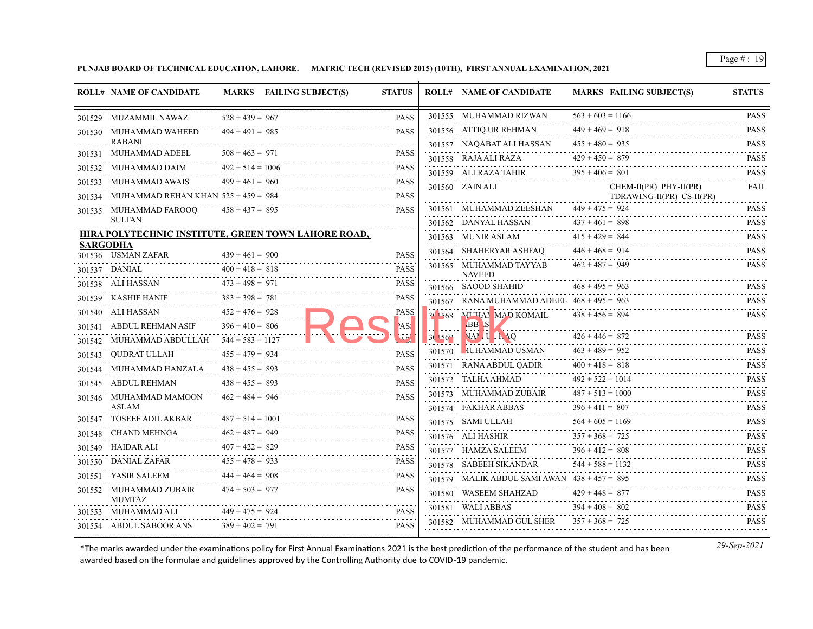**PUNJAB BOARD OF TECHNICAL EDUCATION, LAHORE. MATRIC TECH (REVISED 2015) (10TH), FIRST ANNUAL EXAMINATION, 2021**

|                 | <b>ROLL# NAME OF CANDIDATE</b>               |                    | MARKS FAILING SUBJECT(S)                            | <b>STATUS</b> |                 | <b>ROLL# NAME OF CANDIDATE</b>                 | <b>MARKS FAILING SUBJECT(S)</b>                | <b>STATUS</b>           |
|-----------------|----------------------------------------------|--------------------|-----------------------------------------------------|---------------|-----------------|------------------------------------------------|------------------------------------------------|-------------------------|
|                 | 301529 MUZAMMIL NAWAZ                        | $528 + 439 = 967$  |                                                     | <b>PASS</b>   |                 | 301555 MUHAMMAD RIZWAN                         | $563 + 603 = 1166$                             | <b>PASS</b>             |
|                 | 301530 MUHAMMAD WAHEED                       | $494 + 491 = 985$  |                                                     | <b>PASS</b>   |                 | 301556 ATTIQ UR REHMAN                         | $449 + 469 = 918$                              | <b>PASS</b>             |
|                 | <b>RABANI</b>                                |                    |                                                     |               |                 | 301557 NAQABAT ALI HASSAN                      | $455 + 480 = 935$                              | <b>PASS</b>             |
|                 | 301531 MUHAMMAD ADEEL                        | $508 + 463 = 971$  |                                                     | <b>PASS</b>   |                 | 301558 RAJA ALI RAZA                           | $429 + 450 = 879$                              | <b>PASS</b>             |
|                 | 301532 MUHAMMAD DAIM                         | $492 + 514 = 1006$ |                                                     | <b>PASS</b>   |                 | 301559 ALI RAZA TAHIR                          | $395 + 406 = 801$                              | <b>PASS</b>             |
| 301533          | MUHAMMAD AWAIS                               | $499 + 461 = 960$  |                                                     | <b>PASS</b>   |                 | 301560 ZAIN ALI                                | CHEM-II(PR) PHY-II(PR)                         | FAIL                    |
|                 | 301534 MUHAMMAD REHAN KHAN $525 + 459 = 984$ |                    |                                                     | <b>PASS</b>   |                 | 301561 MUHAMMAD ZEESHAN                        | TDRAWING-II(PR) CS-II(PR)<br>$449 + 475 = 924$ | <b>PASS</b>             |
|                 | 301535 MUHAMMAD FAROOQ<br><b>SULTAN</b>      | $458 + 437 = 895$  |                                                     | <b>PASS</b>   |                 | 301562 DANYAL HASSAN                           | $437 + 461 = 898$                              | <b>PASS</b>             |
|                 |                                              |                    | HIRA POLYTECHNIC INSTITUTE, GREEN TOWN LAHORE ROAD, |               |                 | 301563 MUNIR ASLAM                             | $415 + 429 = 844$                              | .<br><b>PASS</b>        |
| <b>SARGODHA</b> |                                              |                    |                                                     |               |                 | 301564 SHAHERYAR ASHFAQ                        | $446 + 468 = 914$                              | .<br><b>PASS</b>        |
|                 | 301536 USMAN ZAFAR                           | $439 + 461 = 900$  |                                                     | <b>PASS</b>   |                 | 301565 MUHAMMAD TAYYAB                         | $462 + 487 = 949$                              | <b>PASS</b>             |
|                 | 301537 DANIAL                                | $400 + 418 = 818$  |                                                     | <b>PASS</b>   |                 | <b>NAVEED</b>                                  |                                                |                         |
|                 | 301538 ALI HASSAN                            | $473 + 498 = 971$  |                                                     | <b>PASS</b>   |                 | 301566 SAOOD SHAHID                            | $468 + 495 = 963$                              | <b>PASS</b><br>.        |
|                 | 301539 KASHIF HANIF                          | $383 + 398 = 781$  |                                                     | <b>PASS</b>   |                 | 301567 RANA MUHAMMAD ADEEL $468 + 495 = 963$   |                                                | <b>PASS</b>             |
|                 | 301540 ALI HASSAN                            | $452 + 476 = 928$  |                                                     | <b>PASS</b>   |                 | 30 568 MUHAN MAD KOMAIL                        | $438 + 456 = 894$                              | <b>PASS</b>             |
|                 | 301541 ABDUL REHMAN ASIF                     | $396 + 410 = 806$  |                                                     | AS!           | $3(156^{\circ}$ | <b>BB</b> S<br>NAMILLE 10                      | $426 + 446 = 872$                              | <b>PASS</b>             |
| 301542          | MUHAMMAD ABDULLAH                            | $544 + 583 = 1127$ |                                                     |               |                 | 301570 MUHAMMAD USMAN                          | $463 + 489 = 952$                              | <b>PASS</b>             |
|                 | 301543 QUDRAT ULLAH                          | $455 + 479 = 934$  |                                                     | <b>PASS</b>   |                 | 301571 RANA ABDUL QADIR                        | $400 + 418 = 818$                              | <b>PASS</b>             |
|                 | 301544 MUHAMMAD HANZALA                      | $438 + 455 = 893$  |                                                     | <b>PASS</b>   |                 | 301572 TALHA AHMAD                             | $492 + 522 = 1014$                             | .<br><b>PASS</b>        |
|                 | 301545 ABDUL REHMAN                          | $438 + 455 = 893$  |                                                     | <b>PASS</b>   |                 | 301573 MUHAMMAD ZUBAIR                         | $487 + 513 = 1000$                             | <b>PASS</b>             |
|                 | 301546 MUHAMMAD MAMOON<br><b>ASLAM</b>       | $462 + 484 = 946$  |                                                     | <b>PASS</b>   |                 | 301574 FAKHAR ABBAS                            | $396 + 411 = 807$                              | <b>PASS</b>             |
|                 | 301547 TOSEEF ADIL AKBAR                     | $487 + 514 = 1001$ |                                                     | <b>PASS</b>   |                 | 301575 SAMI ULLAH                              | $564 + 605 = 1169$                             | <b>PASS</b>             |
| 301548          | CHAND MEHNGA                                 | $462 + 487 = 949$  |                                                     | <b>PASS</b>   |                 | 301576 ALI HASHIR                              | $357 + 368 = 725$                              | <b>PASS</b>             |
|                 | 301549 HAIDAR ALI                            | $407 + 422 = 829$  |                                                     | <b>PASS</b>   |                 | 301577 HAMZA SALEEM                            | $396 + 412 = 808$                              | <b>PASS</b>             |
|                 | 301550 DANIAL ZAFAR                          | $455 + 478 = 933$  |                                                     | <b>PASS</b>   |                 | 301578 SABEEH SIKANDAR                         | $544 + 588 = 1132$                             | .<br><b>PASS</b>        |
|                 | 301551 YASIR SALEEM                          | $444 + 464 = 908$  |                                                     | <b>PASS</b>   |                 | 301579 MALIK ABDUL SAMI AWAN $438 + 457 = 895$ |                                                | .<br><b>PASS</b>        |
|                 | 301552 MUHAMMAD ZUBAIR                       | $474 + 503 = 977$  |                                                     | <b>PASS</b>   |                 | 301580 WASEEM SHAHZAD                          | $429 + 448 = 877$                              | <b>PASS</b>             |
|                 | <b>MUMTAZ</b>                                |                    |                                                     |               |                 | 301581 WALI ABBAS                              | $394 + 408 = 802$                              | <u>.</u><br><b>PASS</b> |
|                 | 301553 MUHAMMAD ALI                          | $449 + 475 = 924$  |                                                     | <b>PASS</b>   |                 | 301582 MUHAMMAD GUL SHER                       | $357 + 368 = 725$                              | .<br><b>PASS</b>        |
|                 | 301554 ABDUL SABOOR ANS                      | $389 + 402 = 791$  |                                                     | <b>PASS</b>   |                 |                                                |                                                |                         |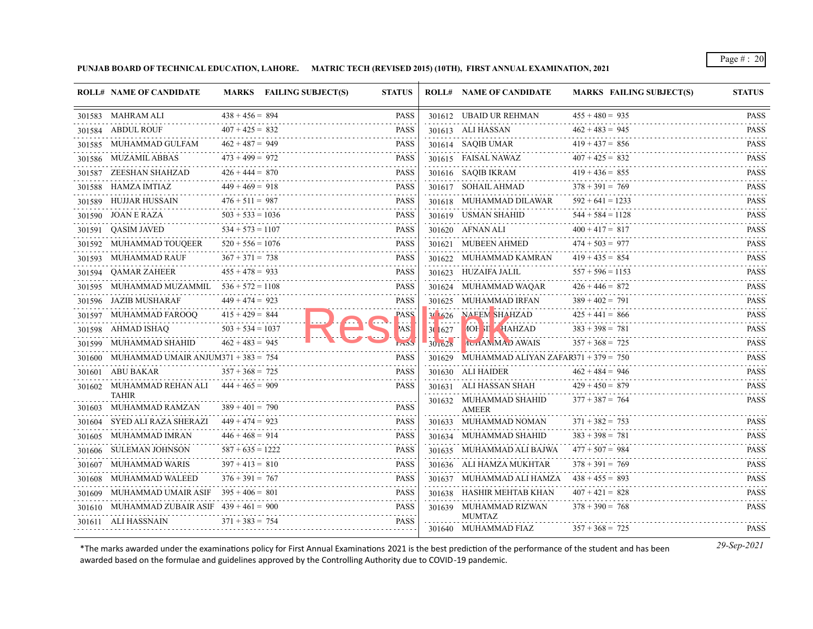**PUNJAB BOARD OF TECHNICAL EDUCATION, LAHORE. MATRIC TECH (REVISED 2015) (10TH), FIRST ANNUAL EXAMINATION, 2021**

|        | <b>ROLL# NAME OF CANDIDATE</b>                |                    | MARKS FAILING SUBJECT(S) | <b>STATUS</b> |         | <b>ROLL# NAME OF CANDIDATE</b>              | <b>MARKS FAILING SUBJECT(S)</b> | <b>STATUS</b>                                            |
|--------|-----------------------------------------------|--------------------|--------------------------|---------------|---------|---------------------------------------------|---------------------------------|----------------------------------------------------------|
|        | 301583 MAHRAM ALI                             | $438 + 456 = 894$  |                          | <b>PASS</b>   |         | 301612 UBAID UR REHMAN                      | $455 + 480 = 935$               | <b>PASS</b>                                              |
|        | 301584 ABDUL ROUF                             | $407 + 425 = 832$  |                          | <b>PASS</b>   |         | 301613 ALI HASSAN                           | $462 + 483 = 945$               | .<br><b>PASS</b>                                         |
|        | 301585 MUHAMMAD GULFAM                        | $462 + 487 = 949$  |                          | <b>PASS</b>   |         | 301614 SAQIB UMAR                           | $419 + 437 = 856$               | <b>PASS</b>                                              |
|        | 301586 MUZAMIL ABBAS                          | $473 + 499 = 972$  |                          | <b>PASS</b>   |         | 301615 FAISAL NAWAZ                         | $407 + 425 = 832$               | <b>PASS</b><br>$-2 - 2 - 2 - 2 - 2$                      |
|        | 301587 ZEESHAN SHAHZAD                        | $426 + 444 = 870$  |                          | <b>PASS</b>   |         | 301616 SAQIB IKRAM                          | $419 + 436 = 855$               | <b>PASS</b>                                              |
|        | 301588 HAMZA IMTIAZ                           | $449 + 469 = 918$  |                          | <b>PASS</b>   |         | 301617 SOHAIL AHMAD                         | $378 + 391 = 769$               | <b>PASS</b><br>.                                         |
|        | 301589 HUJJAR HUSSAIN                         | $476 + 511 = 987$  |                          | <b>PASS</b>   |         | 301618 MUHAMMAD DILAWAR                     | $592 + 641 = 1233$              | <b>PASS</b>                                              |
|        | 301590 JOAN E RAZA                            | $503 + 533 = 1036$ |                          | <b>PASS</b>   |         | 301619 USMAN SHAHID                         | $544 + 584 = 1128$              | <b>PASS</b>                                              |
|        | 301591 QASIM JAVED                            | $534 + 573 = 1107$ |                          | <b>PASS</b>   |         | 301620 AFNAN ALI                            | $400 + 417 = 817$               | <b>PASS</b><br>.                                         |
| 301592 | MUHAMMAD TOUOEER                              | $520 + 556 = 1076$ |                          | <b>PASS</b>   |         | 301621 MUBEEN AHMED                         | $474 + 503 = 977$               | <b>PASS</b>                                              |
|        | 301593 MUHAMMAD RAUF                          | $367 + 371 = 738$  |                          | <b>PASS</b>   |         | 301622 MUHAMMAD KAMRAN                      | $419 + 435 = 854$               | <b>PASS</b>                                              |
|        | 301594 QAMAR ZAHEER                           | $455 + 478 = 933$  |                          | <b>PASS</b>   |         | 301623 HUZAIFA JALIL                        | $557 + 596 = 1153$              | <b>PASS</b><br>.                                         |
|        | 301595 MUHAMMAD MUZAMMIL                      | $536 + 572 = 1108$ |                          | <b>PASS</b>   |         | 301624 MUHAMMAD WAQAR                       | $426 + 446 = 872$               | <b>PASS</b><br>$\sim$ $\sim$ $\sim$ $\sim$ $\sim$ $\sim$ |
|        | 301596 JAZIB MUSHARAF                         | $449 + 474 = 923$  |                          | <b>PASS</b>   |         | 301625 MUHAMMAD IRFAN                       | $389 + 402 = 791$               | <b>PASS</b>                                              |
| 301597 | MUHAMMAD FAROOO                               | $415 + 429 = 844$  |                          | <b>PASS</b>   | 30.626  | <b>NAEEM SHAHZAD</b>                        | $425 + 441 = 866$               | <b>PASS</b>                                              |
|        | 301598 AHMAD ISHAQ                            | $503 + 534 = 1037$ |                          | AS!           | 30 1627 | <b>MOH XI , HAHZAD</b>                      | $383 + 398 = 781$               | <b>PASS</b>                                              |
|        | 301599 MUHAMMAD SHAHID                        | $462 + 483 = 945$  |                          |               | 301028  | <b>TUHAMMAD AWAIS</b>                       | $357 + 368 = 725$               | <b>PASS</b>                                              |
|        | 301600 MUHAMMAD UMAIR ANJUM371 + 383 = 754    |                    |                          | <b>PASS</b>   |         | 301629 MUHAMMAD ALIYAN ZAFAR371 + 379 = 750 |                                 | <b>PASS</b><br>.                                         |
|        | 301601 ABU BAKAR                              | $357 + 368 = 725$  |                          | <b>PASS</b>   |         | 301630 ALI HAIDER                           | $462 + 484 = 946$               | <b>PASS</b><br>in in in in i                             |
|        | 301602 MUHAMMAD REHAN ALI                     | $444 + 465 = 909$  |                          | <b>PASS</b>   |         | 301631 ALI HASSAN SHAH                      | $429 + 450 = 879$               | <b>PASS</b>                                              |
|        | <b>TAHIR</b><br>301603 MUHAMMAD RAMZAN        | $389 + 401 = 790$  |                          | <b>PASS</b>   |         | 301632 MUHAMMAD SHAHID<br><b>AMEER</b>      | $377 + 387 = 764$               | <b>PASS</b>                                              |
| 301604 | SYED ALI RAZA SHERAZI                         | $449 + 474 = 923$  |                          | <b>PASS</b>   |         | 301633 MUHAMMAD NOMAN                       | $371 + 382 = 753$               | <b>PASS</b>                                              |
|        | 301605 MUHAMMAD IMRAN                         | $446 + 468 = 914$  |                          | <b>PASS</b>   |         | 301634 MUHAMMAD SHAHID                      | $383 + 398 = 781$               | <b>PASS</b>                                              |
|        | 301606 SULEMAN JOHNSON                        | $587 + 635 = 1222$ |                          | <b>PASS</b>   |         | 301635 MUHAMMAD ALI BAJWA                   | $477 + 507 = 984$               | <b>PASS</b>                                              |
|        | 301607 MUHAMMAD WARIS                         | $397 + 413 = 810$  |                          | <b>PASS</b>   |         | 301636 ALI HAMZA MUKHTAR                    | $378 + 391 = 769$               | .<br><b>PASS</b>                                         |
|        | 301608 MUHAMMAD WALEED                        | $376 + 391 = 767$  |                          | <b>PASS</b>   |         | 301637 MUHAMMAD ALI HAMZA                   | $438 + 455 = 893$               | <b>PASS</b>                                              |
|        | 301609 MUHAMMAD UMAIR ASIF $395 + 406 = 801$  |                    |                          | <b>PASS</b>   |         | 301638 HASHIR MEHTAB KHAN                   | $407 + 421 = 828$               | .<br><b>PASS</b>                                         |
|        | 301610 MUHAMMAD ZUBAIR ASIF $439 + 461 = 900$ |                    |                          | <b>PASS</b>   |         | 301639 MUHAMMAD RIZWAN                      | $378 + 390 = 768$               | $-1 - 1 - 1 - 1$<br><b>PASS</b>                          |
|        | 301611 ALI HASSNAIN                           | $371 + 383 = 754$  |                          | <b>PASS</b>   |         | <b>MUMTAZ</b>                               |                                 |                                                          |
|        |                                               |                    |                          |               |         | 301640 MUHAMMAD FIAZ                        | $357 + 368 = 725$               | <b>PASS</b>                                              |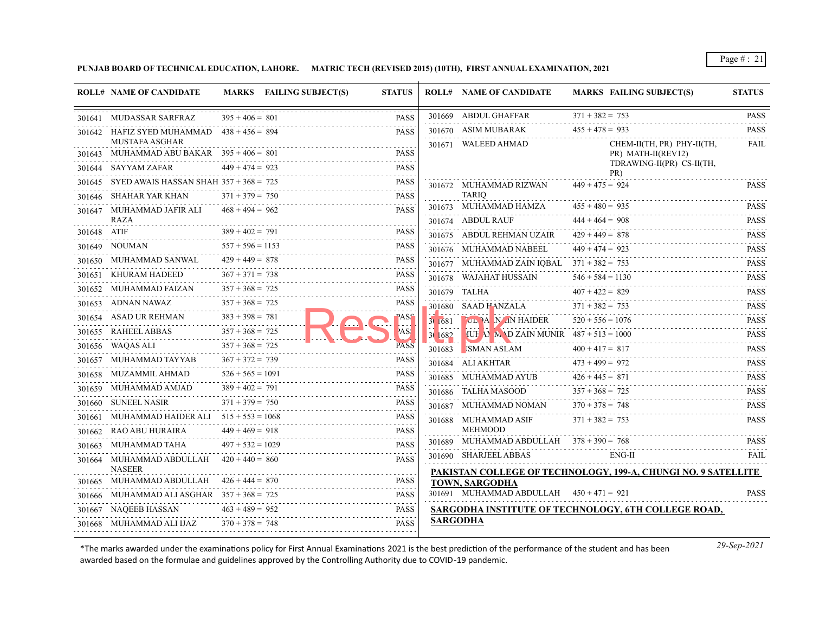**PUNJAB BOARD OF TECHNICAL EDUCATION, LAHORE. MATRIC TECH (REVISED 2015) (10TH), FIRST ANNUAL EXAMINATION, 2021**

|             | <b>ROLL# NAME OF CANDIDATE</b>                                       |                    | MARKS FAILING SUBJECT(S) | <b>STATUS</b> |         | <b>ROLL# NAME OF CANDIDATE</b>                            | <b>MARKS FAILING SUBJECT(S)</b>                                               | <b>STATUS</b>    |
|-------------|----------------------------------------------------------------------|--------------------|--------------------------|---------------|---------|-----------------------------------------------------------|-------------------------------------------------------------------------------|------------------|
|             | 301641 MUDASSAR SARFRAZ                                              | $395 + 406 = 801$  |                          | <b>PASS</b>   |         | 301669 ABDUL GHAFFAR                                      | $371 + 382 = 753$                                                             | <b>PASS</b>      |
|             | 301642 HAFIZ SYED MUHAMMAD $438 + 456 = 894$                         |                    |                          | <b>PASS</b>   |         | 301670 ASIM MUBARAK                                       | $455 + 478 = 933$                                                             | <b>PASS</b>      |
|             | <b>MUSTAFA ASGHAR</b><br>301643 MUHAMMAD ABU BAKAR $395 + 406 = 801$ |                    |                          | <b>PASS</b>   |         | 301671 WALEED AHMAD                                       | CHEM-II(TH, PR) PHY-II(TH,<br>PR) MATH-II(REV12)<br>TDRAWING-II(PR) CS-II(TH, | FAIL             |
|             | 301644 SAYYAM ZAFAR                                                  | $449 + 474 = 923$  |                          | <b>PASS</b>   |         |                                                           | PR)                                                                           |                  |
| 301645      | SYED AWAIS HASSAN SHAH $357 + 368 = 725$                             |                    |                          | <b>PASS</b>   |         | 301672 MUHAMMAD RIZWAN                                    | $449 + 475 = 924$                                                             | <b>PASS</b>      |
|             | 301646 SHAHAR YAR KHAN                                               | $371 + 379 = 750$  |                          | <b>PASS</b>   |         | <b>TARIO</b>                                              |                                                                               |                  |
|             | 301647 MUHAMMAD JAFIR ALI<br>RAZA                                    | $468 + 494 = 962$  |                          | <b>PASS</b>   |         | 301673 MUHAMMAD HAMZA                                     | $455 + 480 = 935$                                                             | <b>PASS</b>      |
| 301648 ATIF |                                                                      | $389 + 402 = 791$  |                          | <b>PASS</b>   |         | 301674 ABDUL RAUF                                         | $444 + 464 = 908$                                                             | <b>PASS</b>      |
|             | 301649 NOUMAN                                                        | $557 + 596 = 1153$ |                          | <b>PASS</b>   |         | 301675 ABDUL REHMAN UZAIR                                 | $429 + 449 = 878$                                                             | <b>PASS</b>      |
|             | 301650 MUHAMMAD SANWAL                                               | $429 + 449 = 878$  |                          | <b>PASS</b>   |         | 301676 MUHAMMAD NABEEL                                    | $449 + 474 = 923$                                                             | <b>PASS</b><br>. |
|             | 301651 KHURAM HADEED                                                 | $367 + 371 = 738$  |                          | <b>PASS</b>   |         | 301677 MUHAMMAD ZAIN IQBAL $371 + 382 = 753$              |                                                                               | <b>PASS</b>      |
|             | 301652 MUHAMMAD FAIZAN                                               | $357 + 368 = 725$  |                          | <b>PASS</b>   |         | 301678 WAJAHAT HUSSAIN                                    | $546 + 584 = 1130$                                                            | <b>PASS</b>      |
|             | ADNAN NAWAZ                                                          | $357 + 368 = 725$  |                          |               |         | 301679 TALHA                                              | $407 + 422 = 829$                                                             | <b>PASS</b><br>. |
| 301653      |                                                                      |                    |                          | PASS          |         | 301680 SAAD HANZALA                                       | $371 + 382 = 753$                                                             | <b>PASS</b>      |
| 301654      | ASAD UR REHMAN                                                       | $383 + 398 = 781$  |                          | PASS          |         | $3\sqrt{1081}$ $\sqrt{J}$ O <sub>E</sub> $9A$ N AN HAIDER | $520 + 556 = 1076$                                                            | PASS             |
|             | 301655 RAHEEL ABBAS                                                  | $357 + 368 = 725$  |                          | AS!           | 30 1682 | <b>IUF AN AND ZAIN MUNIR</b> $487 + 513 = 1000$           | <b>IUF AN AN D ZAIN MUNIR</b> $487 + 513 = 1000$                              | <b>PASS</b><br>. |
|             | 301656 WAQAS ALI                                                     | $357 + 368 = 725$  |                          | <b>PASS</b>   |         | 301683 ISMAN ASLAM                                        | $400 + 417 = 817$                                                             | PASS             |
|             | 301657 MUHAMMAD TAYYAB                                               | $367 + 372 = 739$  |                          | <b>PASS</b>   |         | 301684 ALI AKHTAR                                         | $473 + 499 = 972$                                                             | <b>PASS</b>      |
|             | 301658 MUZAMMIL AHMAD                                                | $526 + 565 = 1091$ |                          | <b>PASS</b>   |         | 301685 MUHAMMAD AYUB                                      | $426 + 445 = 871$                                                             | <b>PASS</b>      |
|             | 301659 MUHAMMAD AMJAD                                                | $389 + 402 = 791$  |                          | <b>PASS</b>   |         | 301686 TALHA MASOOD                                       | $357 + 368 = 725$                                                             | <b>PASS</b>      |
|             | 301660 SUNEEL NASIR                                                  | $371 + 379 = 750$  |                          | <b>PASS</b>   |         | 301687 MUHAMMAD NOMAN                                     | $370 + 378 = 748$                                                             | <b>PASS</b>      |
|             | 301661 MUHAMMAD HAIDER ALI $515 + 553 = 1068$                        |                    |                          | <b>PASS</b>   |         | 301688 MUHAMMAD ASIF                                      | $371 + 382 = 753$                                                             | <b>PASS</b>      |
|             | 301662 RAO ABU HURAIRA                                               | $449 + 469 = 918$  |                          | <b>PASS</b>   |         | <b>MEHMOOD</b>                                            |                                                                               |                  |
|             | 301663 MUHAMMAD TAHA                                                 | $497 + 532 = 1029$ |                          | PASS          |         | 301689 MUHAMMAD ABDULLAH $378 + 390 = 768$                |                                                                               | <b>PASS</b>      |
|             | 301664 MUHAMMAD ABDULLAH $420 + 440 = 860$<br><b>NASEER</b>          |                    |                          | <b>PASS</b>   |         | 301690 SHARJEEL ABBAS                                     | ENG-II<br>PAKISTAN COLLEGE OF TECHNOLOGY, 199-A, CHUNGI NO. 9 SATELLITE       | <b>FAIL</b>      |
| 301665      | MUHAMMAD ABDULLAH $426 + 444 = 870$                                  |                    |                          | <b>PASS</b>   |         | <b>TOWN, SARGODHA</b>                                     |                                                                               |                  |
|             | 301666 MUHAMMAD ALI ASGHAR $357 + 368 = 725$                         |                    |                          | <b>PASS</b>   |         | 301691 MUHAMMAD ABDULLAH $450 + 471 = 921$                |                                                                               | <b>PASS</b>      |
|             | 301667 NAQEEB HASSAN                                                 | $463 + 489 = 952$  |                          | <b>PASS</b>   |         |                                                           | SARGODHA INSTITUTE OF TECHNOLOGY, 6TH COLLEGE ROAD,                           |                  |
|             | 301668 MUHAMMAD ALI IJAZ $370 + 378 = 748$                           |                    |                          | <b>PASS</b>   |         | <b>SARGODHA</b>                                           |                                                                               |                  |
|             |                                                                      |                    |                          |               |         |                                                           |                                                                               |                  |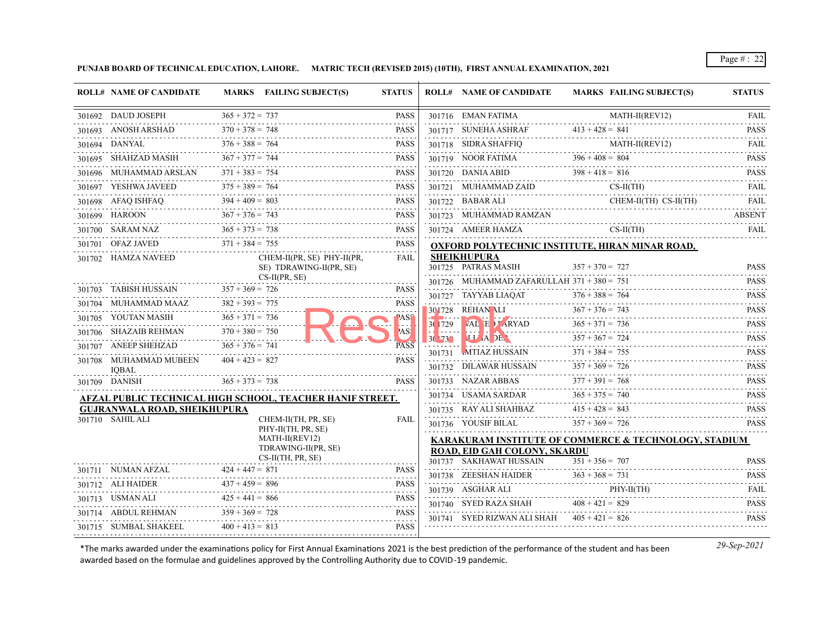**PUNJAB BOARD OF TECHNICAL EDUCATION, LAHORE. MATRIC TECH (REVISED 2015) (10TH), FIRST ANNUAL EXAMINATION, 2021**

|        | <b>ROLL# NAME OF CANDIDATE</b>         |                        | MARKS FAILING SUBJECT(S)                                  | <b>STATUS</b>    |                      | <b>ROLL# NAME OF CANDIDATE</b>               | MARKS FAILING SUBJECT(S)                                         | <b>STATUS</b>           |
|--------|----------------------------------------|------------------------|-----------------------------------------------------------|------------------|----------------------|----------------------------------------------|------------------------------------------------------------------|-------------------------|
|        | 301692 DAUD JOSEPH                     | $365 + 372 = 737$      |                                                           | <b>PASS</b>      |                      | 301716 EMAN FATIMA                           | $MATH-II(REV12)$                                                 | <b>FAIL</b>             |
|        | 301693 ANOSH ARSHAD                    | $370 + 378 = 748$      |                                                           | <b>PASS</b>      |                      | 301717 SUNEHA ASHRAF                         | $413 + 428 = 841$                                                | .<br><b>PASS</b>        |
|        | 301694 DANYAL                          | $376 + 388 = 764$      |                                                           | .<br><b>PASS</b> |                      |                                              | $MAH-H(REV12)$                                                   | FAIL.                   |
|        | 301695 SHAHZAD MASIH                   | $367 + 377 = 744$      |                                                           | <b>PASS</b>      |                      | 301719 NOOR FATIMA                           | $396 + 408 = 804$                                                | <b>PASS</b>             |
|        | 301696 MUHAMMAD ARSLAN                 | $371 + 383 = 754$      |                                                           | <b>PASS</b>      |                      | 301720 DANIA ABID $398 + 418 = 816$          |                                                                  | .<br><b>PASS</b>        |
|        | 301697 YESHWA JAVEED                   | $375 + 389 = 764$      |                                                           | PASS             |                      | 301721 MUHAMMAD ZAID CS-II(TH)               |                                                                  | <b>FAIL</b>             |
|        | 301698 AFAQ ISHFAQ                     | $394 + 409 = 803$      |                                                           | <b>PASS</b>      |                      | 301722 BABAR ALI                             | $CHEM-II(TH)$ $CS-II(TH)$                                        | FAIL                    |
|        | 301699 HAROON $367 + 376 = 743$        |                        |                                                           | <b>PASS</b><br>. |                      | 301723 MUHAMMAD RAMZAN                       |                                                                  | <b>ABSENT</b>           |
|        | 301700 SARAM NAZ                       | $365 + 373 = 738$      |                                                           | <b>PASS</b>      |                      | 301724 AMEER HAMZA                           | $CS-H(TH)$                                                       | <b>FAIL</b>             |
|        | 301701 OFAZ JAVED                      | $371 + 384 = 755$      |                                                           | <b>PASS</b>      |                      |                                              | <b>OXFORD POLYTECHNIC INSTITUTE, HIRAN MINAR ROAD,</b>           |                         |
|        | 301702 HAMZA NAVEED                    |                        | CHEM-II(PR, SE) PHY-II(PR,<br>SE) TDRAWING-II(PR, SE)     | FAIL             |                      | <b>SHEIKHUPURA</b><br>301725 PATRAS MASIH    | $357 + 370 = 727$                                                | <b>PASS</b>             |
|        |                                        |                        | $CS-II(PR, SE)$                                           |                  |                      | 301726 MUHAMMAD ZAFARULLAH $371 + 380 = 751$ |                                                                  | <b>PASS</b>             |
|        | 301703 TABISH HUSSAIN                  | $357 + 369 = 726$      |                                                           | <b>PASS</b>      |                      |                                              | 301727 TAYYAB LIAQAT $376 + 388 = 764$                           | <b>PASS</b>             |
| 301704 | MUHAMMAD MAAZ                          | $382 + 393 = 775$      |                                                           | <b>PASS</b>      |                      | 301728 REHAN ALI                             | $367 + 376 = 743$                                                | .<br><b>PASS</b>        |
|        | 301705 YOUTAN MASIH                    | $365 + 371 = 736$      |                                                           | PASS             | 30 729               | VAL E / ARYAD                                | $365 + 371 = 736$                                                | .<br><b>PASS</b>        |
|        | 301706 SHAZAIB REHMAN                  | $370 + 380 = 750$<br>. |                                                           | AS!              | .<br>$30.73^{\circ}$ | LL IA DE                                     | $357 + 367 = 724$                                                | <b>PASS</b>             |
|        | 301707 ANEEP SHEHZAD                   | $365 + 376 = 741$      |                                                           | <b>PASS</b>      | 301731               | "MTIAZ HUSSAIN                               | $371 + 384 = 755$                                                | <u>.</u><br><b>PASS</b> |
|        | 301708 MUHAMMAD MUBEEN<br><b>IOBAL</b> | $404 + 423 = 827$      |                                                           | <b>PASS</b>      |                      | 301732 DILAWAR HUSSAIN                       | $357 + 369 = 726$                                                | .<br><b>PASS</b>        |
|        | 301709 DANISH                          | $365 + 373 = 738$      |                                                           | <b>PASS</b>      |                      | 301733 NAZAR ABBAS                           | $377 + 391 = 768$                                                | <b>PASS</b><br>.        |
|        |                                        |                        | AFZAL PUBLIC TECHNICAL HIGH SCHOOL, TEACHER HANIF STREET. |                  |                      | 301734 USAMA SARDAR                          | $365 + 375 = 740$                                                | <b>PASS</b><br>.        |
|        | <b>GUJRANWALA ROAD, SHEIKHUPURA</b>    |                        |                                                           |                  |                      | 301735 RAY ALI SHAHBAZ                       | $415 + 428 = 843$                                                | <b>PASS</b>             |
|        | 301710 SAHIL ALI                       |                        | CHEM-II(TH, PR, SE)<br>PHY-II(TH, PR, SE)                 | <b>FAIL</b>      |                      | 301736 YOUSIF BILAL                          | $357 + 369 = 726$                                                | <b>PASS</b>             |
|        |                                        |                        | MATH-II(REV12)<br>TDRAWING-II(PR, SE)                     |                  |                      | ROAD, EID GAH COLONY, SKARDU                 | <b>KARAKURAM INSTITUTE OF COMMERCE &amp; TECHNOLOGY, STADIUM</b> |                         |
|        |                                        |                        | $CS-II(TH, PR, SE)$                                       |                  |                      | 301737 SAKHAWAT HUSSAIN                      | $351 + 356 = 707$                                                | <b>PASS</b>             |
|        | $301711$ NUMAN AFZAL                   | $424 + 447 = 871$      |                                                           | <b>PASS</b>      |                      |                                              | 301738 ZEESHAN HAIDER $363 + 368 = 731$                          | <b>PASS</b>             |
|        | 301712 ALI HAIDER                      | $437 + 459 = 896$      |                                                           | <b>PASS</b><br>. |                      | 301739 ASGHAR ALI                            | PHY-II(TH)                                                       | <b>FAIL</b>             |
|        | 301713 USMAN ALI                       | $425 + 441 = 866$      |                                                           | <b>PASS</b>      |                      | 301740 SYED RAZA SHAH                        | $408 + 421 = 829$                                                | <b>PASS</b>             |
|        | 301714 ABDUL REHMAN                    | $359 + 369 = 728$      |                                                           | <b>PASS</b>      |                      | 301741 SYED RIZWAN ALI SHAH                  | $405 + 421 = 826$                                                | .<br><b>PASS</b>        |
|        | 301715 SUMBAL SHAKEEL                  | $400 + 413 = 813$      |                                                           | <b>PASS</b>      |                      |                                              |                                                                  |                         |
|        |                                        |                        |                                                           |                  |                      |                                              |                                                                  |                         |